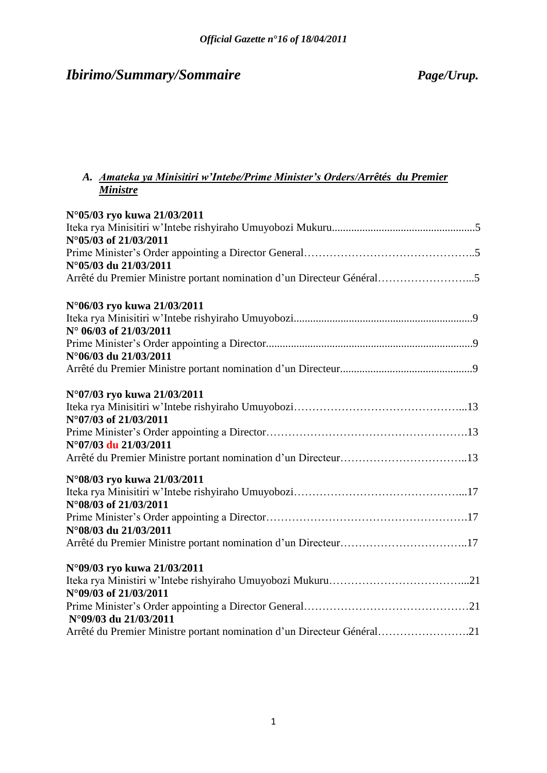# *Ibirimo/Summary/Sommaire Page/Urup.*

## *A. Amateka ya Minisitiri w'Intebe/Prime Minister's Orders/Arrêtés du Premier Ministre*

| N°05/03 ryo kuwa 21/03/2011                                            |
|------------------------------------------------------------------------|
| N°05/03 of 21/03/2011                                                  |
|                                                                        |
| N°05/03 du 21/03/2011                                                  |
| Arrêté du Premier Ministre portant nomination d'un Directeur Général5  |
| N°06/03 ryo kuwa 21/03/2011                                            |
| N° 06/03 of 21/03/2011                                                 |
| N°06/03 du 21/03/2011                                                  |
|                                                                        |
| N°07/03 ryo kuwa 21/03/2011                                            |
| N°07/03 of 21/03/2011                                                  |
|                                                                        |
| N°07/03 du 21/03/2011                                                  |
|                                                                        |
| N°08/03 ryo kuwa 21/03/2011                                            |
|                                                                        |
| N°08/03 of 21/03/2011                                                  |
| N°08/03 du 21/03/2011                                                  |
| Arrêté du Premier Ministre portant nomination d'un Directeur17         |
|                                                                        |
| N°09/03 ryo kuwa 21/03/2011                                            |
| N°09/03 of 21/03/2011                                                  |
| N°09/03 du 21/03/2011                                                  |
| Arrêté du Premier Ministre portant nomination d'un Directeur Général21 |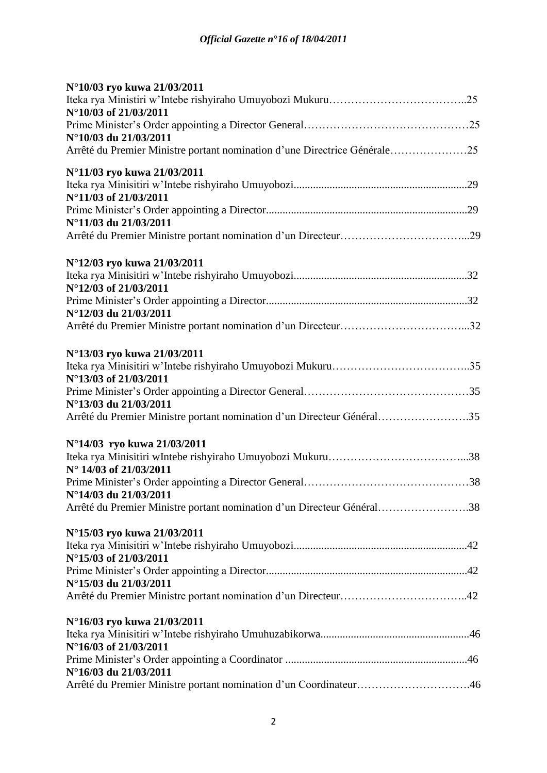| N°10/03 ryo kuwa 21/03/2011                                               |  |
|---------------------------------------------------------------------------|--|
|                                                                           |  |
| N°10/03 of 21/03/2011                                                     |  |
|                                                                           |  |
| N°10/03 du 21/03/2011                                                     |  |
| Arrêté du Premier Ministre portant nomination d'une Directrice Générale25 |  |
| N°11/03 ryo kuwa 21/03/2011                                               |  |
|                                                                           |  |
| N°11/03 of 21/03/2011                                                     |  |
|                                                                           |  |
| N°11/03 du 21/03/2011                                                     |  |
|                                                                           |  |
| N°12/03 ryo kuwa 21/03/2011                                               |  |
|                                                                           |  |
| N°12/03 of 21/03/2011                                                     |  |
|                                                                           |  |
| N°12/03 du 21/03/2011                                                     |  |
|                                                                           |  |
| N°13/03 ryo kuwa 21/03/2011                                               |  |
|                                                                           |  |
| N°13/03 of 21/03/2011                                                     |  |
|                                                                           |  |
| N°13/03 du 21/03/2011                                                     |  |
| Arrêté du Premier Ministre portant nomination d'un Directeur Général35    |  |
| N°14/03 ryo kuwa 21/03/2011                                               |  |
|                                                                           |  |
| N° 14/03 of 21/03/2011                                                    |  |
|                                                                           |  |
| N°14/03 du 21/03/2011                                                     |  |
| Arrêté du Premier Ministre portant nomination d'un Directeur Général38    |  |
| N°15/03 ryo kuwa 21/03/2011                                               |  |
|                                                                           |  |
| N°15/03 of 21/03/2011                                                     |  |
|                                                                           |  |
| N°15/03 du 21/03/2011                                                     |  |
|                                                                           |  |
| N°16/03 ryo kuwa 21/03/2011                                               |  |
|                                                                           |  |
| N°16/03 of 21/03/2011                                                     |  |
|                                                                           |  |
| N°16/03 du 21/03/2011                                                     |  |
| Arrêté du Premier Ministre portant nomination d'un Coordinateur46         |  |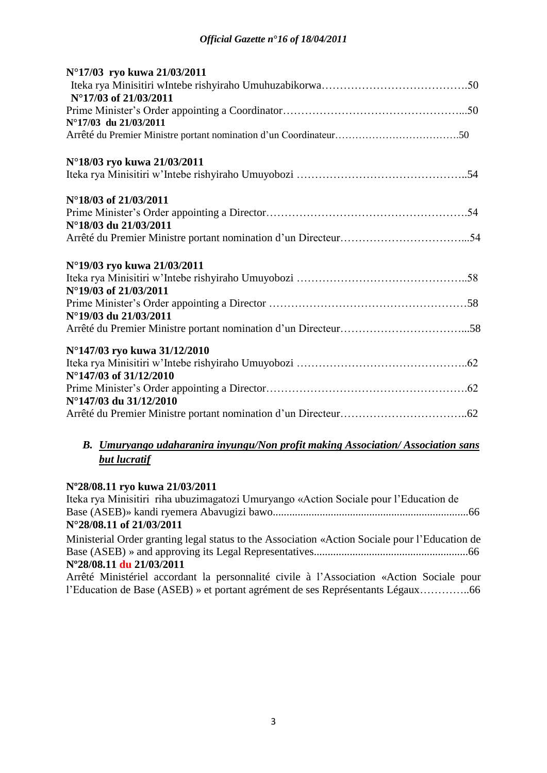| N°17/03 ryo kuwa 21/03/2011  |  |
|------------------------------|--|
|                              |  |
| N°17/03 of 21/03/2011        |  |
|                              |  |
| N°17/03 du 21/03/2011        |  |
|                              |  |
| N°18/03 ryo kuwa 21/03/2011  |  |
|                              |  |
| N°18/03 of 21/03/2011        |  |
|                              |  |
| N°18/03 du 21/03/2011        |  |
|                              |  |
| N°19/03 ryo kuwa 21/03/2011  |  |
|                              |  |
| N°19/03 of 21/03/2011        |  |
|                              |  |
| N°19/03 du 21/03/2011        |  |
|                              |  |
| N°147/03 ryo kuwa 31/12/2010 |  |
|                              |  |
| N°147/03 of 31/12/2010       |  |
|                              |  |
| N°147/03 du 31/12/2010       |  |
|                              |  |

## *B. Umuryango udaharanira inyungu/Non profit making Association/ Association sans but lucratif*

#### **Nº28/08.11 ryo kuwa 21/03/2011**

| Iteka rya Minisitiri riha ubuzimagatozi Umuryango «Action Sociale pour l'Education de          |  |
|------------------------------------------------------------------------------------------------|--|
|                                                                                                |  |
| $N^{\circ}28/08.11$ of 21/03/2011                                                              |  |
| Ministorial Order greating local status to the Association «Action Cociale pour l'Education de |  |

Ministerial Order granting legal status to the Association «Action Sociale pour l"Education de Base (ASEB) » and approving its Legal Representatives........................................................66 **Nº28/08.11 du 21/03/2011**

Arrêté Ministériel accordant la personnalité civile à l"Association «Action Sociale pour l"Education de Base (ASEB) » et portant agrément de ses Représentants Légaux…………..66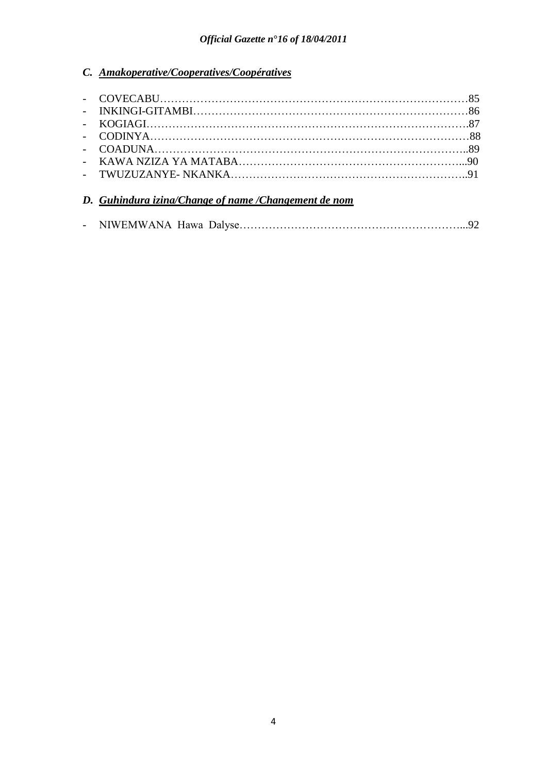## *C. Amakoperative/Cooperatives/Coopératives*

## *D. Guhindura izina/Change of name /Changement de nom*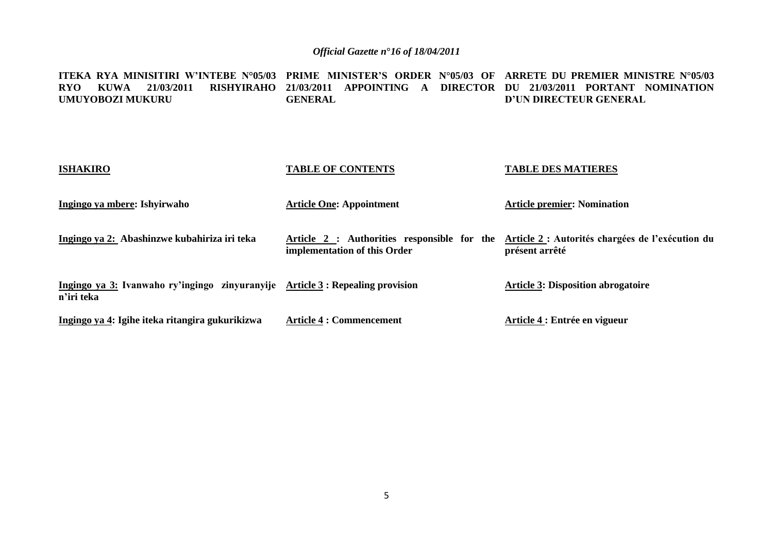**ITEKA RYA MINISITIRI W'INTEBE N°05/03 PRIME MINISTER'S ORDER N°05/03 OF ARRETE DU PREMIER MINISTRE N°05/03 RYO KUWA 21/03/2011 RISHYIRAHO 21/03/2011 APPOINTING A DIRECTOR DU 21/03/2011 PORTANT NOMINATION UMUYOBOZI MUKURU GENERAL D'UN DIRECTEUR GENERAL** 

| <b>ISHAKIRO</b>                                                                             | <b>TABLE OF CONTENTS</b>                                                    | <b>TABLE DES MATIERES</b>                                          |
|---------------------------------------------------------------------------------------------|-----------------------------------------------------------------------------|--------------------------------------------------------------------|
| Ingingo ya mbere: Ishyirwaho                                                                | <b>Article One: Appointment</b>                                             | <b>Article premier: Nomination</b>                                 |
| Ingingo ya 2: Abashinzwe kubahiriza iri teka                                                | Article 2 : Authorities responsible for the<br>implementation of this Order | Article 2 : Autorités chargées de l'exécution du<br>présent arrêté |
| Ingingo ya 3: Ivanwaho ry'ingingo zinyuranyije Article 3: Repealing provision<br>n'iri teka |                                                                             | <b>Article 3: Disposition abrogatoire</b>                          |
| Ingingo ya 4: Igihe iteka ritangira gukurikizwa                                             | <b>Article 4 : Commencement</b>                                             | Article 4 : Entrée en vigueur                                      |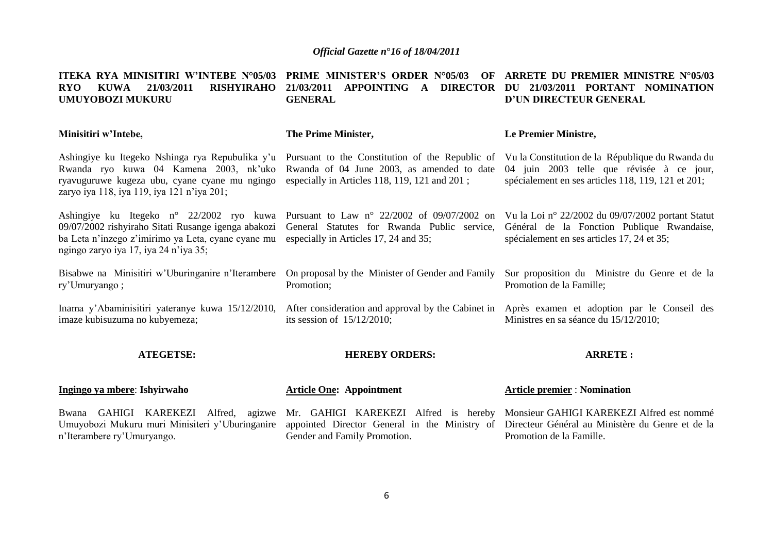| ITEKA RYA MINISITIRI W'INTEBE N°05/03<br>21/03/2011<br><b>RISHYIRAHO</b><br><b>RYO</b><br><b>KUWA</b><br><b>UMUYOBOZI MUKURU</b>                                                                                                           | <b>PRIME MINISTER'S ORDER N°05/03</b><br>OF<br><b>APPOINTING</b><br>21/03/2011<br><b>DIRECTOR</b><br>$\mathbf{A}$<br><b>GENERAL</b>                                                             | ARRETE DU PREMIER MINISTRE N°05/03<br>21/03/2011 PORTANT NOMINATION<br>DU<br>D'UN DIRECTEUR GENERAL                                           |
|--------------------------------------------------------------------------------------------------------------------------------------------------------------------------------------------------------------------------------------------|-------------------------------------------------------------------------------------------------------------------------------------------------------------------------------------------------|-----------------------------------------------------------------------------------------------------------------------------------------------|
| Minisitiri w'Intebe,                                                                                                                                                                                                                       | The Prime Minister,                                                                                                                                                                             | Le Premier Ministre,                                                                                                                          |
| Ashingiye ku Itegeko Nshinga rya Repubulika y'u<br>Rwanda ryo kuwa 04 Kamena 2003, nk'uko<br>ryavuguruwe kugeza ubu, cyane cyane mu ngingo<br>zaryo iya 118, iya 119, iya 121 n'iya 201;                                                   | Pursuant to the Constitution of the Republic of Vu la Constitution de la République du Rwanda du<br>Rwanda of 04 June 2003, as amended to date<br>especially in Articles 118, 119, 121 and 201; | 04 juin 2003 telle que révisée à ce jour,<br>spécialement en ses articles 118, 119, 121 et 201;                                               |
| Ashingiye ku Itegeko n° 22/2002 ryo kuwa Pursuant to Law n° 22/2002 of 09/07/2002 on<br>09/07/2002 rishyiraho Sitati Rusange igenga abakozi<br>ba Leta n'inzego z'imirimo ya Leta, cyane cyane mu<br>ngingo zaryo iya 17, iya 24 n'iya 35; | General Statutes for Rwanda Public service,<br>especially in Articles 17, 24 and 35;                                                                                                            | Vu la Loi nº 22/2002 du 09/07/2002 portant Statut<br>Général de la Fonction Publique Rwandaise,<br>spécialement en ses articles 17, 24 et 35; |
| Bisabwe na Minisitiri w'Uburinganire n'Iterambere<br>ry'Umuryango;                                                                                                                                                                         | On proposal by the Minister of Gender and Family<br>Promotion;                                                                                                                                  | Sur proposition du Ministre du Genre et de la<br>Promotion de la Famille;                                                                     |
| Inama y'Abaminisitiri yateranye kuwa 15/12/2010,<br>imaze kubisuzuma no kubyemeza;                                                                                                                                                         | After consideration and approval by the Cabinet in Après exament et adoption par le Conseil des<br>its session of $15/12/2010$ ;                                                                | Ministres en sa séance du 15/12/2010;                                                                                                         |
| <b>ATEGETSE:</b>                                                                                                                                                                                                                           | <b>HEREBY ORDERS:</b>                                                                                                                                                                           | <b>ARRETE:</b>                                                                                                                                |
| Ingingo ya mbere: Ishyirwaho                                                                                                                                                                                                               | <b>Article One: Appointment</b>                                                                                                                                                                 | <b>Article premier: Nomination</b>                                                                                                            |
| Bwana GAHIGI KAREKEZI<br>Alfred,<br>agizwe<br>Umuyobozi Mukuru muri Minisiteri y'Uburinganire<br>n'Iterambere ry'Umuryango.                                                                                                                | Mr. GAHIGI KAREKEZI Alfred is hereby<br>appointed Director General in the Ministry of<br>Gender and Family Promotion.                                                                           | Monsieur GAHIGI KAREKEZI Alfred est nommé<br>Directeur Général au Ministère du Genre et de la<br>Promotion de la Famille.                     |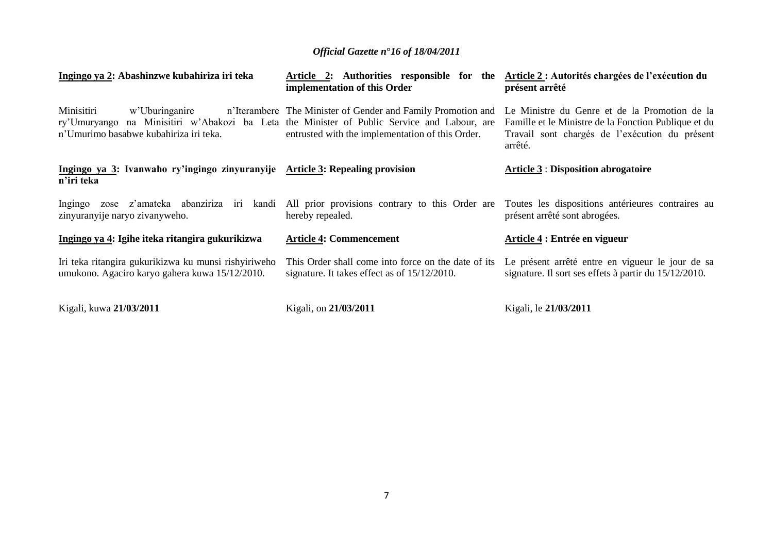| Ingingo ya 2: Abashinzwe kubahiriza iri teka                                                           | Article 2: Authorities responsible for the<br>implementation of this Order                                                                                                                         | Article 2 : Autorités chargées de l'exécution du<br>présent arrêté                                                                                                 |
|--------------------------------------------------------------------------------------------------------|----------------------------------------------------------------------------------------------------------------------------------------------------------------------------------------------------|--------------------------------------------------------------------------------------------------------------------------------------------------------------------|
| Minisitiri<br>w'Uburinganire<br>ry'Umuryango<br>n'Umurimo basabwe kubahiriza iri teka.                 | n'Iterambere The Minister of Gender and Family Promotion and<br>na Minisitiri w'Abakozi ba Leta the Minister of Public Service and Labour, are<br>entrusted with the implementation of this Order. | Le Ministre du Genre et de la Promotion de la<br>Famille et le Ministre de la Fonction Publique et du<br>Travail sont chargés de l'exécution du présent<br>arrêté. |
| Ingingo ya 3: Ivanwaho ry'ingingo zinyuranyije Article 3: Repealing provision<br>n'iri teka            |                                                                                                                                                                                                    | <b>Article 3: Disposition abrogatoire</b>                                                                                                                          |
| zose z'amateka abanziriza iri<br>kandi<br>Ingingo<br>zinyuranyije naryo zivanyweho.                    | All prior provisions contrary to this Order are<br>hereby repealed.                                                                                                                                | Toutes les dispositions antérieures contraires au<br>présent arrêté sont abrogées.                                                                                 |
| Ingingo ya 4: Igihe iteka ritangira gukurikizwa                                                        | <b>Article 4: Commencement</b>                                                                                                                                                                     | Article 4 : Entrée en vigueur                                                                                                                                      |
| Iri teka ritangira gukurikizwa ku munsi rishyiriweho<br>umukono. Agaciro karyo gahera kuwa 15/12/2010. | This Order shall come into force on the date of its<br>signature. It takes effect as of $15/12/2010$ .                                                                                             | Le présent arrêté entre en vigueur le jour de sa<br>signature. Il sort ses effets à partir du 15/12/2010.                                                          |
| Kigali, kuwa 21/03/2011                                                                                | Kigali, on 21/03/2011                                                                                                                                                                              | Kigali, le 21/03/2011                                                                                                                                              |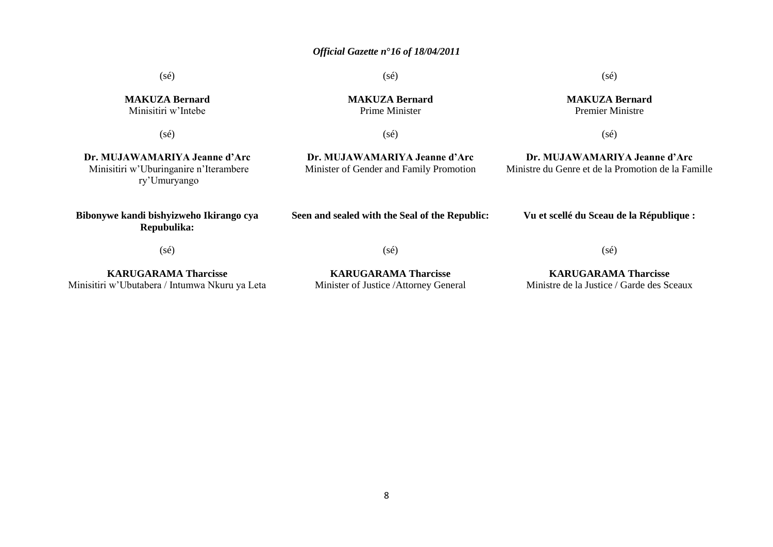(sé)

(sé)

**MAKUZA Bernard** Prime Minister

(sé)

**MAKUZA Bernard** Premier Ministre

(sé)

**Dr. MUJAWAMARIYA Jeanne d'Arc** Ministre du Genre et de la Promotion de la Famille

**MAKUZA Bernard** Minisitiri w"Intebe

(sé)

(sé)

**Dr. MUJAWAMARIYA Jeanne d'Arc** Minister of Gender and Family Promotion

**Dr. MUJAWAMARIYA Jeanne d'Arc** Minisitiri w"Uburinganire n"Iterambere ry"Umuryango

**Bibonywe kandi bishyizweho Ikirango cya Repubulika:**

**Seen and sealed with the Seal of the Republic:**

**Vu et scellé du Sceau de la République :**

(sé)

(sé)

**KARUGARAMA Tharcisse** Minisitiri w"Ubutabera / Intumwa Nkuru ya Leta

**KARUGARAMA Tharcisse** Minister of Justice /Attorney General

**KARUGARAMA Tharcisse** Ministre de la Justice / Garde des Sceaux

(sé)

8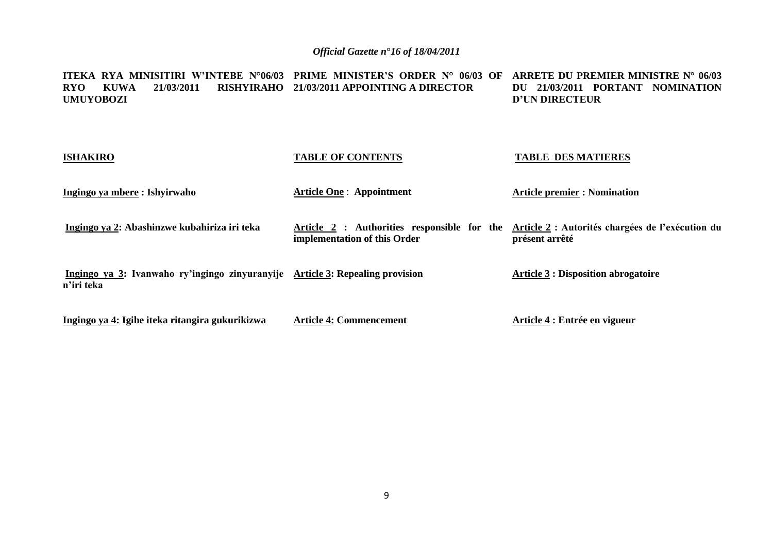**ITEKA RYA MINISITIRI W'INTEBE N°06/03 PRIME MINISTER'S ORDER N° 06/03 OF ARRETE DU PREMIER MINISTRE N° 06/03 RYO KUWA 21/03/2011 RISHYIRAHO 21/03/2011 APPOINTING A DIRECTOR UMUYOBOZI DU 21/03/2011 PORTANT NOMINATION D'UN DIRECTEUR**

| <b>ISHAKIRO</b>                                                                             | <b>TABLE OF CONTENTS</b>                                                    | <b>TABLE DES MATIERES</b>                                          |
|---------------------------------------------------------------------------------------------|-----------------------------------------------------------------------------|--------------------------------------------------------------------|
| Ingingo ya mbere : Ishyirwaho                                                               | <b>Article One: Appointment</b>                                             | <b>Article premier : Nomination</b>                                |
| Ingingo ya 2: Abashinzwe kubahiriza iri teka                                                | Article 2 : Authorities responsible for the<br>implementation of this Order | Article 2 : Autorités chargées de l'exécution du<br>présent arrêté |
| Ingingo ya 3: Ivanwaho ry'ingingo zinyuranyije Article 3: Repealing provision<br>n'iri teka |                                                                             | <b>Article 3 : Disposition abrogatoire</b>                         |
| Ingingo ya 4: Igihe iteka ritangira gukurikizwa                                             | <b>Article 4: Commencement</b>                                              | Article 4 : Entrée en vigueur                                      |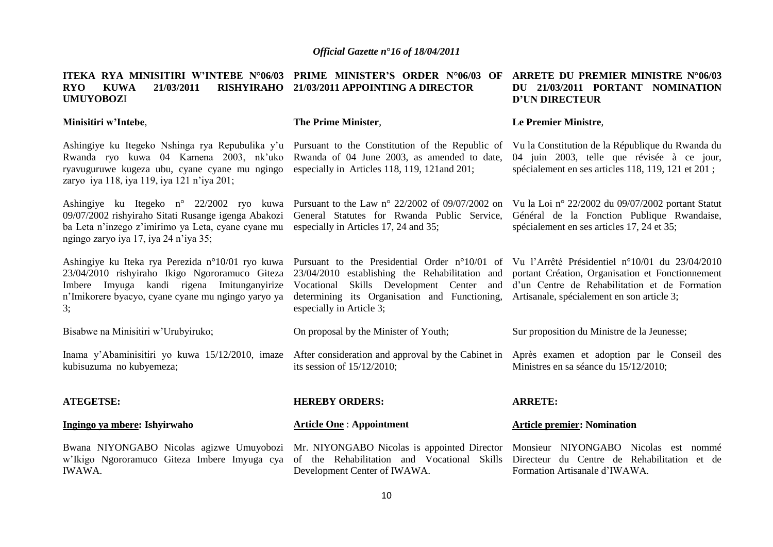#### **ITEKA RYA MINISITIRI W'INTEBE N°06/03 PRIME MINISTER'S ORDER N°06/03 OF ARRETE DU PREMIER MINISTRE N°06/03 RYO KUWA 21/03/2011 RISHYIRAHO 21/03/2011 APPOINTING A DIRECTOR UMUYOBOZ**I **DU 21/03/2011 PORTANT NOMINATION D'UN DIRECTEUR**

**Minisitiri w'Intebe**,

**The Prime Minister**,

Ashingiye ku Itegeko Nshinga rya Repubulika y"u Pursuant to the Constitution of the Republic of Rwanda ryo kuwa 04 Kamena 2003, nk"uko Rwanda of 04 June 2003, as amended to date, ryavuguruwe kugeza ubu, cyane cyane mu ngingo especially in Articles 118, 119, 121and 201; zaryo iya 118, iya 119, iya 121 n"iya 201;

Ashingiye ku Itegeko n° 22/2002 ryo kuwa Pursuant to the Law n° 22/2002 of 09/07/2002 on Vu la Loi n° 22/2002 du 09/07/2002 portant Statut 09/07/2002 rishyiraho Sitati Rusange igenga Abakozi General Statutes for Rwanda Public Service, ba Leta n'inzego z'imirimo ya Leta, cyane cyane mu especially in Articles 17, 24 and 35; ngingo zaryo iya 17, iya 24 n"iya 35;

Ashingiye ku Iteka rya Perezida n°10/01 ryo kuwa Pursuant to the Presidential Order n°10/01 of Vu l"Arrêté Présidentiel n°10/01 du 23/04/2010 23/04/2010 rishyiraho Ikigo Ngororamuco Giteza 23/04/2010 establishing the Rehabilitation and portant Création, Organisation et Fonctionnement Imbere Imyuga kandi rigena Imitunganyirize n"Imikorere byacyo, cyane cyane mu ngingo yaryo ya determining its Organisation and Functioning, Artisanale, spécialement en son article 3; 3;

Bisabwe na Minisitiri w"Urubyiruko;

Inama y'Abaminisitiri yo kuwa 15/12/2010, imaze After consideration and approval by the Cabinet in Après examen et adoption par le Conseil des kubisuzuma no kubyemeza;

Vocational Skills Development Center and d"un Centre de Rehabilitation et de Formation especially in Article 3;

Sur proposition du Ministre de la Jeunesse;

Ministres en sa séance du 15/12/2010;

#### **ATEGETSE: Ingingo ya mbere: Ishyirwaho**  Bwana NIYONGABO Nicolas agizwe Umuyobozi Mr. NIYONGABO Nicolas is appointed Director w"Ikigo Ngororamuco Giteza Imbere Imyuga cya of the Rehabilitation and Vocational Skills Directeur du Centre de Rehabilitation et de IWAWA. **HEREBY ORDERS: Article One** : **Appointment**  Development Center of IWAWA. **ARRETE: Article premier: Nomination**  Monsieur NIYONGABO Nicolas est nommé Formation Artisanale d"IWAWA.

On proposal by the Minister of Youth;

its session of 15/12/2010;

Général de la Fonction Publique Rwandaise,

Vu la Constitution de la République du Rwanda du 04 juin 2003, telle que révisée à ce jour, spécialement en ses articles 118, 119, 121 et 201 ;

spécialement en ses articles 17, 24 et 35;

#### **Le Premier Ministre**,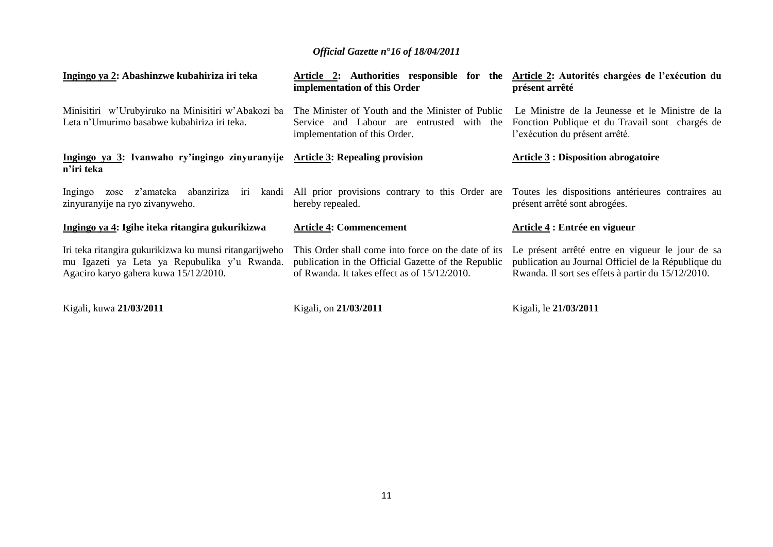| Ingingo ya 2: Abashinzwe kubahiriza iri teka                                                                                                    | Article 2: Authorities responsible for the<br>implementation of this Order                                                                                 | Article 2: Autorités chargées de l'exécution du<br>présent arrêté                                                                                             |
|-------------------------------------------------------------------------------------------------------------------------------------------------|------------------------------------------------------------------------------------------------------------------------------------------------------------|---------------------------------------------------------------------------------------------------------------------------------------------------------------|
| Minisitiri w'Urubyiruko na Minisitiri w'Abakozi ba<br>Leta n'Umurimo basabwe kubahiriza iri teka.                                               | The Minister of Youth and the Minister of Public<br>Service and Labour are entrusted with the<br>implementation of this Order.                             | Le Ministre de la Jeunesse et le Ministre de la<br>Fonction Publique et du Travail sont chargés de<br>l'exécution du présent arrêté.                          |
| Ingingo ya 3: Ivanwaho ry'ingingo zinyuranyije Article 3: Repealing provision<br>n'iri teka                                                     |                                                                                                                                                            | <b>Article 3 : Disposition abrogatoire</b>                                                                                                                    |
| Ingingo<br>zose<br>zinyuranyije na ryo zivanyweho.                                                                                              | z'amateka abanziriza iri kandi All prior provisions contrary to this Order are<br>hereby repealed.                                                         | Toutes les dispositions antérieures contraires au<br>présent arrêté sont abrogées.                                                                            |
| Ingingo ya 4: Igihe iteka ritangira gukurikizwa                                                                                                 | <b>Article 4: Commencement</b>                                                                                                                             | Article 4 : Entrée en vigueur                                                                                                                                 |
| Iri teka ritangira gukurikizwa ku munsi ritangarijweho<br>mu Igazeti ya Leta ya Repubulika y'u Rwanda.<br>Agaciro karyo gahera kuwa 15/12/2010. | This Order shall come into force on the date of its<br>publication in the Official Gazette of the Republic<br>of Rwanda. It takes effect as of 15/12/2010. | Le présent arrêté entre en vigueur le jour de sa<br>publication au Journal Officiel de la République du<br>Rwanda. Il sort ses effets à partir du 15/12/2010. |
| Kigali, kuwa 21/03/2011                                                                                                                         | Kigali, on 21/03/2011                                                                                                                                      | Kigali, le 21/03/2011                                                                                                                                         |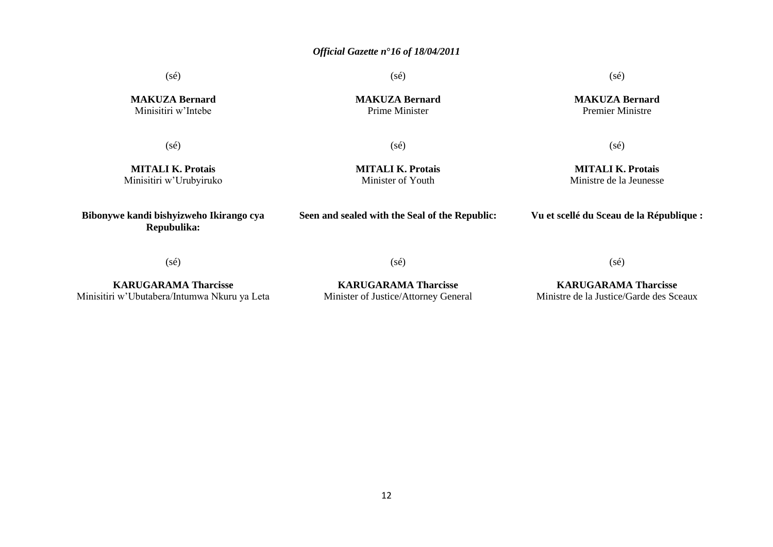(sé)

(sé)

**MAKUZA Bernard** Prime Minister

(sé)

**MAKUZA Bernard** Premier Ministre

**MAKUZA Bernard** Minisitiri w"Intebe

 $(sé)$ 

(sé)

**MITALI K. Protais** Minisitiri w"Urubyiruko **MITALI K. Protais** Minister of Youth

(sé)

**MITALI K. Protais** Ministre de la Jeunesse

**Bibonywe kandi bishyizweho Ikirango cya** 

**Seen and sealed with the Seal of the Republic:**

**Vu et scellé du Sceau de la République :**

(sé)

**Repubulika:**

**KARUGARAMA Tharcisse** Minisitiri w"Ubutabera/Intumwa Nkuru ya Leta (sé)

**KARUGARAMA Tharcisse** Minister of Justice/Attorney General

**KARUGARAMA Tharcisse** Ministre de la Justice/Garde des Sceaux

(sé)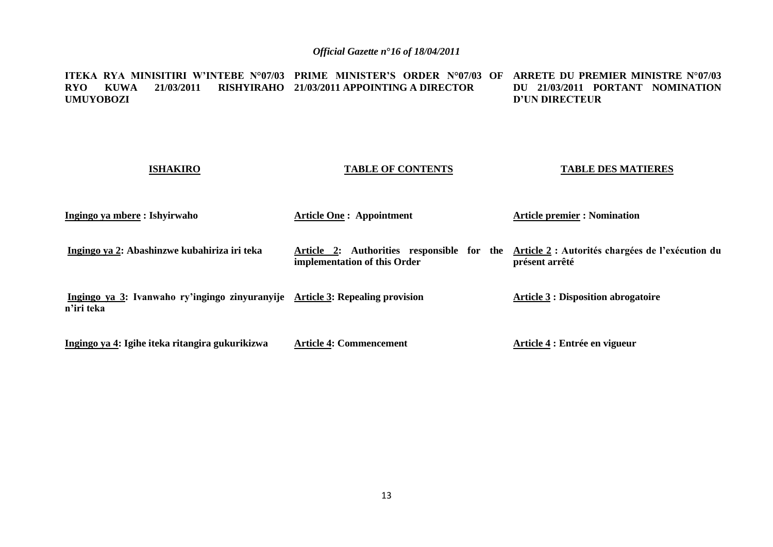#### **ITEKA RYA MINISITIRI W'INTEBE N°07/03 PRIME MINISTER'S ORDER N°07/03 OF ARRETE DU PREMIER MINISTRE N°07/03 RYO KUWA 21/03/2011 RISHYIRAHO 21/03/2011 APPOINTING A DIRECTOR UMUYOBOZI DU 21/03/2011 PORTANT NOMINATION D'UN DIRECTEUR**

#### **ISHAKIRO**

#### **TABLE OF CONTENTS**

#### **TABLE DES MATIERES**

| Ingingo ya mbere : Ishyirwaho                                                               | <b>Article One: Appointment</b>                                            | <b>Article premier : Nomination</b>                                |
|---------------------------------------------------------------------------------------------|----------------------------------------------------------------------------|--------------------------------------------------------------------|
| Ingingo ya 2: Abashinzwe kubahiriza iri teka                                                | Article 2: Authorities responsible for the<br>implementation of this Order | Article 2 : Autorités chargées de l'exécution du<br>présent arrêté |
| Ingingo ya 3: Ivanwaho ry'ingingo zinyuranyije Article 3: Repealing provision<br>n'iri teka |                                                                            | <b>Article 3 : Disposition abrogatoire</b>                         |
| Ingingo ya 4: Igihe iteka ritangira gukurikizwa                                             | <b>Article 4: Commencement</b>                                             | Article 4 : Entrée en vigueur                                      |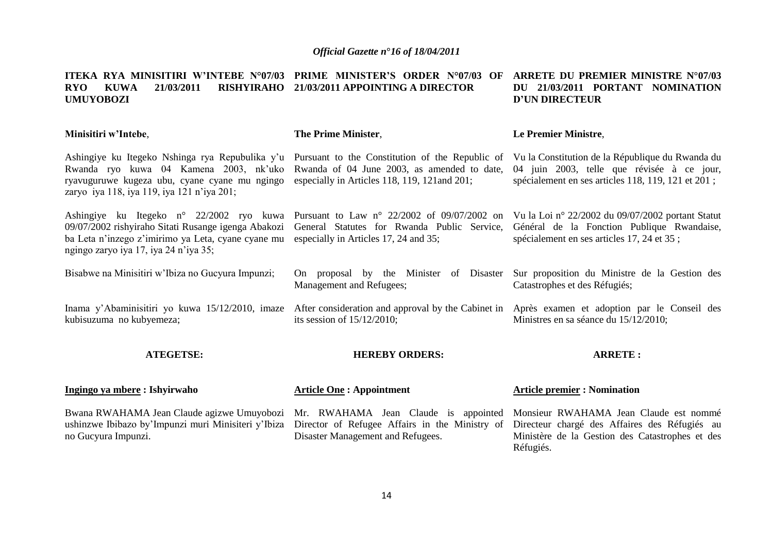#### **ITEKA RYA MINISITIRI W'INTEBE N°07/03 PRIME MINISTER'S ORDER N°07/03 OF ARRETE DU PREMIER MINISTRE N°07/03 RYO KUWA 21/03/2011 RISHYIRAHO 21/03/2011 APPOINTING A DIRECTOR UMUYOBOZI DU 21/03/2011 PORTANT NOMINATION D'UN DIRECTEUR**

| Minisitiri w'Intebe,                                                                                                                                                                                                                                                                                                                                                           | The Prime Minister,                                                                                                              | Le Premier Ministre,                                                                                                                                 |
|--------------------------------------------------------------------------------------------------------------------------------------------------------------------------------------------------------------------------------------------------------------------------------------------------------------------------------------------------------------------------------|----------------------------------------------------------------------------------------------------------------------------------|------------------------------------------------------------------------------------------------------------------------------------------------------|
| Ashingiye ku Itegeko Nshinga rya Repubulika y'u Pursuant to the Constitution of the Republic of<br>Rwanda ryo kuwa 04 Kamena 2003, nk'uko Rwanda of 04 June 2003, as amended to date,<br>ryavuguruwe kugeza ubu, cyane cyane mu ngingo especially in Articles 118, 119, 121 and 201;<br>zaryo iya 118, iya 119, iya 121 n'iya 201;                                             |                                                                                                                                  | Vu la Constitution de la République du Rwanda du<br>04 juin 2003, telle que révisée à ce jour,<br>spécialement en ses articles 118, 119, 121 et 201; |
| Ashingiye ku Itegeko n° 22/2002 ryo kuwa Pursuant to Law n° 22/2002 of 09/07/2002 on Vu la Loi n° 22/2002 du 09/07/2002 portant Statut<br>09/07/2002 rishyiraho Sitati Rusange igenga Abakozi General Statutes for Rwanda Public Service,<br>ba Leta n'inzego z'imirimo ya Leta, cyane cyane mu especially in Articles 17, 24 and 35;<br>ngingo zaryo iya 17, iya 24 n'iya 35; |                                                                                                                                  | Général de la Fonction Publique Rwandaise,<br>spécialement en ses articles 17, 24 et 35;                                                             |
| Bisabwe na Minisitiri w'Ibiza no Gueyura Impunzi;                                                                                                                                                                                                                                                                                                                              | On proposal by the Minister of Disaster Sur proposition du Ministre de la Gestion des<br>Management and Refugees;                | Catastrophes et des Réfugiés;                                                                                                                        |
| Inama y'Abaminisitiri yo kuwa 15/12/2010, imaze<br>kubisuzuma no kubyemeza;                                                                                                                                                                                                                                                                                                    | After consideration and approval by the Cabinet in Après exament et adoption par le Conseil des<br>its session of $15/12/2010$ ; | Ministres en sa séance du 15/12/2010;                                                                                                                |
| <b>ATEGETSE:</b>                                                                                                                                                                                                                                                                                                                                                               | <b>HEREBY ORDERS:</b>                                                                                                            | <b>ARRETE:</b>                                                                                                                                       |
| Ingingo ya mbere : Ishyirwaho                                                                                                                                                                                                                                                                                                                                                  | <b>Article One: Appointment</b>                                                                                                  | <b>Article premier : Nomination</b>                                                                                                                  |

ushinzwe Ibibazo by'Impunzi muri Minisiteri y'Ibiza Director of Refugee Affairs in the Ministry of Directeur chargé des Affaires des Réfugiés au no Gucyura Impunzi.

Disaster Management and Refugees.

Bwana RWAHAMA Jean Claude agizwe Umuyobozi Mr. RWAHAMA Jean Claude is appointed Monsieur RWAHAMA Jean Claude est nommé Ministère de la Gestion des Catastrophes et des Réfugiés.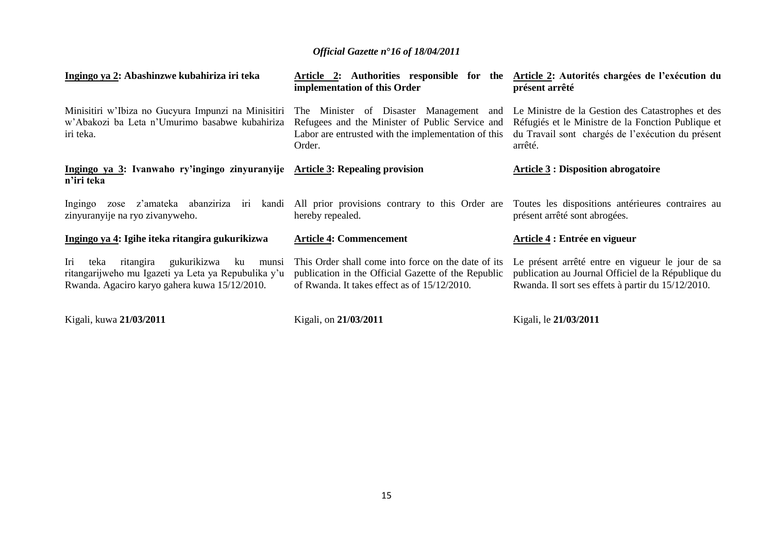| Ingingo ya 2: Abashinzwe kubahiriza iri teka                                                                                                                   | Article 2: Authorities responsible for the<br>implementation of this Order                                                                                     | Article 2: Autorités chargées de l'exécution du<br>présent arrêté                                                                                                       |
|----------------------------------------------------------------------------------------------------------------------------------------------------------------|----------------------------------------------------------------------------------------------------------------------------------------------------------------|-------------------------------------------------------------------------------------------------------------------------------------------------------------------------|
| Minisitiri w'Ibiza no Gueyura Impunzi na Minisitiri<br>w'Abakozi ba Leta n'Umurimo basabwe kubahiriza<br>iri teka.                                             | The Minister of Disaster Management<br>and<br>Refugees and the Minister of Public Service and<br>Labor are entrusted with the implementation of this<br>Order. | Le Ministre de la Gestion des Catastrophes et des<br>Réfugiés et le Ministre de la Fonction Publique et<br>du Travail sont chargés de l'exécution du présent<br>arrêté. |
| Ingingo ya 3: Ivanwaho ry'ingingo zinyuranyije Article 3: Repealing provision<br>n'iri teka                                                                    |                                                                                                                                                                | <b>Article 3 : Disposition abrogatoire</b>                                                                                                                              |
| z'amateka abanziriza<br>kandi<br>iri<br>Ingingo<br>zose<br>zinyuranyije na ryo zivanyweho.                                                                     | All prior provisions contrary to this Order are<br>hereby repealed.                                                                                            | Toutes les dispositions antérieures contraires au<br>présent arrêté sont abrogées.                                                                                      |
| Ingingo ya 4: Igihe iteka ritangira gukurikizwa                                                                                                                | <b>Article 4: Commencement</b>                                                                                                                                 | Article 4 : Entrée en vigueur                                                                                                                                           |
| Iri<br>gukurikizwa<br>teka<br>ritangira<br>ku<br>munsi<br>ritangarijweho mu Igazeti ya Leta ya Repubulika y'u<br>Rwanda. Agaciro karyo gahera kuwa 15/12/2010. | This Order shall come into force on the date of its<br>publication in the Official Gazette of the Republic<br>of Rwanda. It takes effect as of 15/12/2010.     | Le présent arrêté entre en vigueur le jour de sa<br>publication au Journal Officiel de la République du<br>Rwanda. Il sort ses effets à partir du 15/12/2010.           |
| Kigali, kuwa 21/03/2011                                                                                                                                        | Kigali, on 21/03/2011                                                                                                                                          | Kigali, le 21/03/2011                                                                                                                                                   |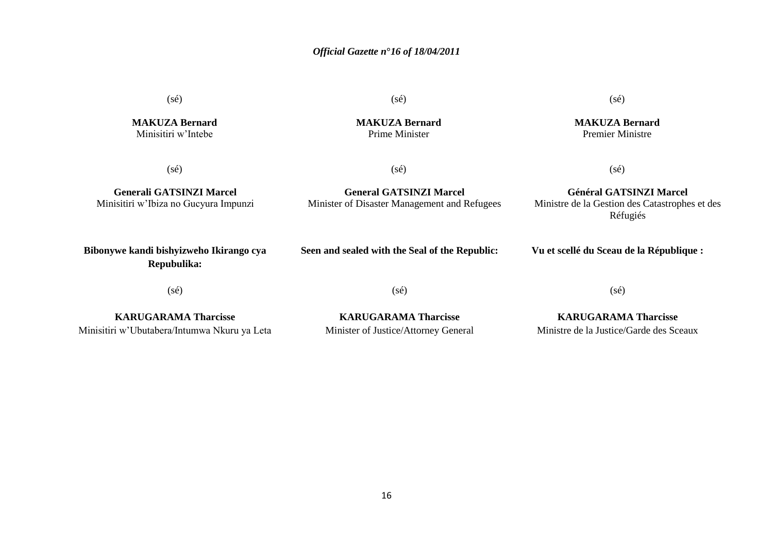(sé)

(sé)

**MAKUZA Bernard** Minisitiri w"Intebe

(sé)

**Generali GATSINZI Marcel** Minisitiri w"Ibiza no Gucyura Impunzi **MAKUZA Bernard** Prime Minister

(sé)

**Général GATSINZI Marcel** Ministre de la Gestion des Catastrophes et des Réfugiés

**Bibonywe kandi bishyizweho Ikirango cya Repubulika:**

**Seen and sealed with the Seal of the Republic:**

**General GATSINZI Marcel**  Minister of Disaster Management and Refugees

**Vu et scellé du Sceau de la République :**

(sé)

(sé)

(sé)

**KARUGARAMA Tharcisse** Minisitiri w"Ubutabera/Intumwa Nkuru ya Leta

**KARUGARAMA Tharcisse** Minister of Justice/Attorney General

**KARUGARAMA Tharcisse** Ministre de la Justice/Garde des Sceaux

(sé)

**MAKUZA Bernard** Premier Ministre

(sé)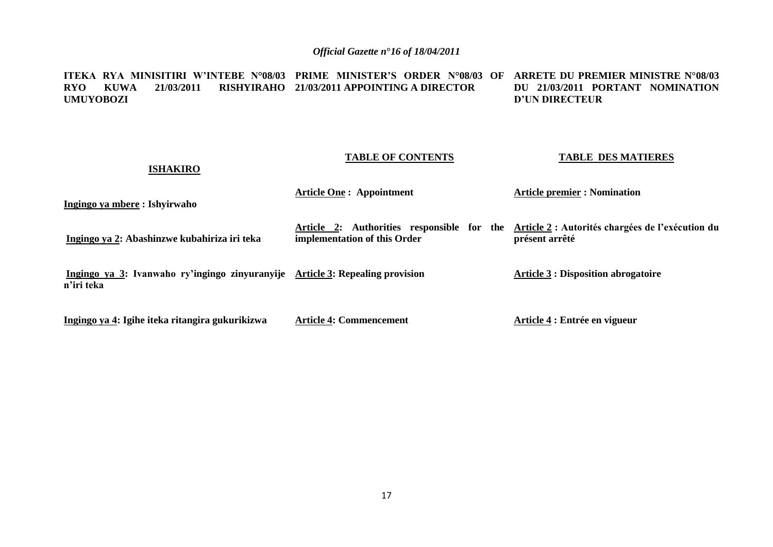**ITEKA RYA MINISITIRI W'INTEBE N°08/03 PRIME MINISTER'S ORDER N°08/03 OF ARRETE DU PREMIER MINISTRE N°08/03 RYO KUWA 21/03/2011 RISHYIRAHO 21/03/2011 APPOINTING A DIRECTOR UMUYOBOZI DU 21/03/2011 PORTANT NOMINATION D'UN DIRECTEUR** 

#### **TABLE OF CONTENTS**

#### **TABLE DES MATIERES**

| Ingingo ya mbere : Ishyirwaho                                                               | <b>Article One: Appointment</b>                                                                                             | <b>Article premier : Nomination</b>        |
|---------------------------------------------------------------------------------------------|-----------------------------------------------------------------------------------------------------------------------------|--------------------------------------------|
| Ingingo ya 2: Abashinzwe kubahiriza iri teka                                                | Article 2: Authorities responsible for the Article 2 : Autorités chargées de l'exécution du<br>implementation of this Order | présent arrêté                             |
| Ingingo ya 3: Ivanwaho ry'ingingo zinyuranyije Article 3: Repealing provision<br>n'iri teka |                                                                                                                             | <b>Article 3 : Disposition abrogatoire</b> |
| Ingingo ya 4: Igihe iteka ritangira gukurikizwa                                             | <b>Article 4: Commencement</b>                                                                                              | Article 4 : Entrée en vigueur              |

**ISHAKIRO**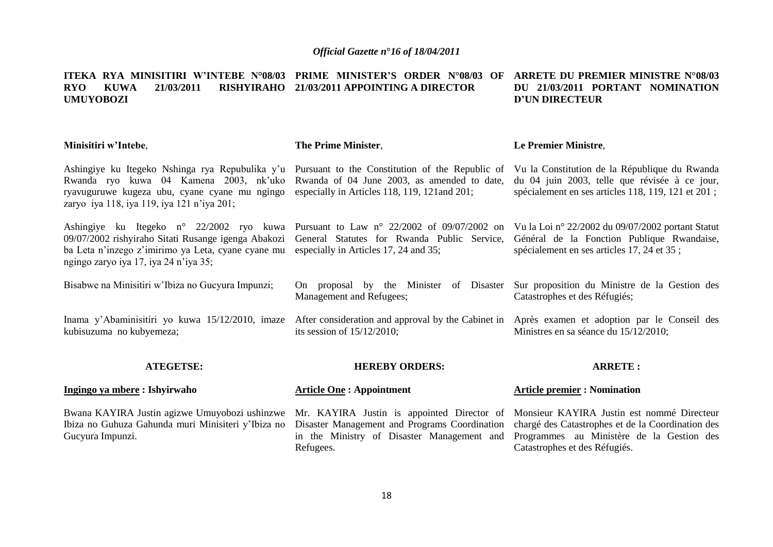#### **ITEKA RYA MINISITIRI W'INTEBE N°08/03 PRIME MINISTER'S ORDER N°08/03 OF ARRETE DU PREMIER MINISTRE N°08/03 RYO KUWA 21/03/2011 RISHYIRAHO 21/03/2011 APPOINTING A DIRECTOR UMUYOBOZI DU 21/03/2011 PORTANT NOMINATION D'UN DIRECTEUR**

| Minisitiri w'Intebe,                                                                                                                                                                                                                                                                                                         | The Prime Minister,                                                                                                                                    | Le Premier Ministre,                                                                                                                                                          |
|------------------------------------------------------------------------------------------------------------------------------------------------------------------------------------------------------------------------------------------------------------------------------------------------------------------------------|--------------------------------------------------------------------------------------------------------------------------------------------------------|-------------------------------------------------------------------------------------------------------------------------------------------------------------------------------|
| Ashingiye ku Itegeko Nshinga rya Repubulika y'u Pursuant to the Constitution of the Republic of<br>Rwanda ryo kuwa 04 Kamena 2003, nk'uko Rwanda of 04 June 2003, as amended to date,<br>ryavuguruwe kugeza ubu, cyane cyane mu ngingo<br>zaryo iya 118, iya 119, iya 121 n'iya 201;                                         | especially in Articles 118, 119, 121 and 201;                                                                                                          | Vu la Constitution de la République du Rwanda<br>du 04 juin 2003, telle que révisée à ce jour,<br>spécialement en ses articles 118, 119, 121 et 201;                          |
| Ashingiye ku Itegeko n° 22/2002 ryo kuwa Pursuant to Law n° 22/2002 of 09/07/2002 on<br>09/07/2002 rishyiraho Sitati Rusange igenga Abakozi General Statutes for Rwanda Public Service,<br>ba Leta n'inzego z'imirimo ya Leta, cyane cyane mu especially in Articles 17, 24 and 35;<br>ngingo zaryo iya 17, iya 24 n'iya 35; |                                                                                                                                                        | Vu la Loi nº 22/2002 du 09/07/2002 portant Statut<br>Général de la Fonction Publique Rwandaise,<br>spécialement en ses articles 17, 24 et 35;                                 |
| Bisabwe na Minisitiri w'Ibiza no Gueyura Impunzi;                                                                                                                                                                                                                                                                            | On proposal by the Minister of Disaster<br>Management and Refugees;                                                                                    | Sur proposition du Ministre de la Gestion des<br>Catastrophes et des Réfugiés;                                                                                                |
| Inama y'Abaminisitiri yo kuwa 15/12/2010, imaze<br>kubisuzuma no kubyemeza;                                                                                                                                                                                                                                                  | After consideration and approval by the Cabinet in Après examen et adoption par le Conseil des<br>its session of $15/12/2010$ ;                        | Ministres en sa séance du 15/12/2010;                                                                                                                                         |
| <b>ATEGETSE:</b>                                                                                                                                                                                                                                                                                                             | <b>HEREBY ORDERS:</b>                                                                                                                                  | <b>ARRETE:</b>                                                                                                                                                                |
| Ingingo ya mbere : Ishyirwaho                                                                                                                                                                                                                                                                                                | <b>Article One: Appointment</b>                                                                                                                        | <b>Article premier: Nomination</b>                                                                                                                                            |
| Bwana KAYIRA Justin agizwe Umuyobozi ushinzwe<br>Ibiza no Guhuza Gahunda muri Minisiteri y'Ibiza no<br>Gucyura Impunzi.                                                                                                                                                                                                      | Mr. KAYIRA Justin is appointed Director of<br>Disaster Management and Programs Coordination<br>in the Ministry of Disaster Management and<br>Refugees. | Monsieur KAYIRA Justin est nommé Directeur<br>chargé des Catastrophes et de la Coordination des<br>Programmes au Ministère de la Gestion des<br>Catastrophes et des Réfugiés. |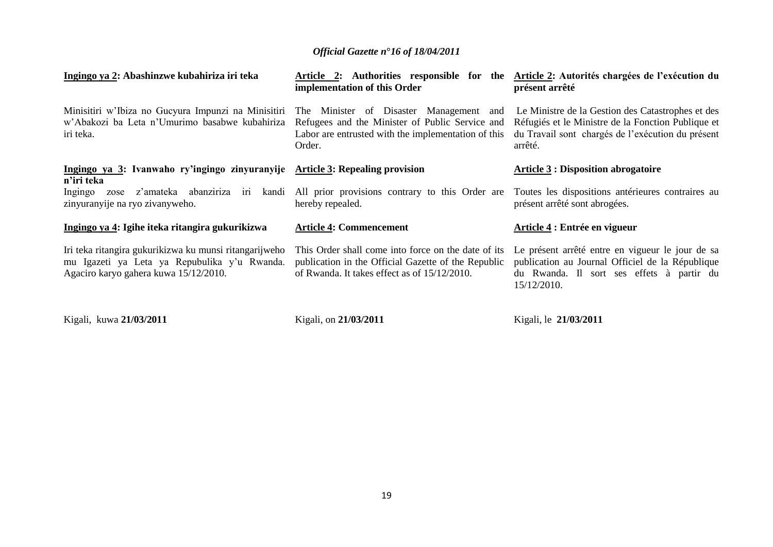| Ingingo ya 2: Abashinzwe kubahiriza iri teka                                                                                                                                                                                                                                                                                       | Article 2: Authorities responsible for the<br>implementation of this Order                                                                                                                                                                                                                                                         | Article 2: Autorités chargées de l'exécution du<br>présent arrêté                                                                                                       |
|------------------------------------------------------------------------------------------------------------------------------------------------------------------------------------------------------------------------------------------------------------------------------------------------------------------------------------|------------------------------------------------------------------------------------------------------------------------------------------------------------------------------------------------------------------------------------------------------------------------------------------------------------------------------------|-------------------------------------------------------------------------------------------------------------------------------------------------------------------------|
| Minisitiri w'Ibiza no Gueyura Impunzi na Minisitiri The Minister of Disaster Management and<br>w'Abakozi ba Leta n'Umurimo basabwe kubahiriza<br>iri teka.                                                                                                                                                                         | Refugees and the Minister of Public Service and<br>Labor are entrusted with the implementation of this<br>Order.                                                                                                                                                                                                                   | Le Ministre de la Gestion des Catastrophes et des<br>Réfugiés et le Ministre de la Fonction Publique et<br>du Travail sont chargés de l'exécution du présent<br>arrêté. |
| Ingingo ya 3: Ivanwaho ry'ingingo zinyuranyije Article 3: Repealing provision<br>n'iri teka                                                                                                                                                                                                                                        |                                                                                                                                                                                                                                                                                                                                    | <b>Article 3 : Disposition abrogatoire</b>                                                                                                                              |
| Ingingo<br>zose<br>zinyuranyije na ryo zivanyweho.                                                                                                                                                                                                                                                                                 | z'amateka abanziriza iri kandi All prior provisions contrary to this Order are<br>hereby repealed.                                                                                                                                                                                                                                 | Toutes les dispositions antérieures contraires au<br>présent arrêté sont abrogées.                                                                                      |
| Ingingo ya 4: Igihe iteka ritangira gukurikizwa                                                                                                                                                                                                                                                                                    | <b>Article 4: Commencement</b>                                                                                                                                                                                                                                                                                                     | Article 4 : Entrée en vigueur                                                                                                                                           |
| Iri teka ritangira gukurikizwa ku munsi ritangarijweho<br>mu Igazeti ya Leta ya Repubulika y'u Rwanda.<br>Agaciro karyo gahera kuwa 15/12/2010.                                                                                                                                                                                    | This Order shall come into force on the date of its<br>publication in the Official Gazette of the Republic<br>of Rwanda. It takes effect as of 15/12/2010.                                                                                                                                                                         | Le présent arrêté entre en vigueur le jour de sa<br>publication au Journal Officiel de la République<br>du Rwanda. Il sort ses effets à partir du<br>15/12/2010.        |
| $\mathbf{v}$ $\mathbf{v}$ $\mathbf{v}$ $\mathbf{v}$ $\mathbf{v}$ $\mathbf{v}$ $\mathbf{v}$ $\mathbf{v}$ $\mathbf{v}$ $\mathbf{v}$ $\mathbf{v}$ $\mathbf{v}$ $\mathbf{v}$ $\mathbf{v}$ $\mathbf{v}$ $\mathbf{v}$ $\mathbf{v}$ $\mathbf{v}$ $\mathbf{v}$ $\mathbf{v}$ $\mathbf{v}$ $\mathbf{v}$ $\mathbf{v}$ $\mathbf{v}$ $\mathbf{$ | $\mathbf{v}$ $\mathbf{v}$ $\mathbf{v}$ $\mathbf{v}$ $\mathbf{v}$ $\mathbf{v}$ $\mathbf{v}$ $\mathbf{v}$ $\mathbf{v}$ $\mathbf{v}$ $\mathbf{v}$ $\mathbf{v}$ $\mathbf{v}$ $\mathbf{v}$ $\mathbf{v}$ $\mathbf{v}$ $\mathbf{v}$ $\mathbf{v}$ $\mathbf{v}$ $\mathbf{v}$ $\mathbf{v}$ $\mathbf{v}$ $\mathbf{v}$ $\mathbf{v}$ $\mathbf{$ |                                                                                                                                                                         |

Kigali, kuwa **21/03/2011**

Kigali, on **21/03/2011**

Kigali, le **21/03/2011**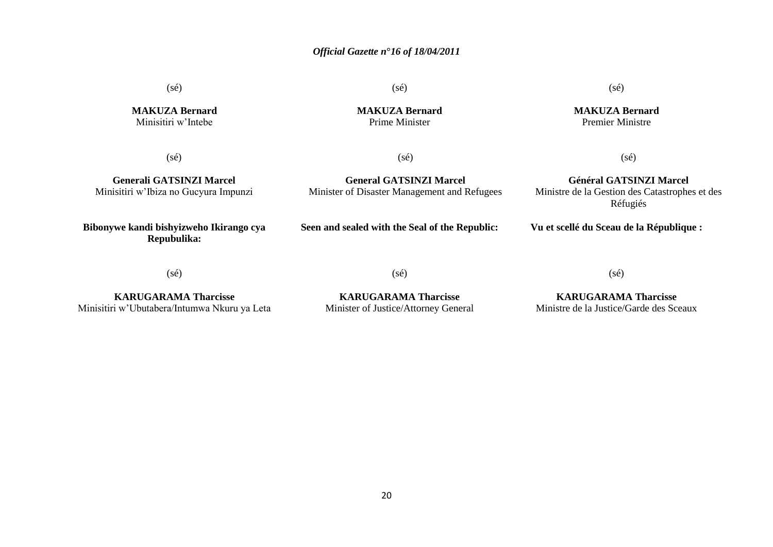(sé)

**MAKUZA Bernard** Minisitiri w"Intebe

**MAKUZA Bernard** Prime Minister

 $(s\acute{e})$ 

(sé)

(sé)

**Generali GATSINZI Marcel** Minisitiri w"Ibiza no Gucyura Impunzi

**General GATSINZI Marcel**  Minister of Disaster Management and Refugees

**Général GATSINZI Marcel** Ministre de la Gestion des Catastrophes et des Réfugiés

(sé)

**Bibonywe kandi bishyizweho Ikirango cya Repubulika:**

**Seen and sealed with the Seal of the Republic:**

**Vu et scellé du Sceau de la République :**

(sé)

(sé)

**KARUGARAMA Tharcisse** Minisitiri w"Ubutabera/Intumwa Nkuru ya Leta

**KARUGARAMA Tharcisse** Minister of Justice/Attorney General (sé)

**KARUGARAMA Tharcisse** Ministre de la Justice/Garde des Sceaux

(sé)

**MAKUZA Bernard**

Premier Ministre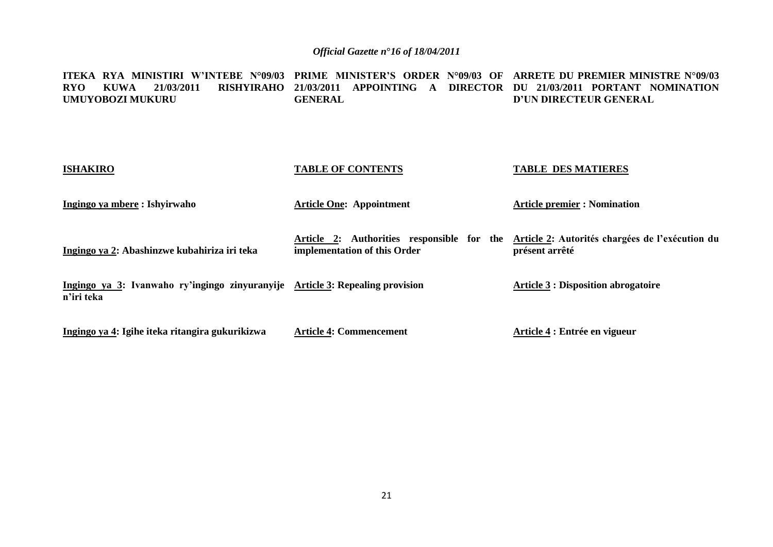**ITEKA RYA MINISTIRI W'INTEBE N°09/03 PRIME MINISTER'S ORDER N°09/03 OF ARRETE DU PREMIER MINISTRE N°09/03 RYO KUWA 21/03/2011 RISHYIRAHO 21/03/2011 APPOINTING A DIRECTOR DU 21/03/2011 PORTANT NOMINATION UMUYOBOZI MUKURU GENERAL D'UN DIRECTEUR GENERAL** 

| <b>ISHAKIRO</b>                                                                             | <b>TABLE OF CONTENTS</b>                                                                                                   | <b>TABLE DES MATIERES</b>                  |
|---------------------------------------------------------------------------------------------|----------------------------------------------------------------------------------------------------------------------------|--------------------------------------------|
| Ingingo ya mbere : Ishyirwaho                                                               | <b>Article One: Appointment</b>                                                                                            | <b>Article premier : Nomination</b>        |
| Ingingo ya 2: Abashinzwe kubahiriza iri teka                                                | Article 2: Authorities responsible for the Article 2: Autorités chargées de l'exécution du<br>implementation of this Order | présent arrêté                             |
| Ingingo ya 3: Ivanwaho ry'ingingo zinyuranyije Article 3: Repealing provision<br>n'iri teka |                                                                                                                            | <b>Article 3 : Disposition abrogatoire</b> |
| Ingingo ya 4: Igihe iteka ritangira gukurikizwa                                             | <b>Article 4: Commencement</b>                                                                                             | Article 4 : Entrée en vigueur              |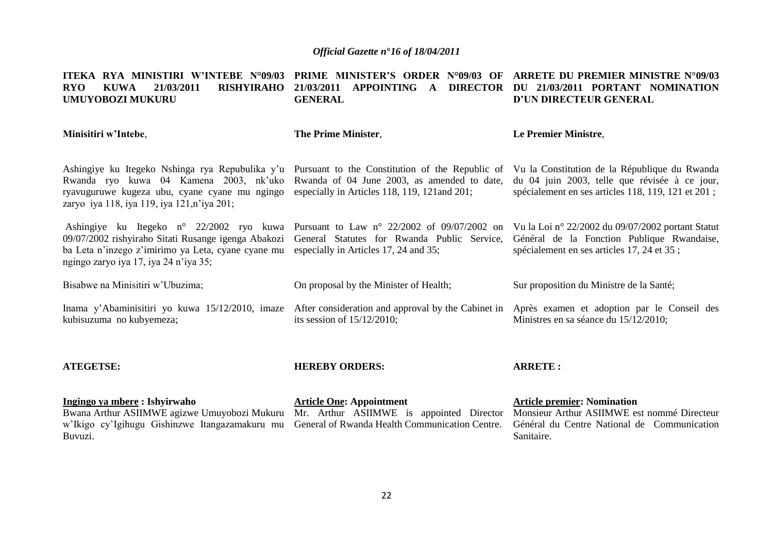**ITEKA RYA MINISTIRI W'INTEBE N°09/03 PRIME MINISTER'S ORDER N°09/03 OF ARRETE DU PREMIER MINISTRE N°09/03 RYO KUWA 21/03/2011 RISHYIRAHO 21/03/2011 APPOINTING A DIRECTOR DU 21/03/2011 PORTANT NOMINATION UMUYOBOZI MUKURU Minisitiri w'Intebe**, Ashingiye ku Itegeko Nshinga rya Repubulika y'u Pursuant to the Constitution of the Republic of Vu la Constitution de la République du Rwanda Rwanda ryo kuwa 04 Kamena 2003, nk"uko Rwanda of 04 June 2003, as amended to date, ryavuguruwe kugeza ubu, cyane cyane mu ngingo especially in Articles 118, 119, 121and 201; zaryo iya 118, iya 119, iya 121,n"iya 201; Ashingiye ku Itegeko n° 22/2002 ryo kuwa Pursuant to Law n° 22/2002 of 09/07/2002 on Vu la Loi n° 22/2002 du 09/07/2002 portant Statut 09/07/2002 rishyiraho Sitati Rusange igenga Abakozi General Statutes for Rwanda Public Service, ba Leta n'inzego z'imirimo ya Leta, cyane cyane mu especially in Articles 17, 24 and 35; ngingo zaryo iya 17, iya 24 n"iya 35; Bisabwe na Minisitiri w"Ubuzima; Inama y"Abaminisitiri yo kuwa 15/12/2010, imaze After consideration and approval by the Cabinet in kubisuzuma no kubyemeza; **ATEGETSE: Ingingo ya mbere : Ishyirwaho**  Bwana Arthur ASIIMWE agizwe Umuyobozi Mukuru Mr. Arthur ASIIMWE is appointed Director Monsieur Arthur ASIIMWE est nommé Directeur **GENERAL The Prime Minister**, On proposal by the Minister of Health; its session of 15/12/2010; **HEREBY ORDERS: Article One: Appointment D'UN DIRECTEUR GENERAL Le Premier Ministre**, du 04 juin 2003, telle que révisée à ce jour, spécialement en ses articles 118, 119, 121 et 201 ; Général de la Fonction Publique Rwandaise, spécialement en ses articles 17, 24 et 35 ; Sur proposition du Ministre de la Santé; Après examen et adoption par le Conseil des Ministres en sa séance du 15/12/2010; **ARRETE : Article premier: Nomination** 

w"Ikigo cy"Igihugu Gishinzwe Itangazamakuru mu General of Rwanda Health Communication Centre. Buvuzi.

Général du Centre National de Communication Sanitaire.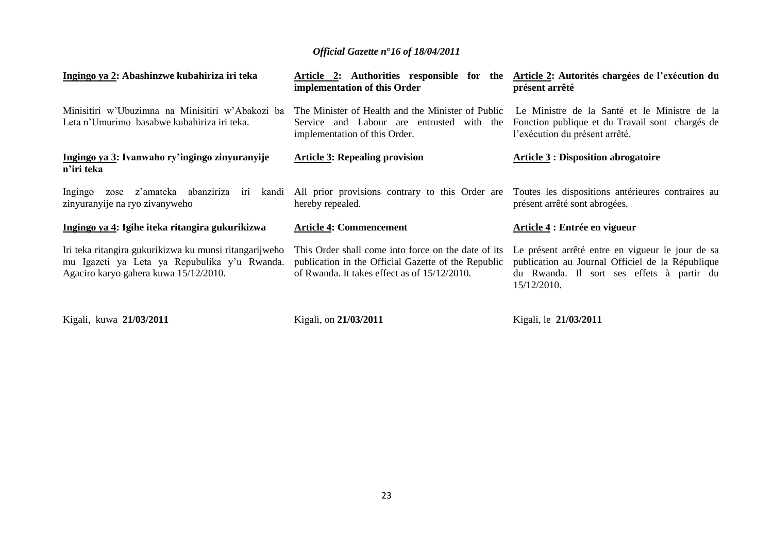| Ingingo ya 2: Abashinzwe kubahiriza iri teka                                                                                                    | Article 2: Authorities responsible for the<br>implementation of this Order                                                                                 | Article 2: Autorités chargées de l'exécution du<br>présent arrêté                                                                                                |
|-------------------------------------------------------------------------------------------------------------------------------------------------|------------------------------------------------------------------------------------------------------------------------------------------------------------|------------------------------------------------------------------------------------------------------------------------------------------------------------------|
| Minisitiri w'Ubuzimna na Minisitiri w'Abakozi ba<br>Leta n'Umurimo basabwe kubahiriza iri teka.                                                 | The Minister of Health and the Minister of Public<br>Service and Labour are entrusted with the<br>implementation of this Order.                            | Le Ministre de la Santé et le Ministre de la<br>Fonction publique et du Travail sont chargés de<br>l'exécution du présent arrêté.                                |
| Ingingo ya 3: Ivanwaho ry'ingingo zinyuranyije<br>n'iri teka                                                                                    | <b>Article 3: Repealing provision</b>                                                                                                                      | <b>Article 3 : Disposition abrogatoire</b>                                                                                                                       |
| z'amateka abanziriza iri<br>Ingingo<br>kandi<br>zose<br>zinyuranyije na ryo zivanyweho                                                          | All prior provisions contrary to this Order are<br>hereby repealed.                                                                                        | Toutes les dispositions antérieures contraires au<br>présent arrêté sont abrogées.                                                                               |
| Ingingo ya 4: Igihe iteka ritangira gukurikizwa                                                                                                 | <b>Article 4: Commencement</b>                                                                                                                             | Article 4 : Entrée en vigueur                                                                                                                                    |
| Iri teka ritangira gukurikizwa ku munsi ritangarijweho<br>mu Igazeti ya Leta ya Repubulika y'u Rwanda.<br>Agaciro karyo gahera kuwa 15/12/2010. | This Order shall come into force on the date of its<br>publication in the Official Gazette of the Republic<br>of Rwanda. It takes effect as of 15/12/2010. | Le présent arrêté entre en vigueur le jour de sa<br>publication au Journal Officiel de la République<br>du Rwanda. Il sort ses effets à partir du<br>15/12/2010. |

Kigali, kuwa **21/03/2011**

Kigali, on **21/03/2011**

Kigali, le **21/03/2011**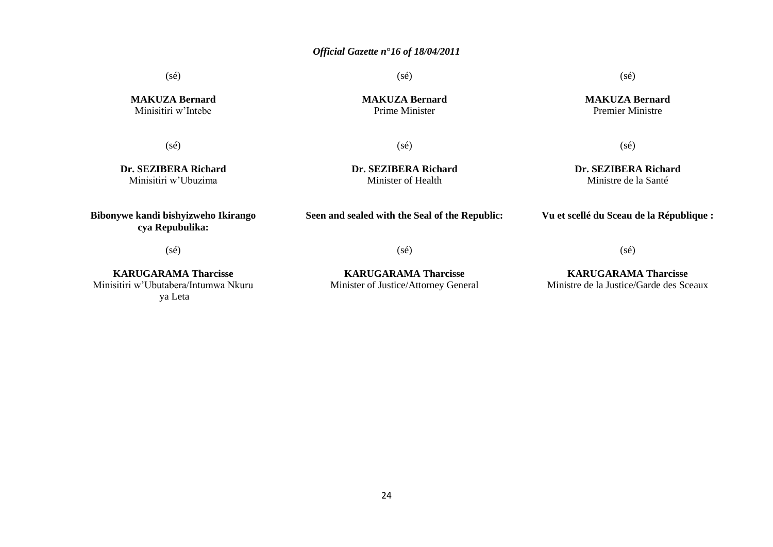(sé)

**MAKUZA Bernard** Prime Minister

(sé)

**Dr. SEZIBERA Richard** Minister of Health

(sé)

**MAKUZA Bernard** Minisitiri w"Intebe

 $(sé)$ 

**Dr. SEZIBERA Richard** Minisitiri w"Ubuzima

**Bibonywe kandi bishyizweho Ikirango cya Repubulika:**

**Seen and sealed with the Seal of the Republic:**

**Vu et scellé du Sceau de la République :**

(sé)

**KARUGARAMA Tharcisse** Minisitiri w"Ubutabera/Intumwa Nkuru ya Leta

**KARUGARAMA Tharcisse** Minister of Justice/Attorney General

(sé)

#### **KARUGARAMA Tharcisse** Ministre de la Justice/Garde des Sceaux

(sé)

(sé)

**MAKUZA Bernard** Premier Ministre

(sé)

**Dr. SEZIBERA Richard** Ministre de la Santé

24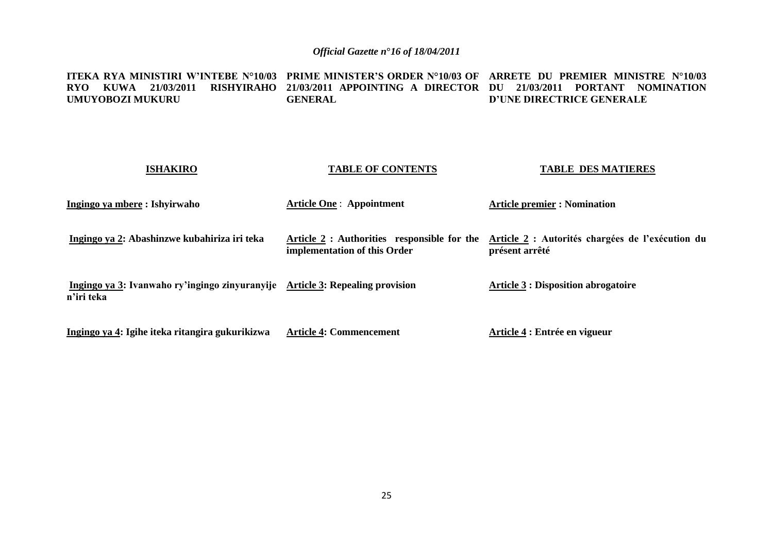**ITEKA RYA MINISTIRI W'INTEBE N°10/03 PRIME MINISTER'S ORDER N°10/03 OF ARRETE DU PREMIER MINISTRE N°10/03 RYO KUWA 21/03/2011 RISHYIRAHO 21/03/2011 APPOINTING A DIRECTOR DU 21/03/2011 PORTANT NOMINATION UMUYOBOZI MUKURU GENERAL D'UNE DIRECTRICE GENERALE** 

| <b>ISHAKIRO</b>                                                                             | <b>TABLE OF CONTENTS</b>                                                    | <b>TABLE DES MATIERES</b>                                          |
|---------------------------------------------------------------------------------------------|-----------------------------------------------------------------------------|--------------------------------------------------------------------|
| Ingingo ya mbere : Ishyirwaho                                                               | <b>Article One: Appointment</b>                                             | <b>Article premier : Nomination</b>                                |
| Ingingo ya 2: Abashinzwe kubahiriza iri teka                                                | Article 2 : Authorities responsible for the<br>implementation of this Order | Article 2 : Autorités chargées de l'exécution du<br>présent arrêté |
| Ingingo ya 3: Ivanwaho ry'ingingo zinyuranyije Article 3: Repealing provision<br>n'iri teka |                                                                             | <b>Article 3 : Disposition abrogatoire</b>                         |
| Ingingo ya 4: Igihe iteka ritangira gukurikizwa                                             | <b>Article 4: Commencement</b>                                              | Article 4 : Entrée en vigueur                                      |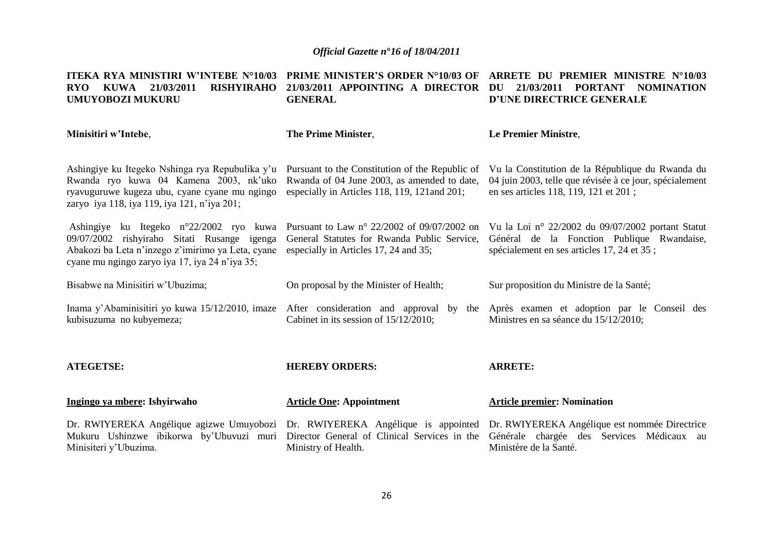**ITEKA RYA MINISTIRI W'INTEBE N°10/03 PRIME MINISTER'S ORDER N°10/03 OF ARRETE DU PREMIER MINISTRE N°10/03 RYO KUWA 21/03/2011 RISHYIRAHO 21/03/2011 APPOINTING A DIRECTOR DU 21/03/2011 PORTANT NOMINATION UMUYOBOZI MUKURU GENERAL D'UNE DIRECTRICE GENERALE** 

| Minisitiri w'Intebe,                                                                                                                                                                          | <b>The Prime Minister,</b>                                                                                                                      | Le Premier Ministre,                                                                                                                                 |
|-----------------------------------------------------------------------------------------------------------------------------------------------------------------------------------------------|-------------------------------------------------------------------------------------------------------------------------------------------------|------------------------------------------------------------------------------------------------------------------------------------------------------|
| Ashingiye ku Itegeko Nshinga rya Repubulika y'u<br>Rwanda ryo kuwa 04 Kamena 2003, nk'uko<br>ryavuguruwe kugeza ubu, cyane cyane mu ngingo<br>zaryo iya 118, iya 119, iya 121, n'iya 201;     | Pursuant to the Constitution of the Republic of<br>Rwanda of 04 June 2003, as amended to date,<br>especially in Articles 118, 119, 121 and 201; | Vu la Constitution de la République du Rwanda du<br>04 juin 2003, telle que révisée à ce jour, spécialement<br>en ses articles 118, 119, 121 et 201; |
| Ashingiye ku Itegeko n°22/2002 ryo kuwa<br>09/07/2002 rishyiraho Sitati Rusange igenga<br>Abakozi ba Leta n'inzego z'imirimo ya Leta, cyane<br>cyane mu ngingo zaryo iya 17, iya 24 n'iya 35; | Pursuant to Law n° 22/2002 of 09/07/2002 on<br>General Statutes for Rwanda Public Service,<br>especially in Articles 17, 24 and 35;             | Vu la Loi nº 22/2002 du 09/07/2002 portant Statut<br>Général de la Fonction Publique Rwandaise,<br>spécialement en ses articles 17, 24 et 35;        |
| Bisabwe na Minisitiri w'Ubuzima;                                                                                                                                                              | On proposal by the Minister of Health;                                                                                                          | Sur proposition du Ministre de la Santé;                                                                                                             |
| Inama y'Abaminisitiri yo kuwa 15/12/2010, imaze<br>kubisuzuma no kubyemeza;                                                                                                                   | After consideration and approval by the<br>Cabinet in its session of $15/12/2010$ ;                                                             | Après examen et adoption par le Conseil des<br>Ministres en sa séance du 15/12/2010;                                                                 |
| <b>ATEGETSE:</b>                                                                                                                                                                              | <b>HEREBY ORDERS:</b>                                                                                                                           | <b>ARRETE:</b>                                                                                                                                       |
| Ingingo ya mbere: Ishyirwaho                                                                                                                                                                  | <b>Article One: Appointment</b>                                                                                                                 | <b>Article premier: Nomination</b>                                                                                                                   |
| Dr. RWIYEREKA Angélique agizwe Umuyobozi<br>Mukuru Ushinzwe ibikorwa by'Ubuvuzi muri<br>Minisiteri y'Ubuzima.                                                                                 | Dr. RWIYEREKA Angélique is appointed<br>Director General of Clinical Services in the<br>Ministry of Health.                                     | Dr. RWIYEREKA Angélique est nommée Directrice<br>Générale chargée des Services Médicaux au<br>Ministère de la Santé.                                 |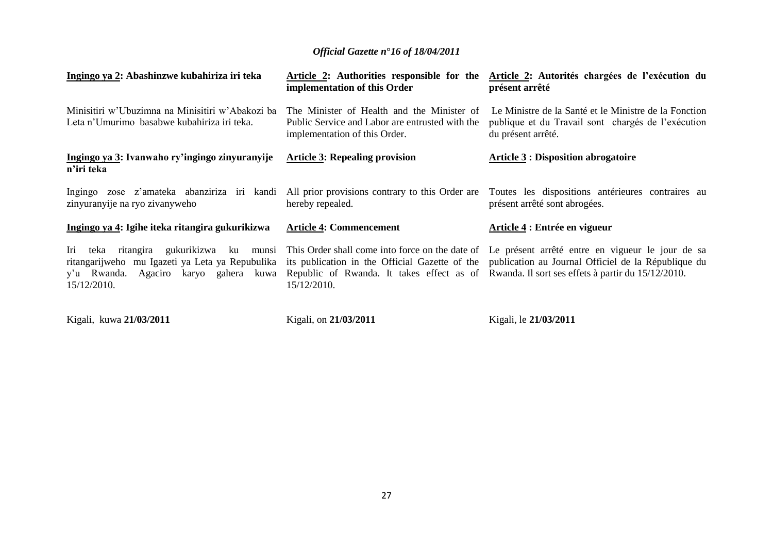| Ingingo ya 2: Abashinzwe kubahiriza iri teka                                                            | Article 2: Authorities responsible for the<br>implementation of this Order                                                     | Article 2: Autorités chargées de l'exécution du<br>présent arrêté                                                                                                                                                                                                                                                                              |
|---------------------------------------------------------------------------------------------------------|--------------------------------------------------------------------------------------------------------------------------------|------------------------------------------------------------------------------------------------------------------------------------------------------------------------------------------------------------------------------------------------------------------------------------------------------------------------------------------------|
| Minisitiri w'Ubuzimna na Minisitiri w'Abakozi ba<br>Leta n'Umurimo basabwe kubahiriza iri teka.         | The Minister of Health and the Minister of<br>Public Service and Labor are entrusted with the<br>implementation of this Order. | Le Ministre de la Santé et le Ministre de la Fonction<br>publique et du Travail sont chargés de l'exécution<br>du présent arrêté.                                                                                                                                                                                                              |
| Ingingo ya 3: Ivanwaho ry'ingingo zinyuranyije<br>n'iri teka                                            | <b>Article 3: Repealing provision</b>                                                                                          | <b>Article 3: Disposition abrogatoire</b>                                                                                                                                                                                                                                                                                                      |
| zinyuranyije na ryo zivanyweho                                                                          | hereby repealed.                                                                                                               | Ingingo zose z'amateka abanziriza iri kandi All prior provisions contrary to this Order are Toutes les dispositions antérieures contraires au<br>présent arrêté sont abrogées.                                                                                                                                                                 |
| Ingingo ya 4: Igihe iteka ritangira gukurikizwa                                                         | <b>Article 4: Commencement</b>                                                                                                 | Article 4 : Entrée en vigueur                                                                                                                                                                                                                                                                                                                  |
| ritangarijweho mu Igazeti ya Leta ya Repubulika<br>y'u Rwanda. Agaciro karyo gahera kuwa<br>15/12/2010. | 15/12/2010.                                                                                                                    | Iri teka ritangira gukurikizwa ku munsi This Order shall come into force on the date of Le présent arrêté entre en vigueur le jour de sa<br>its publication in the Official Gazette of the publication au Journal Officiel de la République du<br>Republic of Rwanda. It takes effect as of Rwanda. Il sort ses effets à partir du 15/12/2010. |
| Kigali, kuwa 21/03/2011                                                                                 | Kigali, on 21/03/2011                                                                                                          | Kigali, le 21/03/2011                                                                                                                                                                                                                                                                                                                          |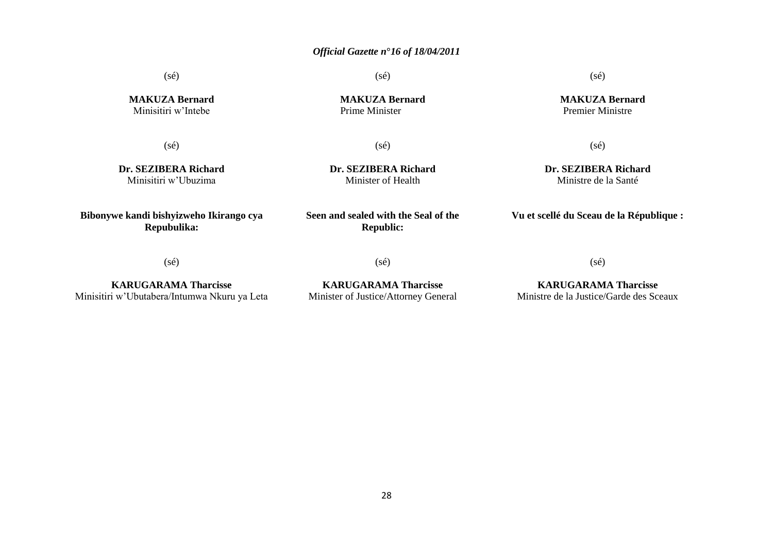(sé)

(sé)

 **MAKUZA Bernard** Premier Ministre

**MAKUZA Bernard** Minisitiri w"Intebe

**MAKUZA Bernard** Prime Minister

(sé)

(sé)

(sé)

**Dr. SEZIBERA Richard** Minisitiri w"Ubuzima

**Dr. SEZIBERA Richard** Minister of Health

(sé)

**Dr. SEZIBERA Richard** Ministre de la Santé

**Vu et scellé du Sceau de la République :**

(sé)

**Bibonywe kandi bishyizweho Ikirango cya Repubulika:**

**KARUGARAMA Tharcisse** Minisitiri w"Ubutabera/Intumwa Nkuru ya Leta **Republic:**

**Seen and sealed with the Seal of the** 

(sé)

**KARUGARAMA Tharcisse** Minister of Justice/Attorney General (sé)

**KARUGARAMA Tharcisse** Ministre de la Justice/Garde des Sceaux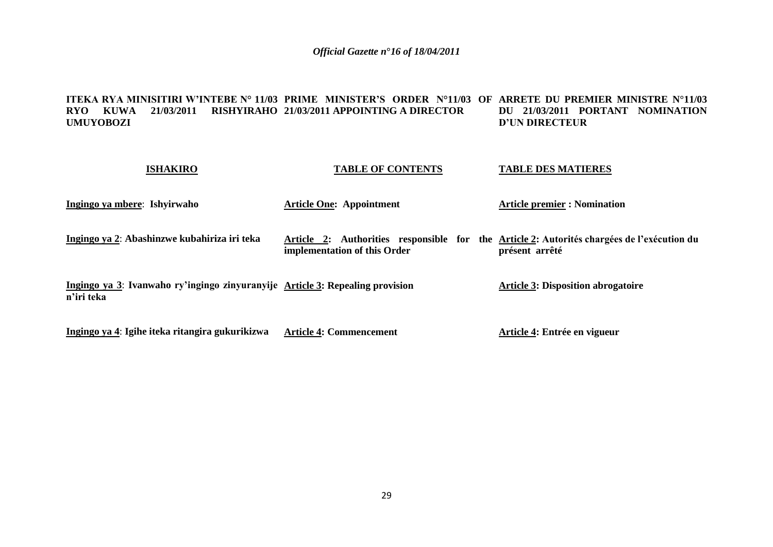#### **ITEKA RYA MINISITIRI W'INTEBE N° 11/03 PRIME MINISTER'S ORDER N°11/03 OF ARRETE DU PREMIER MINISTRE N°11/03 RYO KUWA 21/03/2011 RISHYIRAHO 21/03/2011 APPOINTING A DIRECTOR UMUYOBOZI DU 21/03/2011 PORTANT NOMINATION D'UN DIRECTEUR**

| <b>ISHAKIRO</b>                                                                             | <b>TABLE OF CONTENTS</b>                                                                                                   | <b>TABLE DES MATIERES</b>                 |
|---------------------------------------------------------------------------------------------|----------------------------------------------------------------------------------------------------------------------------|-------------------------------------------|
| Ingingo ya mbere: Ishyirwaho                                                                | <b>Article One: Appointment</b>                                                                                            | <b>Article premier : Nomination</b>       |
| Ingingo ya 2: Abashinzwe kubahiriza iri teka                                                | Article 2: Authorities responsible for the Article 2: Autorités chargées de l'exécution du<br>implementation of this Order | présent arrêté                            |
| Ingingo ya 3: Ivanwaho ry'ingingo zinyuranyije Article 3: Repealing provision<br>n'iri teka |                                                                                                                            | <b>Article 3: Disposition abrogatoire</b> |
| <u>Ingingo ya 4</u> : Igihe iteka ritangira gukurikizwa                                     | <b>Article 4: Commencement</b>                                                                                             | Article 4: Entrée en vigueur              |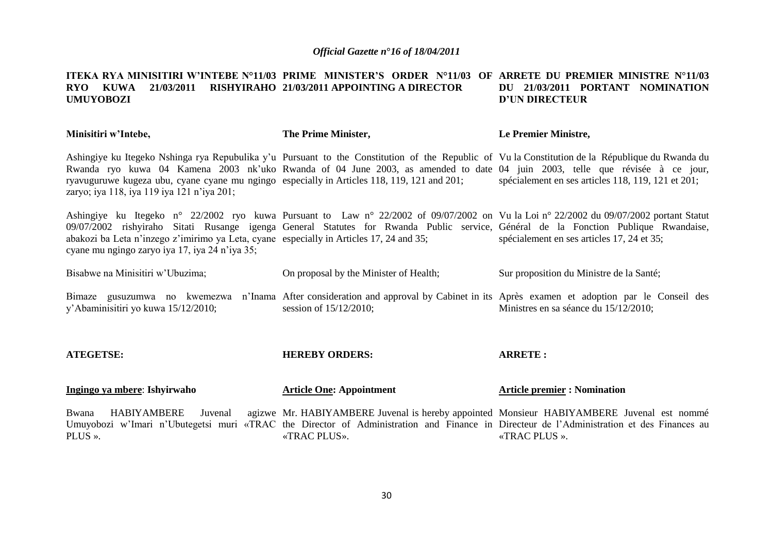#### **ITEKA RYA MINISITIRI W'INTEBE N°11/03 PRIME MINISTER'S ORDER N°11/03 OF ARRETE DU PREMIER MINISTRE N°11/03 RYO KUWA 21/03/2011 RISHYIRAHO 21/03/2011 APPOINTING A DIRECTOR UMUYOBOZI DU 21/03/2011 PORTANT NOMINATION D'UN DIRECTEUR**

| Minisitiri w'Intebe,                                                                                                                      | The Prime Minister,                                                                                                                                                                                                                                                                                                                                                            | Le Premier Ministre,                               |
|-------------------------------------------------------------------------------------------------------------------------------------------|--------------------------------------------------------------------------------------------------------------------------------------------------------------------------------------------------------------------------------------------------------------------------------------------------------------------------------------------------------------------------------|----------------------------------------------------|
| zaryo; iya 118, iya 119 iya 121 n'iya 201;                                                                                                | Ashingiye ku Itegeko Nshinga rya Repubulika y'u Pursuant to the Constitution of the Republic of Vu la Constitution de la République du Rwanda du<br>Rwanda ryo kuwa 04 Kamena 2003 nk'uko Rwanda of 04 June 2003, as amended to date 04 juin 2003, telle que révisée à ce jour,<br>ryavuguruwe kugeza ubu, cyane cyane mu ngingo especially in Articles 118, 119, 121 and 201; | spécialement en ses articles 118, 119, 121 et 201; |
| abakozi ba Leta n'inzego z'imirimo ya Leta, cyane especially in Articles 17, 24 and 35;<br>cyane mu ngingo zaryo iya 17, iya 24 n'iya 35; | Ashingiye ku Itegeko n° 22/2002 ryo kuwa Pursuant to Law n° 22/2002 of 09/07/2002 on Vu la Loi n° 22/2002 du 09/07/2002 portant Statut<br>09/07/2002 rishyiraho Sitati Rusange igenga General Statutes for Rwanda Public service, Général de la Fonction Publique Rwandaise,                                                                                                   | spécialement en ses articles 17, 24 et 35;         |
| Bisabwe na Minisitiri w'Ubuzima;                                                                                                          | On proposal by the Minister of Health;                                                                                                                                                                                                                                                                                                                                         | Sur proposition du Ministre de la Santé;           |
| y'Abaminisitiri yo kuwa 15/12/2010;                                                                                                       | Bimaze gusuzumwa no kwemezwa n'Inama After consideration and approval by Cabinet in its Après examen et adoption par le Conseil des<br>session of $15/12/2010$ ;                                                                                                                                                                                                               | Ministres en sa séance du 15/12/2010;              |
| <b>ATEGETSE:</b>                                                                                                                          | <b>HEREBY ORDERS:</b>                                                                                                                                                                                                                                                                                                                                                          | <b>ARRETE:</b>                                     |
| Ingingo ya mbere: Ishyirwaho                                                                                                              | <b>Article One: Appointment</b>                                                                                                                                                                                                                                                                                                                                                | <b>Article premier : Nomination</b>                |
| <b>HABIYAMBERE</b><br>Bwana<br>Juvenal<br>PLUS ».                                                                                         | agizwe Mr. HABIYAMBERE Juvenal is hereby appointed Monsieur HABIYAMBERE Juvenal est nommé<br>Umuyobozi w'Imari n'Ubutegetsi muri «TRAC the Director of Administration and Finance in Directeur de l'Administration et des Finances au<br>«TRAC PLUS».                                                                                                                          | «TRAC PLUS ».                                      |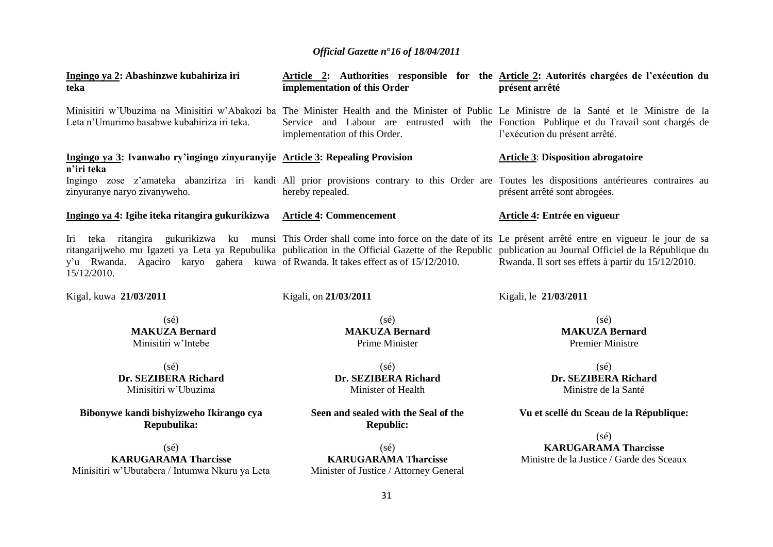| Ingingo ya 2: Abashinzwe kubahiriza iri<br>teka                                                   | implementation of this Order                                                                                                                                                                                                                                                                            | Article 2: Authorities responsible for the Article 2: Autorités chargées de l'exécution du<br>présent arrêté                |
|---------------------------------------------------------------------------------------------------|---------------------------------------------------------------------------------------------------------------------------------------------------------------------------------------------------------------------------------------------------------------------------------------------------------|-----------------------------------------------------------------------------------------------------------------------------|
| Leta n'Umurimo basabwe kubahiriza iri teka.                                                       | Minisitiri w'Ubuzima na Minisitiri w'Abakozi ba The Minister Health and the Minister of Public Le Ministre de la Santé et le Ministre de la<br>implementation of this Order.                                                                                                                            | Service and Labour are entrusted with the Fonction Publique et du Travail sont chargés de<br>l'exécution du présent arrêté. |
| Ingingo ya 3: Ivanwaho ry'ingingo zinyuranyije Article 3: Repealing Provision<br>n'iri teka       |                                                                                                                                                                                                                                                                                                         | <b>Article 3: Disposition abrogatoire</b>                                                                                   |
| zinyuranye naryo zivanyweho.                                                                      | Ingingo zose z'amateka abanziriza iri kandi All prior provisions contrary to this Order are Toutes les dispositions antérieures contraires au<br>hereby repealed.                                                                                                                                       | présent arrêté sont abrogées.                                                                                               |
| Ingingo ya 4: Igihe iteka ritangira gukurikizwa Article 4: Commencement                           |                                                                                                                                                                                                                                                                                                         | Article 4: Entrée en vigueur                                                                                                |
| y'u Rwanda. Agaciro karyo gahera kuwa of Rwanda. It takes effect as of 15/12/2010.<br>15/12/2010. | Iri teka ritangira gukurikizwa ku munsi This Order shall come into force on the date of its Le présent arrêté entre en vigueur le jour de sa<br>ritangarijweho mu Igazeti ya Leta ya Repubulika publication in the Official Gazette of the Republic publication au Journal Officiel de la République du | Rwanda. Il sort ses effets à partir du 15/12/2010.                                                                          |
| Kigal, kuwa 21/03/2011                                                                            | Kigali, on 21/03/2011                                                                                                                                                                                                                                                                                   | Kigali, le 21/03/2011                                                                                                       |
| $(s\acute{e})$<br><b>MAKUZA Bernard</b><br>Minisitiri w'Intebe                                    | $(s\acute{e})$<br><b>MAKUZA Bernard</b><br>Prime Minister                                                                                                                                                                                                                                               | $(s\acute{e})$<br><b>MAKUZA Bernard</b><br><b>Premier Ministre</b>                                                          |
| (sé)                                                                                              | $(s\acute{e})$                                                                                                                                                                                                                                                                                          | $(s\acute{e})$                                                                                                              |
| Dr. SEZIBERA Richard<br>Minisitiri w'Ubuzima                                                      | Dr. SEZIBERA Richard<br>Minister of Health                                                                                                                                                                                                                                                              | Dr. SEZIBERA Richard<br>Ministre de la Santé                                                                                |
| Bibonywe kandi bishyizweho Ikirango cya<br>Repubulika:                                            | Seen and sealed with the Seal of the<br><b>Republic:</b>                                                                                                                                                                                                                                                | Vu et scellé du Sceau de la République:                                                                                     |
| $(s\acute{e})$                                                                                    | $(s\acute{e})$                                                                                                                                                                                                                                                                                          | $(s\acute{e})$<br><b>KARUGARAMA Tharcisse</b>                                                                               |
| <b>KARUGARAMA Tharcisse</b>                                                                       | <b>KARUGARAMA Tharcisse</b>                                                                                                                                                                                                                                                                             | Ministre de la Justice / Garde des Sceaux                                                                                   |

Minisitiri w"Ubutabera / Intumwa Nkuru ya Leta

**KARUGARAMA Tharcisse** Minister of Justice / Attorney General

31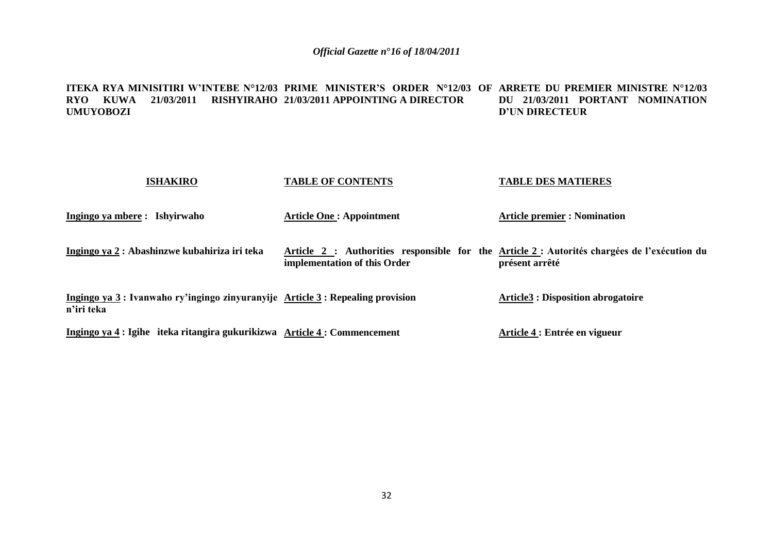#### **ITEKA RYA MINISITIRI W'INTEBE N°12/03 PRIME MINISTER'S ORDER N°12/03 OF ARRETE DU PREMIER MINISTRE N°12/03 RYO KUWA 21/03/2011 RISHYIRAHO 21/03/2011 APPOINTING A DIRECTOR UMUYOBOZI DU 21/03/2011 PORTANT NOMINATION D'UN DIRECTEUR**

| <b>ISHAKIRO</b>                                                                             | <b>TABLE OF CONTENTS</b>        | <b>TABLE DES MATIERES</b>                                                                                      |
|---------------------------------------------------------------------------------------------|---------------------------------|----------------------------------------------------------------------------------------------------------------|
| Ingingo ya mbere: Ishyirwaho                                                                | <b>Article One: Appointment</b> | <b>Article premier : Nomination</b>                                                                            |
| Ingingo ya 2 : Abashinzwe kubahiriza iri teka                                               | implementation of this Order    | Article 2 : Authorities responsible for the Article 2 : Autorités chargées de l'exécution du<br>présent arrêté |
| Ingingo ya 3: Ivanwaho ry'ingingo zinyuranyije Article 3: Repealing provision<br>n'iri teka |                                 | <b>Article3 : Disposition abrogatoire</b>                                                                      |
| Ingingo ya 4 : Igihe iteka ritangira gukurikizwa Article 4 : Commencement                   |                                 | Article 4 : Entrée en vigueur                                                                                  |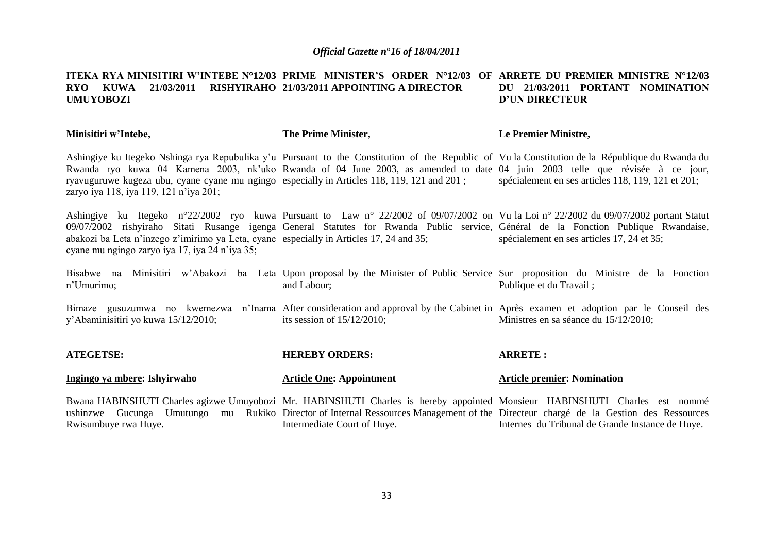#### **ITEKA RYA MINISITIRI W'INTEBE N°12/03 PRIME MINISTER'S ORDER N°12/03 OF ARRETE DU PREMIER MINISTRE N°12/03 RYO KUWA 21/03/2011 RISHYIRAHO 21/03/2011 APPOINTING A DIRECTOR UMUYOBOZI DU 21/03/2011 PORTANT NOMINATION D'UN DIRECTEUR**

| Minisitiri w'Intebe,                                                                                                                      | The Prime Minister,                                                                                                                                                                                                                                                                                                                                                                                                               | Le Premier Ministre,                       |
|-------------------------------------------------------------------------------------------------------------------------------------------|-----------------------------------------------------------------------------------------------------------------------------------------------------------------------------------------------------------------------------------------------------------------------------------------------------------------------------------------------------------------------------------------------------------------------------------|--------------------------------------------|
| zaryo iya 118, iya 119, 121 n'iya 201;                                                                                                    | Ashingiye ku Itegeko Nshinga rya Repubulika y'u Pursuant to the Constitution of the Republic of Vu la Constitution de la République du Rwanda du<br>Rwanda ryo kuwa 04 Kamena 2003, nk'uko Rwanda of 04 June 2003, as amended to date 04 juin 2003 telle que révisée à ce jour,<br>ryavuguruwe kugeza ubu, cyane cyane mu ngingo especially in Articles 118, 119, 121 and 201; spécialement en ses articles 118, 119, 121 et 201; |                                            |
| abakozi ba Leta n'inzego z'imirimo ya Leta, cyane especially in Articles 17, 24 and 35;<br>cyane mu ngingo zaryo iya 17, iya 24 n'iya 35; | Ashingiye ku Itegeko n°22/2002 ryo kuwa Pursuant to Law n° 22/2002 of 09/07/2002 on Vu la Loi n° 22/2002 du 09/07/2002 portant Statut<br>09/07/2002 rishyiraho Sitati Rusange igenga General Statutes for Rwanda Public service, Général de la Fonction Publique Rwandaise,                                                                                                                                                       | spécialement en ses articles 17, 24 et 35; |
| n'Umurimo;                                                                                                                                | Bisabwe na Minisitiri w'Abakozi ba Leta Upon proposal by the Minister of Public Service Sur proposition du Ministre de la Fonction<br>and Labour;                                                                                                                                                                                                                                                                                 | Publique et du Travail;                    |
| y'Abaminisitiri yo kuwa 15/12/2010;                                                                                                       | Bimaze gusuzumwa no kwemezwa n'Inama After consideration and approval by the Cabinet in Après examen et adoption par le Conseil des<br>its session of $15/12/2010$ ;                                                                                                                                                                                                                                                              | Ministres en sa séance du 15/12/2010;      |
| <b>ATEGETSE:</b>                                                                                                                          | <b>HEREBY ORDERS:</b>                                                                                                                                                                                                                                                                                                                                                                                                             | <b>ARRETE:</b>                             |
| Ingingo ya mbere: Ishyirwaho                                                                                                              | <b>Article One: Appointment</b>                                                                                                                                                                                                                                                                                                                                                                                                   | <b>Article premier: Nomination</b>         |
|                                                                                                                                           | Bwana HABINSHUTI Charles agizwe Umuyobozi Mr. HABINSHUTI Charles is hereby appointed Monsieur HABINSHUTI Charles est nommé<br>ushinzwe Gucunga Umutungo mu Rukiko Director of Internal Ressources Management of the Directeur chargé de la Gestion des Ressources                                                                                                                                                                 |                                            |

Rwisumbuye rwa Huye. Intermediate Court of Huye. Internes du Tribunal de Grande Instance de Huye.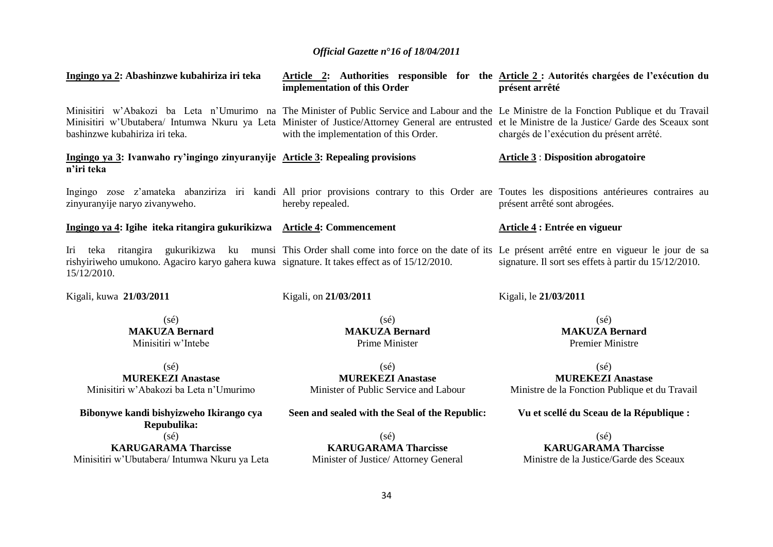| Ingingo ya 2: Abashinzwe kubahiriza iri teka                                                                | implementation of this Order                                                                                                                                                                                                                                                                                                                    | Article 2: Authorities responsible for the Article 2: Autorités chargées de l'exécution du<br>présent arrêté |
|-------------------------------------------------------------------------------------------------------------|-------------------------------------------------------------------------------------------------------------------------------------------------------------------------------------------------------------------------------------------------------------------------------------------------------------------------------------------------|--------------------------------------------------------------------------------------------------------------|
| bashinzwe kubahiriza iri teka.                                                                              | Minisitiri w'Abakozi ba Leta n'Umurimo na The Minister of Public Service and Labour and the Le Ministre de la Fonction Publique et du Travail<br>Minisitiri w'Ubutabera/ Intumwa Nkuru ya Leta Minister of Justice/Attorney General are entrusted et le Ministre de la Justice/ Garde des Sceaux sont<br>with the implementation of this Order. | chargés de l'exécution du présent arrêté.                                                                    |
| Ingingo ya 3: Ivanwaho ry'ingingo zinyuranyije Article 3: Repealing provisions<br>n'iri teka                |                                                                                                                                                                                                                                                                                                                                                 | <b>Article 3: Disposition abrogatoire</b>                                                                    |
| zinyuranyije naryo zivanyweho.                                                                              | Ingingo zose z'amateka abanziriza iri kandi All prior provisions contrary to this Order are Toutes les dispositions antérieures contraires au<br>hereby repealed.                                                                                                                                                                               | présent arrêté sont abrogées.                                                                                |
| Ingingo ya 4: Igihe iteka ritangira gukurikizwa Article 4: Commencement                                     |                                                                                                                                                                                                                                                                                                                                                 | Article 4 : Entrée en vigueur                                                                                |
| rishyiriweho umukono. Agaciro karyo gahera kuwa signature. It takes effect as of 15/12/2010.<br>15/12/2010. | Iri teka ritangira gukurikizwa ku munsi This Order shall come into force on the date of its Le présent arrêté entre en vigueur le jour de sa                                                                                                                                                                                                    | signature. Il sort ses effets à partir du 15/12/2010.                                                        |
| Kigali, kuwa 21/03/2011                                                                                     | Kigali, on 21/03/2011                                                                                                                                                                                                                                                                                                                           | Kigali, le 21/03/2011                                                                                        |
| $(s\acute{e})$<br><b>MAKUZA Bernard</b><br>Minisitiri w'Intebe                                              | $(s\acute{e})$<br><b>MAKUZA Bernard</b><br>Prime Minister                                                                                                                                                                                                                                                                                       | $(s\acute{e})$<br><b>MAKUZA Bernard</b><br><b>Premier Ministre</b>                                           |
| $(s\acute{e})$<br><b>MUREKEZI Anastase</b><br>Minisitiri w'Abakozi ba Leta n'Umurimo                        | $(s\acute{e})$<br><b>MUREKEZI Anastase</b><br>Minister of Public Service and Labour                                                                                                                                                                                                                                                             | $(s\acute{e})$<br><b>MUREKEZI Anastase</b><br>Ministre de la Fonction Publique et du Travail                 |
| Bibonywe kandi bishyizweho Ikirango cya<br>Repubulika:                                                      | Seen and sealed with the Seal of the Republic:                                                                                                                                                                                                                                                                                                  | Vu et scellé du Sceau de la République :                                                                     |
| $(s\acute{e})$                                                                                              | $(s\acute{e})$                                                                                                                                                                                                                                                                                                                                  | $(s\acute{e})$                                                                                               |
| <b>KARUGARAMA Tharcisse</b>                                                                                 | <b>KARUGARAMA Tharcisse</b>                                                                                                                                                                                                                                                                                                                     | <b>KARUGARAMA Tharcisse</b>                                                                                  |

**KARUGARAMA Tharcisse** Minisitiri w"Ubutabera/ Intumwa Nkuru ya Leta

**KARUGARAMA Tharcisse** Minister of Justice/ Attorney General

Ministre de la Justice/Garde des Sceaux

34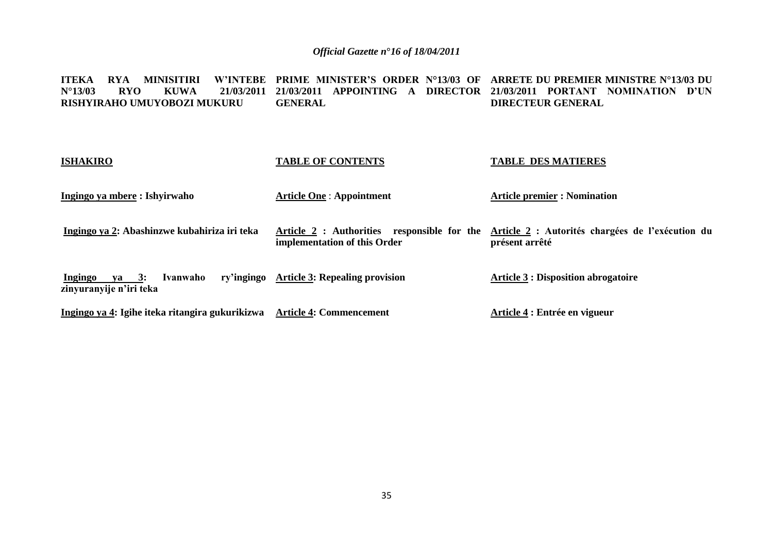**ITEKA RYA MINISITIRI W'INTEBE PRIME MINISTER'S ORDER N°13/03 OF ARRETE DU PREMIER MINISTRE N°13/03 DU N°13/03 RYO KUWA 21/03/2011 21/03/2011 APPOINTING A DIRECTOR 21/03/2011 PORTANT NOMINATION D'UN RISHYIRAHO UMUYOBOZI MUKURU GENERAL DIRECTEUR GENERAL**

| <b>ISHAKIRO</b>                                         | <b>TABLE OF CONTENTS</b>                  | <b>TABLE DES MATIERES</b>                                                                                    |
|---------------------------------------------------------|-------------------------------------------|--------------------------------------------------------------------------------------------------------------|
| Ingingo ya mbere : Ishyirwaho                           | <b>Article One: Appointment</b>           | <b>Article premier : Nomination</b>                                                                          |
| Ingingo ya 2: Abashinzwe kubahiriza iri teka            | implementation of this Order              | Article 2: Authorities responsible for the Article 2: Autorités chargées de l'exécution du<br>présent arrêté |
| Ingingo<br>va 3:<br>Ivanwaho<br>zinyuranyije n'iri teka | ry'ingingo Article 3: Repealing provision | <b>Article 3 : Disposition abrogatoire</b>                                                                   |
| Ingingo ya 4: Igihe iteka ritangira gukurikizwa         | <b>Article 4: Commencement</b>            | Article 4 : Entrée en vigueur                                                                                |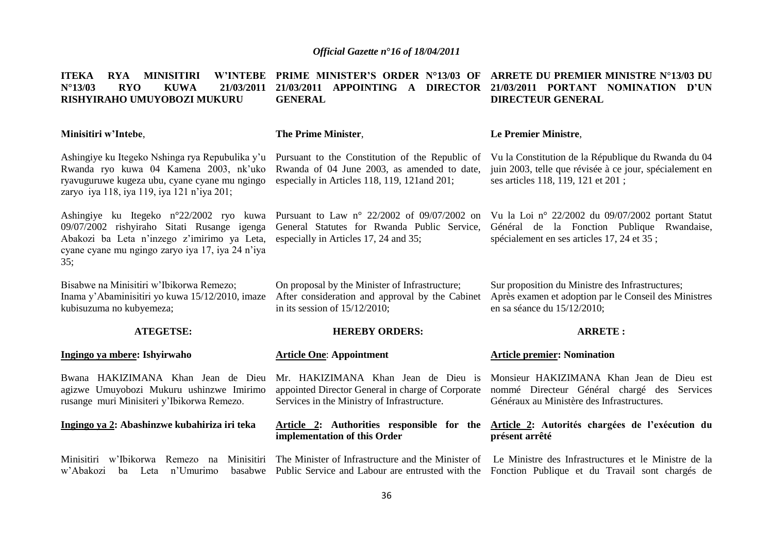**ITEKA RYA MINISITIRI N°13/03 RYO KUWA 21/03/2011 21/03/2011 APPOINTING A DIRECTOR 21/03/2011 PORTANT NOMINATION D'UN RISHYIRAHO UMUYOBOZI MUKURU Minisitiri w'Intebe**, Ashingiye ku Itegeko Nshinga rya Repubulika y"u Rwanda ryo kuwa 04 Kamena 2003, nk"uko ryavuguruwe kugeza ubu, cyane cyane mu ngingo zaryo iya 118, iya 119, iya 121 n"iya 201; Ashingiye ku Itegeko n°22/2002 ryo kuwa 09/07/2002 rishyiraho Sitati Rusange igenga Abakozi ba Leta n"inzego z"imirimo ya Leta, cyane cyane mu ngingo zaryo iya 17, iya 24 n"iya  $35:$ Bisabwe na Minisitiri w"Ibikorwa Remezo; Inama y"Abaminisitiri yo kuwa 15/12/2010, imaze kubisuzuma no kubyemeza; **ATEGETSE: Ingingo ya mbere: Ishyirwaho**  Bwana HAKIZIMANA Khan Jean de Dieu agizwe Umuyobozi Mukuru ushinzwe Imirimo rusange muri Minisiteri y"Ibikorwa Remezo. **Ingingo ya 2: Abashinzwe kubahiriza iri teka** Minisitiri w'Ibikorwa Remezo na Minisitiri The Minister of Infrastructure and the Minister of Le Ministre des Infrastructures et le Ministre de la w'Abakozi ba Leta n'Umurimo **PRIME MINISTER'S ORDER N°13/03 OF ARRETE DU PREMIER MINISTRE N°13/03 DU GENERAL The Prime Minister**, Pursuant to the Constitution of the Republic of Rwanda of 04 June 2003, as amended to date, especially in Articles 118, 119, 121and 201; Pursuant to Law n° 22/2002 of 09/07/2002 on Vu la Loi n° 22/2002 du 09/07/2002 portant Statut General Statutes for Rwanda Public Service, especially in Articles 17, 24 and 35; On proposal by the Minister of Infrastructure; After consideration and approval by the Cabinet in its session of 15/12/2010; **HEREBY ORDERS: Article One**: **Appointment**  Mr. HAKIZIMANA Khan Jean de Dieu is appointed Director General in charge of Corporate Services in the Ministry of Infrastructure. **Article 2: Authorities responsible for the implementation of this Order** Public Service and Labour are entrusted with the Fonction Publique et du Travail sont chargés de **DIRECTEUR GENERAL Le Premier Ministre**, Vu la Constitution de la République du Rwanda du 04 juin 2003, telle que révisée à ce jour, spécialement en ses articles 118, 119, 121 et 201 ; Général de la Fonction Publique Rwandaise, spécialement en ses articles 17, 24 et 35 ; Sur proposition du Ministre des Infrastructures; Après examen et adoption par le Conseil des Ministres en sa séance du 15/12/2010; **ARRETE : Article premier: Nomination**  Monsieur HAKIZIMANA Khan Jean de Dieu est nommé Directeur Général chargé des Services Généraux au Ministère des Infrastructures. **Article 2: Autorités chargées de l'exécution du présent arrêté**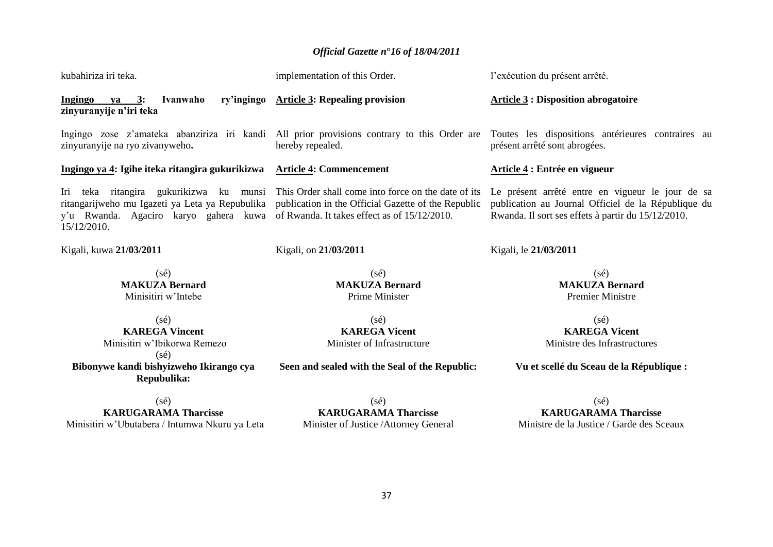| kubahiriza iri teka.                                                                                                                                  | implementation of this Order.                                                                                                                              | l'exécution du présent arrêté.                                                                                                                                |  |
|-------------------------------------------------------------------------------------------------------------------------------------------------------|------------------------------------------------------------------------------------------------------------------------------------------------------------|---------------------------------------------------------------------------------------------------------------------------------------------------------------|--|
| Ivanwaho<br>ry'ingingo<br><b>Ingingo</b><br>$ya = 3$ :<br>zinyuranyije n'iri teka                                                                     | <b>Article 3: Repealing provision</b>                                                                                                                      | <b>Article 3: Disposition abrogatoire</b>                                                                                                                     |  |
| Ingingo zose z'amateka abanziriza iri kandi<br>zinyuranyije na ryo zivanyweho.                                                                        | hereby repealed.                                                                                                                                           | All prior provisions contrary to this Order are Toutes les dispositions antérieures contraires au<br>présent arrêté sont abrogées.                            |  |
| Ingingo ya 4: Igihe iteka ritangira gukurikizwa                                                                                                       | <b>Article 4: Commencement</b>                                                                                                                             | Article 4 : Entrée en vigueur                                                                                                                                 |  |
| teka ritangira gukurikizwa ku munsi<br>Iri<br>ritangarijweho mu Igazeti ya Leta ya Repubulika<br>y'u Rwanda. Agaciro karyo gahera kuwa<br>15/12/2010. | This Order shall come into force on the date of its<br>publication in the Official Gazette of the Republic<br>of Rwanda. It takes effect as of 15/12/2010. | Le présent arrêté entre en vigueur le jour de sa<br>publication au Journal Officiel de la République du<br>Rwanda. Il sort ses effets à partir du 15/12/2010. |  |
| Kigali, kuwa 21/03/2011                                                                                                                               | Kigali, on 21/03/2011                                                                                                                                      | Kigali, le 21/03/2011                                                                                                                                         |  |
| $(s\acute{e})$<br><b>MAKUZA Bernard</b><br>Minisitiri w'Intebe                                                                                        | $(s\acute{e})$<br><b>MAKUZA Bernard</b><br><b>Prime Minister</b>                                                                                           | $(s\acute{e})$<br><b>MAKUZA Bernard</b><br><b>Premier Ministre</b>                                                                                            |  |
| $(s\acute{e})$<br><b>KAREGA Vincent</b><br>Minisitiri w'Ibikorwa Remezo<br>$(s\acute{e})$                                                             | $(s\acute{e})$<br><b>KAREGA Vicent</b><br>Minister of Infrastructure                                                                                       | $(s\acute{e})$<br><b>KAREGA Vicent</b><br>Ministre des Infrastructures                                                                                        |  |
| Bibonywe kandi bishyizweho Ikirango cya<br>Repubulika:                                                                                                | Seen and sealed with the Seal of the Republic:<br>Vu et scellé du Sceau de la République :                                                                 |                                                                                                                                                               |  |
| $(s\acute{e})$                                                                                                                                        | $(s\acute{e})$                                                                                                                                             | $(s\acute{e})$                                                                                                                                                |  |

**KARUGARAMA Tharcisse** Minisitiri w"Ubutabera / Intumwa Nkuru ya Leta

**KARUGARAMA Tharcisse** Minister of Justice /Attorney General

**KARUGARAMA Tharcisse** Ministre de la Justice / Garde des Sceaux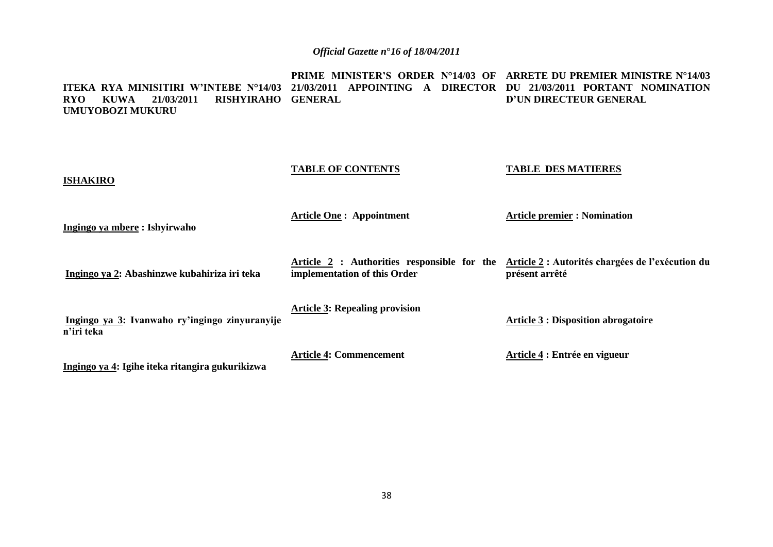**ITEKA RYA MINISITIRI W'INTEBE N°14/03 21/03/2011 APPOINTING A DIRECTOR DU 21/03/2011 PORTANT NOMINATION RYO KUWA 21/03/2011 RISHYIRAHO GENERAL UMUYOBOZI MUKURU PRIME MINISTER'S ORDER N°14/03 OF ARRETE DU PREMIER MINISTRE N°14/03 D'UN DIRECTEUR GENERAL**

| <b>ISHAKIRO</b>                                              | <b>TABLE OF CONTENTS</b>                                                    | <b>TABLE DES MATIERES</b>                                          |
|--------------------------------------------------------------|-----------------------------------------------------------------------------|--------------------------------------------------------------------|
| Ingingo ya mbere : Ishyirwaho                                | <b>Article One: Appointment</b>                                             | <b>Article premier: Nomination</b>                                 |
| Ingingo ya 2: Abashinzwe kubahiriza iri teka                 | Article 2 : Authorities responsible for the<br>implementation of this Order | Article 2 : Autorités chargées de l'exécution du<br>présent arrêté |
| Ingingo ya 3: Ivanwaho ry'ingingo zinyuranyije<br>n'iri teka | <b>Article 3: Repealing provision</b>                                       | <b>Article 3 : Disposition abrogatoire</b>                         |
| Ingingo ya 4: Igihe iteka ritangira gukurikizwa              | <b>Article 4: Commencement</b>                                              | Article 4 : Entrée en vigueur                                      |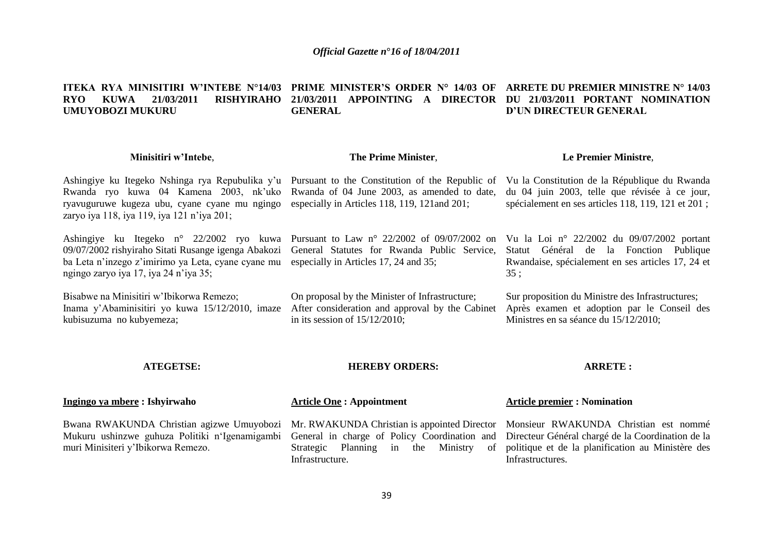#### **ITEKA RYA MINISITIRI W'INTEBE N°14/03 PRIME MINISTER'S ORDER N° 14/03 OF ARRETE DU PREMIER MINISTRE N° 14/03 RYO KUWA 21/03/2011 RISHYIRAHO 21/03/2011 APPOINTING A DIRECTOR DU 21/03/2011 PORTANT NOMINATION UMUYOBOZI MUKURU GENERAL D'UN DIRECTEUR GENERAL**

#### **Minisitiri w'Intebe**, Ashingiye ku Itegeko Nshinga rya Repubulika y'u Pursuant to the Constitution of the Republic of Rwanda ryo kuwa 04 Kamena 2003, nk"uko Rwanda of 04 June 2003, as amended to date, ryavuguruwe kugeza ubu, cyane cyane mu ngingo especially in Articles 118, 119, 121and 201; zaryo iya 118, iya 119, iya 121 n"iya 201; Ashingiye ku Itegeko n° 22/2002 ryo kuwa Pursuant to Law n° 22/2002 of 09/07/2002 on Vu la Loi n° 22/2002 du 09/07/2002 portant 09/07/2002 rishyiraho Sitati Rusange igenga Abakozi ba Leta n'inzego z'imirimo ya Leta, cyane cyane mu especially in Articles 17, 24 and 35; ngingo zaryo iya 17, iya 24 n"iya 35; Bisabwe na Minisitiri w"Ibikorwa Remezo; Inama y"Abaminisitiri yo kuwa 15/12/2010, imaze After consideration and approval by the Cabinet **The Prime Minister**, General Statutes for Rwanda Public Service, Statut Général de la Fonction Publique On proposal by the Minister of Infrastructure; Vu la Constitution de la République du Rwanda du 04 juin 2003, telle que révisée à ce jour, spécialement en ses articles 118, 119, 121 et 201 ; 35 ;

kubisuzuma no kubyemeza;

in its session of 15/12/2010;

**Le Premier Ministre**,

Rwandaise, spécialement en ses articles 17, 24 et

Sur proposition du Ministre des Infrastructures; Après examen et adoption par le Conseil des Ministres en sa séance du 15/12/2010;

### **ATEGETSE:**

### **HEREBY ORDERS:**

### **ARRETE :**

| Ingingo ya mbere : Ishyirwaho                                                                                                                                                                                                                                                                                       | <b>Article One: Appointment</b>                                                                            | <b>Article premier : Nomination</b> |
|---------------------------------------------------------------------------------------------------------------------------------------------------------------------------------------------------------------------------------------------------------------------------------------------------------------------|------------------------------------------------------------------------------------------------------------|-------------------------------------|
| Bwana RWAKUNDA Christian agizwe Umuyobozi Mr. RWAKUNDA Christian is appointed Director Monsieur RWAKUNDA Christian est nommé<br>Mukuru ushinzwe guhuza Politiki n'Igenamigambi General in charge of Policy Coordination and Directeur Général chargé de la Coordination de la<br>muri Minisiteri y'Ibikorwa Remezo. | Strategic Planning in the Ministry of politique et de la planification au Ministère des<br>Infrastructure. | Infrastructures.                    |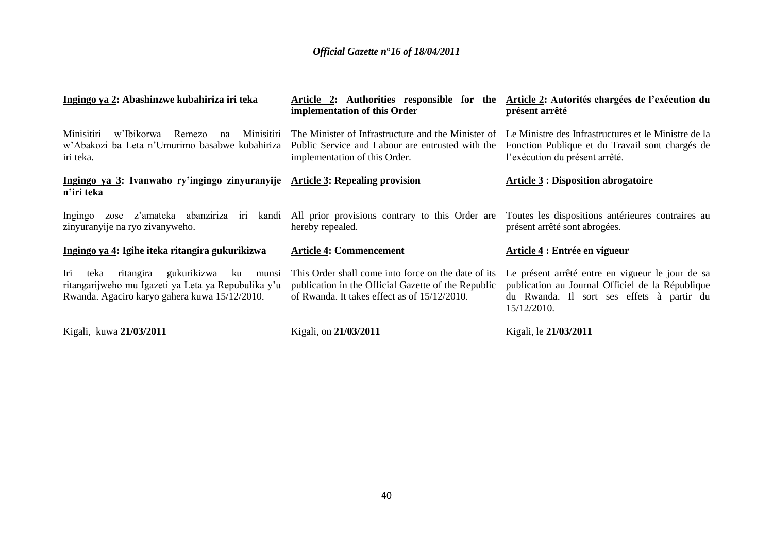| Ingingo ya 2: Abashinzwe kubahiriza iri teka                                                                                                                   | Article 2: Authorities responsible for the<br>implementation of this Order                                                                                 | Article 2: Autorités chargées de l'exécution du<br>présent arrêté                                                                                                |  |  |
|----------------------------------------------------------------------------------------------------------------------------------------------------------------|------------------------------------------------------------------------------------------------------------------------------------------------------------|------------------------------------------------------------------------------------------------------------------------------------------------------------------|--|--|
| Minisitiri<br>Minisitiri<br>w'Ibikorwa<br>Remezo<br>na<br>w'Abakozi ba Leta n'Umurimo basabwe kubahiriza<br>iri teka.                                          | The Minister of Infrastructure and the Minister of<br>Public Service and Labour are entrusted with the<br>implementation of this Order.                    | Le Ministre des Infrastructures et le Ministre de la<br>Fonction Publique et du Travail sont chargés de<br>l'exécution du présent arrêté.                        |  |  |
| Ingingo ya 3: Ivanwaho ry'ingingo zinyuranyije Article 3: Repealing provision<br>n'iri teka                                                                    |                                                                                                                                                            | <b>Article 3 : Disposition abrogatoire</b>                                                                                                                       |  |  |
| zose z'amateka abanziriza iri<br>Ingingo<br>zinyuranyije na ryo zivanyweho.                                                                                    | kandi All prior provisions contrary to this Order are<br>hereby repealed.                                                                                  | Toutes les dispositions antérieures contraires au<br>présent arrêté sont abrogées.                                                                               |  |  |
| Ingingo ya 4: Igihe iteka ritangira gukurikizwa                                                                                                                | <b>Article 4: Commencement</b>                                                                                                                             | Article 4 : Entrée en vigueur                                                                                                                                    |  |  |
| gukurikizwa<br>Iri<br>ku<br>ritangira<br>teka<br>munsi<br>ritangarijweho mu Igazeti ya Leta ya Repubulika y'u<br>Rwanda. Agaciro karyo gahera kuwa 15/12/2010. | This Order shall come into force on the date of its<br>publication in the Official Gazette of the Republic<br>of Rwanda. It takes effect as of 15/12/2010. | Le présent arrêté entre en vigueur le jour de sa<br>publication au Journal Officiel de la République<br>du Rwanda. Il sort ses effets à partir du<br>15/12/2010. |  |  |
| Kigali, kuwa 21/03/2011                                                                                                                                        | Kigali, on 21/03/2011                                                                                                                                      | Kigali, le 21/03/2011                                                                                                                                            |  |  |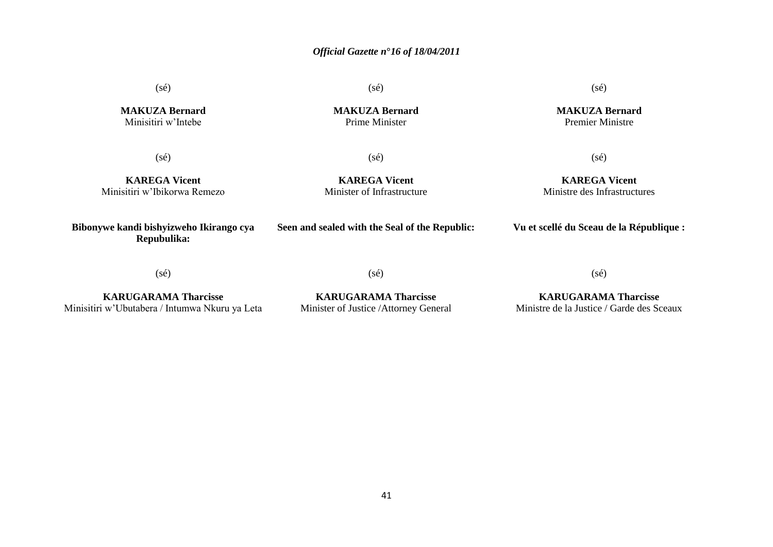(sé)

(sé)

(sé)

**MAKUZA Bernard** Premier Ministre

**MAKUZA Bernard** Minisitiri w"Intebe

**MAKUZA Bernard** Prime Minister

(sé)

(sé)

**KAREGA Vicent** Minisitiri w"Ibikorwa Remezo

**KAREGA Vicent** Minister of Infrastructure

**KAREGA Vicent** Ministre des Infrastructures

(sé)

**Bibonywe kandi bishyizweho Ikirango cya Repubulika:**

**Seen and sealed with the Seal of the Republic:**

**Vu et scellé du Sceau de la République :**

(sé)

(sé)

(sé)

**KARUGARAMA Tharcisse** Minisitiri w"Ubutabera / Intumwa Nkuru ya Leta

**KARUGARAMA Tharcisse** Minister of Justice /Attorney General

**KARUGARAMA Tharcisse** Ministre de la Justice / Garde des Sceaux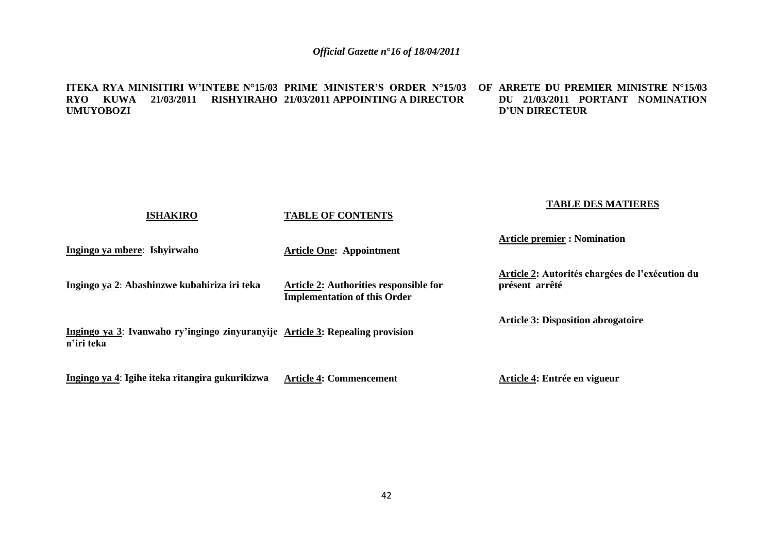#### **ITEKA RYA MINISITIRI W'INTEBE N°15/03 PRIME MINISTER'S ORDER N°15/03 OF ARRETE DU PREMIER MINISTRE N°15/03 RYO KUWA 21/03/2011 RISHYIRAHO 21/03/2011 APPOINTING A DIRECTOR UMUYOBOZI DU 21/03/2011 PORTANT NOMINATION D'UN DIRECTEUR**

|                              | <b>ISHAKIRO</b>                                                               | <b>TABLE OF CONTENTS</b>                                                      | <b>TABLE DES MATIERES</b>                                         |
|------------------------------|-------------------------------------------------------------------------------|-------------------------------------------------------------------------------|-------------------------------------------------------------------|
| Ingingo ya mbere: Ishyirwaho |                                                                               | <b>Article One: Appointment</b>                                               | <b>Article premier : Nomination</b>                               |
|                              | Ingingo ya 2: Abashinzwe kubahiriza iri teka                                  | Article 2: Authorities responsible for<br><b>Implementation of this Order</b> | Article 2: Autorités chargées de l'exécution du<br>présent arrêté |
| n'iri teka                   | Ingingo ya 3: Ivanwaho ry'ingingo zinyuranyije Article 3: Repealing provision |                                                                               | <b>Article 3: Disposition abrogatoire</b>                         |
|                              | Ingingo ya 4: Igihe iteka ritangira gukurikizwa                               | <b>Article 4: Commencement</b>                                                | Article 4: Entrée en vigueur                                      |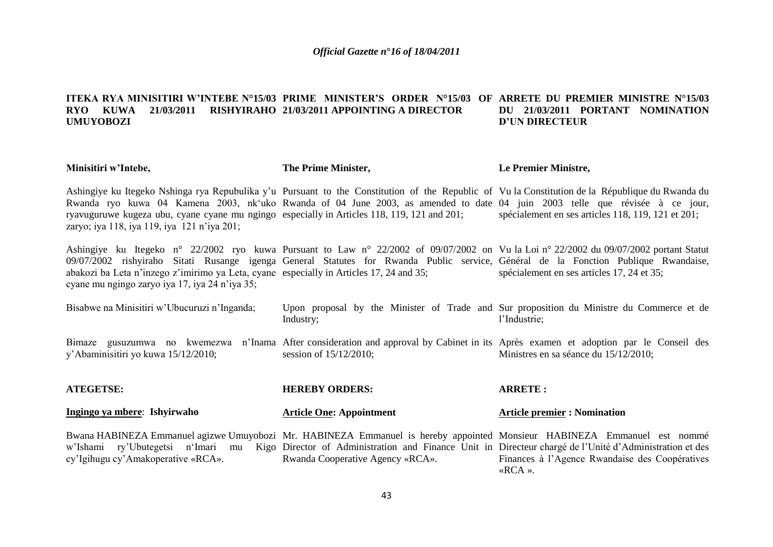#### **ITEKA RYA MINISITIRI W'INTEBE N°15/03 PRIME MINISTER'S ORDER N°15/03 OF ARRETE DU PREMIER MINISTRE N°15/03 RYO KUWA 21/03/2011 RISHYIRAHO 21/03/2011 APPOINTING A DIRECTOR UMUYOBOZI DU 21/03/2011 PORTANT NOMINATION D'UN DIRECTEUR**

| Minisitiri w'Intebe,                                                                                                                      | The Prime Minister,                                                                                                                                                                                                                                                                                                                                                                                                               | Le Premier Ministre,                                                                                                                                                                 |  |  |
|-------------------------------------------------------------------------------------------------------------------------------------------|-----------------------------------------------------------------------------------------------------------------------------------------------------------------------------------------------------------------------------------------------------------------------------------------------------------------------------------------------------------------------------------------------------------------------------------|--------------------------------------------------------------------------------------------------------------------------------------------------------------------------------------|--|--|
| zaryo; iya 118, iya 119, iya 121 n'iya 201;                                                                                               | Ashingiye ku Itegeko Nshinga rya Repubulika y'u Pursuant to the Constitution of the Republic of Vu la Constitution de la République du Rwanda du<br>Rwanda ryo kuwa 04 Kamena 2003, nk'uko Rwanda of 04 June 2003, as amended to date 04 juin 2003 telle que révisée à ce jour,<br>ryavuguruwe kugeza ubu, cyane cyane mu ngingo especially in Articles 118, 119, 121 and 201; spécialement en ses articles 118, 119, 121 et 201; |                                                                                                                                                                                      |  |  |
| abakozi ba Leta n'inzego z'imirimo ya Leta, cyane especially in Articles 17, 24 and 35;<br>cyane mu ngingo zaryo iya 17, iya 24 n'iya 35; | 09/07/2002 rishyiraho Sitati Rusange igenga General Statutes for Rwanda Public service, Général de la Fonction Publique Rwandaise,                                                                                                                                                                                                                                                                                                | Ashingiye ku Itegeko n° 22/2002 ryo kuwa Pursuant to Law n° 22/2002 of 09/07/2002 on Vu la Loi n° 22/2002 du 09/07/2002 portant Statut<br>spécialement en ses articles 17, 24 et 35; |  |  |
| Bisabwe na Minisitiri w'Ubucuruzi n'Inganda;                                                                                              | Industry;                                                                                                                                                                                                                                                                                                                                                                                                                         | Upon proposal by the Minister of Trade and Sur proposition du Ministre du Commerce et de<br>l'Industrie;                                                                             |  |  |
| y'Abaminisitiri yo kuwa 15/12/2010;                                                                                                       | session of 15/12/2010;                                                                                                                                                                                                                                                                                                                                                                                                            | Bimaze gusuzumwa no kwemezwa n'Inama After consideration and approval by Cabinet in its Après examen et adoption par le Conseil des<br>Ministres en sa séance du 15/12/2010;         |  |  |
| <b>ATEGETSE:</b>                                                                                                                          | <b>HEREBY ORDERS:</b>                                                                                                                                                                                                                                                                                                                                                                                                             | <b>ARRETE:</b>                                                                                                                                                                       |  |  |
| Ingingo ya mbere: Ishyirwaho                                                                                                              | <b>Article One: Appointment</b>                                                                                                                                                                                                                                                                                                                                                                                                   | <b>Article premier : Nomination</b>                                                                                                                                                  |  |  |
| cy'Igihugu cy'Amakoperative «RCA».                                                                                                        | Bwana HABINEZA Emmanuel agizwe Umuyobozi Mr. HABINEZA Emmanuel is hereby appointed Monsieur HABINEZA Emmanuel est nommé<br>w'Ishami ry'Ubutegetsi n'Imari mu Kigo Director of Administration and Finance Unit in Directeur chargé de l'Unité d'Administration et des<br>Rwanda Cooperative Agency «RCA».                                                                                                                          | Finances à l'Agence Rwandaise des Coopératives<br>«RCA».                                                                                                                             |  |  |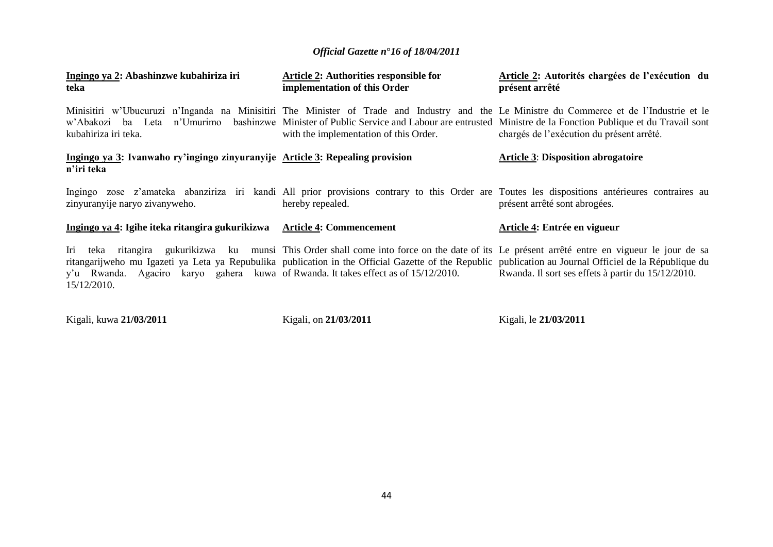| Ingingo ya 2: Abashinzwe kubahiriza iri<br>teka                                                   | Article 2: Authorities responsible for<br>implementation of this Order                                                                                                                                                                                                                                                               | Article 2: Autorités chargées de l'exécution du<br>présent arrêté                                                                                                              |  |  |
|---------------------------------------------------------------------------------------------------|--------------------------------------------------------------------------------------------------------------------------------------------------------------------------------------------------------------------------------------------------------------------------------------------------------------------------------------|--------------------------------------------------------------------------------------------------------------------------------------------------------------------------------|--|--|
| kubahiriza iri teka.                                                                              | Minisitiri w'Ubucuruzi n'Inganda na Minisitiri The Minister of Trade and Industry and the Le Ministre du Commerce et de l'Industrie et le<br>w'Abakozi ba Leta n'Umurimo bashinzwe Minister of Public Service and Labour are entrusted Ministre de la Fonction Publique et du Travail sont<br>with the implementation of this Order. | chargés de l'exécution du présent arrêté.                                                                                                                                      |  |  |
| Ingingo ya 3: Ivanwaho ry'ingingo zinyuranyije Article 3: Repealing provision<br>n'iri teka       |                                                                                                                                                                                                                                                                                                                                      | <b>Article 3: Disposition abrogatoire</b>                                                                                                                                      |  |  |
| zinyuranyije naryo zivanyweho.                                                                    | hereby repealed.                                                                                                                                                                                                                                                                                                                     | Ingingo zose z'amateka abanziriza iri kandi All prior provisions contrary to this Order are Toutes les dispositions antérieures contraires au<br>présent arrêté sont abrogées. |  |  |
| Ingingo ya 4: Igihe iteka ritangira gukurikizwa                                                   | <b>Article 4: Commencement</b>                                                                                                                                                                                                                                                                                                       | Article 4: Entrée en vigueur                                                                                                                                                   |  |  |
| y'u Rwanda. Agaciro karyo gahera kuwa of Rwanda. It takes effect as of 15/12/2010.<br>15/12/2010. | Iri teka ritangira gukurikizwa ku munsi This Order shall come into force on the date of its Le présent arrêté entre en vigueur le jour de sa<br>ritangarijweho mu Igazeti ya Leta ya Repubulika publication in the Official Gazette of the Republic publication au Journal Officiel de la République du                              | Rwanda. Il sort ses effets à partir du 15/12/2010.                                                                                                                             |  |  |

Kigali, kuwa **21/03/2011**

Kigali, on **21/03/2011**

Kigali, le **21/03/2011**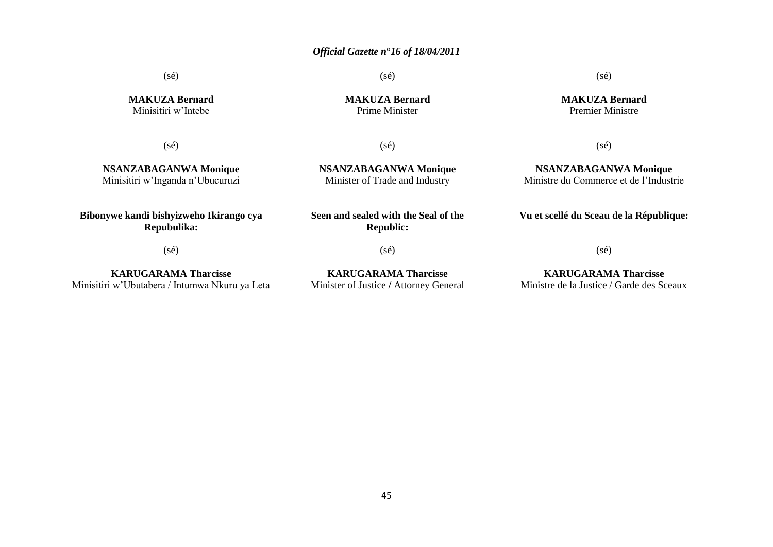(sé)

**MAKUZA Bernard** Minisitiri w"Intebe

 $(sé)$ 

**NSANZABAGANWA Monique** Minisitiri w"Inganda n"Ubucuruzi

**MAKUZA Bernard** Prime Minister

(sé)

### (sé)

**MAKUZA Bernard** Premier Ministre

(sé)

**NSANZABAGANWA Monique** Minister of Trade and Industry

**Bibonywe kandi bishyizweho Ikirango cya Repubulika:**

(sé)

**Seen and sealed with the Seal of the Republic:**

(sé)

**KARUGARAMA Tharcisse** Minisitiri w"Ubutabera / Intumwa Nkuru ya Leta

**KARUGARAMA Tharcisse** Minister of Justice **/** Attorney General  $(sé)$ 

**NSANZABAGANWA Monique** Ministre du Commerce et de l"Industrie

**Vu et scellé du Sceau de la République:**

(sé)

**KARUGARAMA Tharcisse** Ministre de la Justice / Garde des Sceaux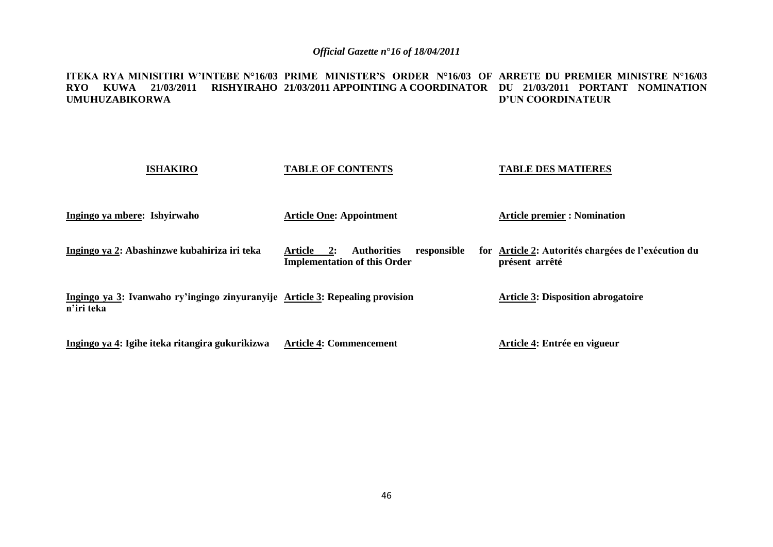#### **ITEKA RYA MINISITIRI W'INTEBE N°16/03 PRIME MINISTER'S ORDER N°16/03 OF ARRETE DU PREMIER MINISTRE N°16/03 RYO KUWA 21/03/2011 RISHYIRAHO 21/03/2011 APPOINTING A COORDINATOR DU 21/03/2011 PORTANT NOMINATION UMUHUZABIKORWA D'UN COORDINATEUR**

| <b>ISHAKIRO</b>                                                                             | <b>TABLE OF CONTENTS</b>                                                                  | <b>TABLE DES MATIERES</b>                                             |  |
|---------------------------------------------------------------------------------------------|-------------------------------------------------------------------------------------------|-----------------------------------------------------------------------|--|
| Ingingo ya mbere: Ishyirwaho                                                                | <b>Article One: Appointment</b>                                                           | <b>Article premier : Nomination</b>                                   |  |
| Ingingo ya 2: Abashinzwe kubahiriza iri teka                                                | responsible<br>Article<br><b>Authorities</b><br>2:<br><b>Implementation of this Order</b> | for Article 2: Autorités chargées de l'exécution du<br>présent arrêté |  |
| Ingingo ya 3: Ivanwaho ry'ingingo zinyuranyije Article 3: Repealing provision<br>n'iri teka |                                                                                           | <b>Article 3: Disposition abrogatoire</b>                             |  |
| Ingingo ya 4: Igihe iteka ritangira gukurikizwa                                             | <b>Article 4: Commencement</b>                                                            | Article 4: Entrée en vigueur                                          |  |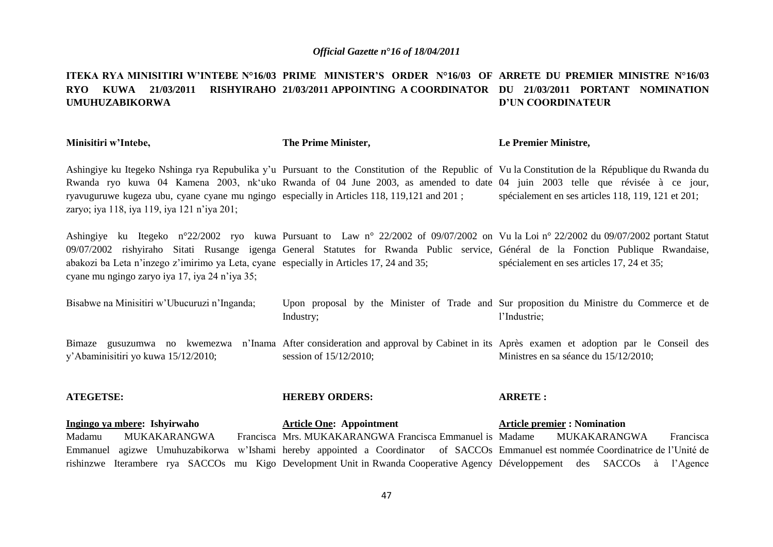#### **ITEKA RYA MINISITIRI W'INTEBE N°16/03 PRIME MINISTER'S ORDER N°16/03 OF ARRETE DU PREMIER MINISTRE N°16/03 RYO KUWA 21/03/2011 RISHYIRAHO 21/03/2011 APPOINTING A COORDINATOR DU 21/03/2011 PORTANT NOMINATION UMUHUZABIKORWA D'UN COORDINATEUR**

**Minisitiri w'Intebe, The Prime Minister, Le Premier Ministre,**

Ashingiye ku Itegeko Nshinga rya Repubulika y"u Pursuant to the Constitution of the Republic of Vu la Constitution de la République du Rwanda du Rwanda ryo kuwa 04 Kamena 2003, nk'uko Rwanda of 04 June 2003, as amended to date 04 juin 2003 telle que révisée à ce jour, ryavuguruwe kugeza ubu, cyane cyane mu ngingo especially in Articles 118, 119,121 and 201 ; zaryo; iya 118, iya 119, iya 121 n"iya 201; spécialement en ses articles 118, 119, 121 et 201;

Ashingiye ku Itegeko n°22/2002 ryo kuwa Pursuant to Law n° 22/2002 of 09/07/2002 on Vu la Loi n° 22/2002 du 09/07/2002 portant Statut 09/07/2002 rishyiraho Sitati Rusange igenga General Statutes for Rwanda Public service, Général de la Fonction Publique Rwandaise, abakozi ba Leta n"inzego z"imirimo ya Leta, cyane especially in Articles 17, 24 and 35; cyane mu ngingo zaryo iya 17, iya 24 n"iya 35; spécialement en ses articles 17, 24 et 35;

| Bisabwe na Minisitiri w'Ubucuruzi n'Inganda; | Industry; |  |  |  | Upon proposal by the Minister of Trade and Sur proposition du Ministre du Commerce et de<br>''Industrie:                                                                                                                          |  |  |  |
|----------------------------------------------|-----------|--|--|--|-----------------------------------------------------------------------------------------------------------------------------------------------------------------------------------------------------------------------------------|--|--|--|
| $\overline{\phantom{a}}$                     |           |  |  |  | $\mathbf{a}$ . The contract of the contract of the contract of the contract of the contract of the contract of the contract of the contract of the contract of the contract of the contract of the contract of the contract of th |  |  |  |

Bimaze gusuzumwa no kwemezwa n'Inama After consideration and approval by Cabinet in its Après examen et adoption par le Conseil des y"Abaminisitiri yo kuwa 15/12/2010; session of 15/12/2010; Ministres en sa séance du 15/12/2010;

#### **ATEGETSE: Ingingo ya mbere: Ishyirwaho** Madamu MUKAKARANGWA Emmanuel agizwe Umuhuzabikorwa w'Ishami hereby appointed a Coordinator of SACCOs Emmanuel est nommée Coordinatrice de l'Unité de rishinzwe Iterambere rya SACCOs mu Kigo Development Unit in Rwanda Cooperative Agency Développement des SACCOs à l"Agence **HEREBY ORDERS: Article One: Appointment**  Francisca Mrs. MUKAKARANGWA Francisca Emmanuel is Madame **ARRETE : Article premier : Nomination**  MUKAKARANGWA Francisca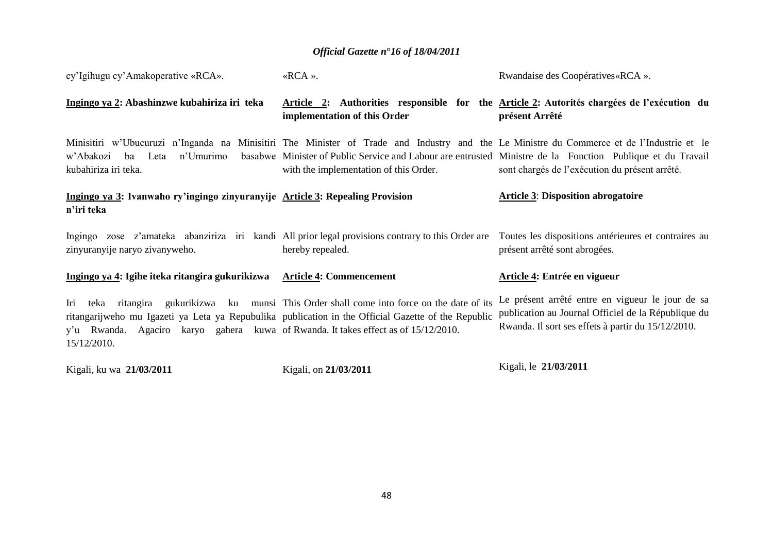| cy'Igihugu cy'Amakoperative «RCA».                                                                                                                                                                              | «RCA».                                                                                                        | Rwandaise des Coopératives «RCA ».                                                                                                                                                                                                                                                                        |  |  |
|-----------------------------------------------------------------------------------------------------------------------------------------------------------------------------------------------------------------|---------------------------------------------------------------------------------------------------------------|-----------------------------------------------------------------------------------------------------------------------------------------------------------------------------------------------------------------------------------------------------------------------------------------------------------|--|--|
| Ingingo ya 2: Abashinzwe kubahiriza iri teka                                                                                                                                                                    | implementation of this Order                                                                                  | Article 2: Authorities responsible for the Article 2: Autorités chargées de l'exécution du<br>présent Arrêté                                                                                                                                                                                              |  |  |
| n'Umurimo<br>w'Abakozi<br>ba<br>Leta<br>kubahiriza iri teka.                                                                                                                                                    | with the implementation of this Order.                                                                        | Minisitiri w'Ubucuruzi n'Inganda na Minisitiri The Minister of Trade and Industry and the Le Ministre du Commerce et de l'Industrie et le<br>basabwe Minister of Public Service and Labour are entrusted Ministre de la Fonction Publique et du Travail<br>sont chargés de l'exécution du présent arrêté. |  |  |
| Ingingo ya 3: Ivanwaho ry'ingingo zinyuranyije Article 3: Repealing Provision<br>n'iri teka                                                                                                                     |                                                                                                               | <b>Article 3: Disposition abrogatoire</b>                                                                                                                                                                                                                                                                 |  |  |
| Ingingo<br>zinyuranyije naryo zivanyweho.                                                                                                                                                                       | zose z'amateka abanziriza iri kandi All prior legal provisions contrary to this Order are<br>hereby repealed. | Toutes les dispositions antérieures et contraires au<br>présent arrêté sont abrogées.                                                                                                                                                                                                                     |  |  |
| Ingingo ya 4: Igihe iteka ritangira gukurikizwa                                                                                                                                                                 | <b>Article 4: Commencement</b>                                                                                | Article 4: Entrée en vigueur                                                                                                                                                                                                                                                                              |  |  |
| Iri<br>ritangarijweho mu Igazeti ya Leta ya Repubulika publication in the Official Gazette of the Republic<br>y'u Rwanda. Agaciro karyo gahera kuwa of Rwanda. It takes effect as of 15/12/2010.<br>15/12/2010. | teka ritangira gukurikizwa ku munsi This Order shall come into force on the date of its                       | Le présent arrêté entre en vigueur le jour de sa<br>publication au Journal Officiel de la République du<br>Rwanda. Il sort ses effets à partir du 15/12/2010.                                                                                                                                             |  |  |
|                                                                                                                                                                                                                 |                                                                                                               |                                                                                                                                                                                                                                                                                                           |  |  |

Kigali, ku wa **21/03/2011**

Kigali, on **21/03/2011**

Kigali, le **21/03/2011**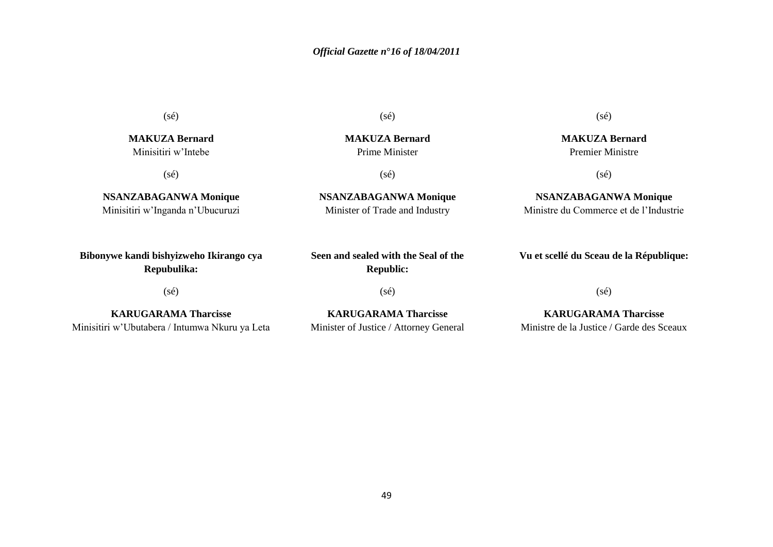(sé)

**MAKUZA Bernard** Minisitiri w"Intebe

(sé)

**NSANZABAGANWA Monique** Minisitiri w"Inganda n"Ubucuruzi

**Bibonywe kandi bishyizweho Ikirango cya Repubulika:**

(sé)

**KARUGARAMA Tharcisse** Minisitiri w"Ubutabera / Intumwa Nkuru ya Leta (sé)

**MAKUZA Bernard** Prime Minister

(sé)

**NSANZABAGANWA Monique** Minister of Trade and Industry

(sé)

**MAKUZA Bernard** Premier Ministre

(sé)

**NSANZABAGANWA Monique** Ministre du Commerce et de l"Industrie

**Vu et scellé du Sceau de la République:**

(sé)

**Seen and sealed with the Seal of the Republic:**

**KARUGARAMA Tharcisse** Minister of Justice / Attorney General (sé)

**KARUGARAMA Tharcisse** Ministre de la Justice / Garde des Sceaux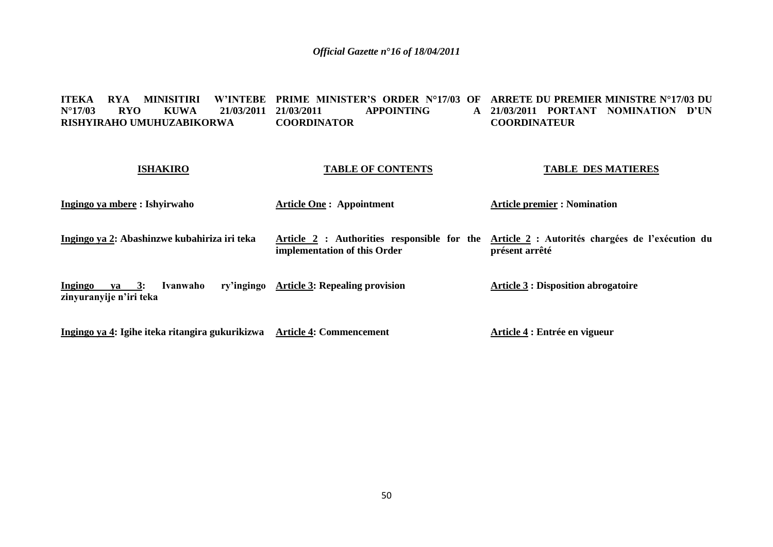**ITEKA RYA MINISITIRI W'INTEBE PRIME MINISTER'S ORDER N°17/03 OF ARRETE DU PREMIER MINISTRE N°17/03 DU N°17/03 RYO KUWA 21/03/2011 RISHYIRAHO UMUHUZABIKORWA 21 APPOINTING COORDINATOR 21/03/2011 PORTANT NOMINATION D'UN COORDINATEUR**

### **ISHAKIRO**

### **TABLE OF CONTENTS**

### **TABLE DES MATIERES**

| Ingingo ya mbere : Ishyirwaho                                                                                                                                                                                                                                                                                                                       | <b>Article One: Appointment</b>           | <b>Article premier : Nomination</b>                                                                          |  |  |  |
|-----------------------------------------------------------------------------------------------------------------------------------------------------------------------------------------------------------------------------------------------------------------------------------------------------------------------------------------------------|-------------------------------------------|--------------------------------------------------------------------------------------------------------------|--|--|--|
| Ingingo ya 2: Abashinzwe kubahiriza iri teka                                                                                                                                                                                                                                                                                                        | implementation of this Order              | Article 2: Authorities responsible for the Article 2: Autorités chargées de l'exécution du<br>présent arrêté |  |  |  |
| Ivanwaho<br>$va = 3:$<br>Ingingo<br>zinyuranyije n'iri teka                                                                                                                                                                                                                                                                                         | ry'ingingo Article 3: Repealing provision | <b>Article 3 : Disposition abrogatoire</b>                                                                   |  |  |  |
| $\overline{a}$ , $\overline{a}$ , $\overline{a}$ , $\overline{a}$ , $\overline{a}$ , $\overline{a}$ , $\overline{a}$ , $\overline{a}$ , $\overline{a}$ , $\overline{a}$ , $\overline{a}$ , $\overline{a}$ , $\overline{a}$ , $\overline{a}$ , $\overline{a}$ , $\overline{a}$ , $\overline{a}$ , $\overline{a}$ , $\overline{a}$ , $\overline{a}$ , |                                           |                                                                                                              |  |  |  |

**Ingingo ya 4: Igihe iteka ritangira gukurikizwa Article 4: Commencement**

**Article 4 : Entrée en vigueur**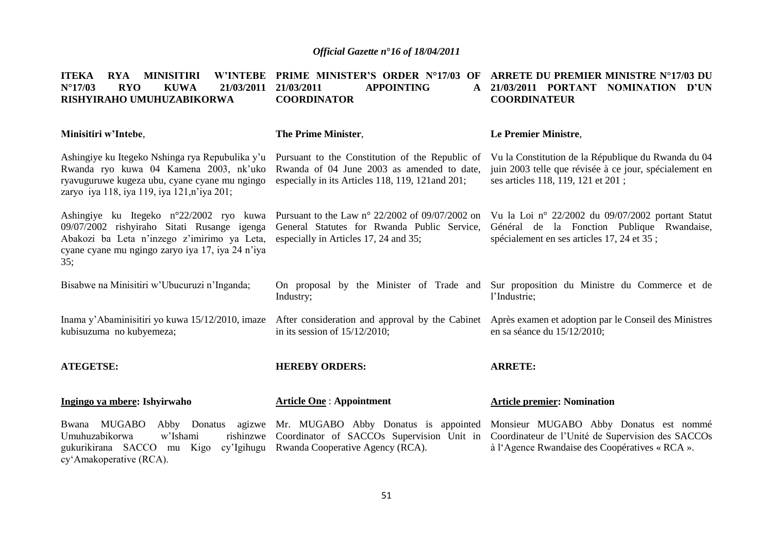| <b>MINISITIRI</b><br><b>W'INTEBE</b><br><b>ITEKA</b><br><b>RYA</b><br>$N^{\circ}17/03$<br><b>RYO</b><br><b>KUWA</b><br>21/03/2011<br>RISHYIRAHO UMUHUZABIKORWA                                   | <b>PRIME MINISTER'S ORDER N°17/03 OF</b><br><b>APPOINTING</b><br>21/03/2011<br>$\mathbf{A}$<br><b>COORDINATOR</b>                                  | ARRETE DU PREMIER MINISTRE N°17/03 DU<br>21/03/2011 PORTANT NOMINATION D'UN<br><b>COORDINATEUR</b>                                                  |  |  |  |
|--------------------------------------------------------------------------------------------------------------------------------------------------------------------------------------------------|----------------------------------------------------------------------------------------------------------------------------------------------------|-----------------------------------------------------------------------------------------------------------------------------------------------------|--|--|--|
| Minisitiri w'Intebe,                                                                                                                                                                             | <b>The Prime Minister,</b>                                                                                                                         | Le Premier Ministre,                                                                                                                                |  |  |  |
| Ashingiye ku Itegeko Nshinga rya Repubulika y'u<br>Rwanda ryo kuwa 04 Kamena 2003, nk'uko<br>ryavuguruwe kugeza ubu, cyane cyane mu ngingo<br>zaryo iya 118, iya 119, iya 121, n'iya 201;        | Pursuant to the Constitution of the Republic of<br>Rwanda of 04 June 2003 as amended to date,<br>especially in its Articles 118, 119, 121 and 201; | Vu la Constitution de la République du Rwanda du 04<br>juin 2003 telle que révisée à ce jour, spécialement en<br>ses articles 118, 119, 121 et 201; |  |  |  |
| Ashingiye ku Itegeko n°22/2002 ryo kuwa<br>09/07/2002 rishyiraho Sitati Rusange igenga<br>Abakozi ba Leta n'inzego z'imirimo ya Leta,<br>cyane cyane mu ngingo zaryo iya 17, iya 24 n'iya<br>35: | Pursuant to the Law $n^{\circ}$ 22/2002 of 09/07/2002 on<br>General Statutes for Rwanda Public Service,<br>especially in Articles 17, 24 and 35;   | Vu la Loi nº 22/2002 du 09/07/2002 portant Statut<br>Général de la Fonction Publique Rwandaise,<br>spécialement en ses articles 17, 24 et 35 ;      |  |  |  |
| Bisabwe na Minisitiri w'Ubucuruzi n'Inganda;                                                                                                                                                     | Industry;                                                                                                                                          | On proposal by the Minister of Trade and Sur proposition du Ministre du Commerce et de<br>l'Industrie;                                              |  |  |  |
| Inama y'Abaminisitiri yo kuwa 15/12/2010, imaze<br>kubisuzuma no kubyemeza;                                                                                                                      | After consideration and approval by the Cabinet<br>in its session of $15/12/2010$ ;                                                                | Après examen et adoption par le Conseil des Ministres<br>en sa séance du 15/12/2010;                                                                |  |  |  |
| <b>ATEGETSE:</b>                                                                                                                                                                                 | <b>HEREBY ORDERS:</b>                                                                                                                              | <b>ARRETE:</b>                                                                                                                                      |  |  |  |
| Ingingo ya mbere: Ishyirwaho                                                                                                                                                                     | <b>Article One: Appointment</b>                                                                                                                    | <b>Article premier: Nomination</b>                                                                                                                  |  |  |  |
| Bwana MUGABO<br>Abby Donatus<br>Umuhuzabikorwa<br>w'Ishami<br>rishinzwe<br>gukurikirana SACCO mu Kigo<br>cy'Igihugu<br>cy'Amakoperative (RCA).                                                   | agizwe Mr. MUGABO Abby Donatus is appointed<br>Coordinator of SACCOs Supervision Unit in<br>Rwanda Cooperative Agency (RCA).                       | Monsieur MUGABO Abby Donatus est nommé<br>Coordinateur de l'Unité de Supervision des SACCOs<br>à l'Agence Rwandaise des Coopératives « RCA ».       |  |  |  |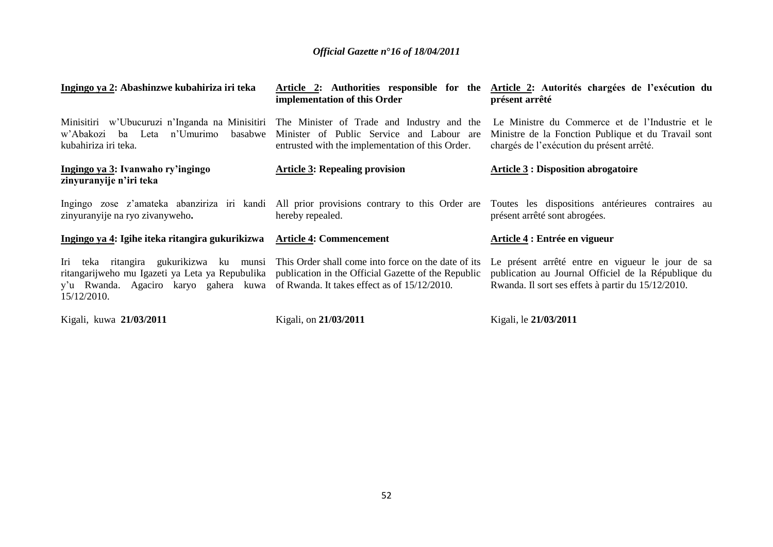| Ingingo ya 2: Abashinzwe kubahiriza iri teka                                                                                                                                                              | Article 2: Authorities responsible for the<br>implementation of this Order                          | Article 2: Autorités chargées de l'exécution du<br>présent arrêté                                                                                                              |
|-----------------------------------------------------------------------------------------------------------------------------------------------------------------------------------------------------------|-----------------------------------------------------------------------------------------------------|--------------------------------------------------------------------------------------------------------------------------------------------------------------------------------|
| Minisitiri w'Ubucuruzi n'Inganda na Minisitiri The Minister of Trade and Industry and the<br>n'Umurimo<br>basabwe<br>w'Abakozi ba Leta<br>kubahiriza iri teka.                                            | Minister of Public Service and Labour are<br>entrusted with the implementation of this Order.       | Le Ministre du Commerce et de l'Industrie et le<br>Ministre de la Fonction Publique et du Travail sont<br>chargés de l'exécution du présent arrêté.                            |
| Ingingo ya 3: Ivanwaho ry'ingingo<br>zinyuranyije n'iri teka                                                                                                                                              | <b>Article 3: Repealing provision</b>                                                               | <b>Article 3 : Disposition abrogatoire</b>                                                                                                                                     |
| zinyuranyije na ryo zivanyweho.                                                                                                                                                                           | hereby repealed.                                                                                    | Ingingo zose z'amateka abanziriza iri kandi All prior provisions contrary to this Order are Toutes les dispositions antérieures contraires au<br>présent arrêté sont abrogées. |
| Ingingo ya 4: Igihe iteka ritangira gukurikizwa                                                                                                                                                           | <b>Article 4: Commencement</b>                                                                      | Article 4 : Entrée en vigueur                                                                                                                                                  |
| Iri<br>teka ritangira gukurikizwa ku munsi<br>ritangarijweho mu Igazeti ya Leta ya Repubulika publication in the Official Gazette of the Republic<br>y'u Rwanda. Agaciro karyo gahera kuwa<br>15/12/2010. | This Order shall come into force on the date of its<br>of Rwanda. It takes effect as of 15/12/2010. | Le présent arrêté entre en vigueur le jour de sa<br>publication au Journal Officiel de la République du<br>Rwanda. Il sort ses effets à partir du 15/12/2010.                  |
| Kigali, kuwa 21/03/2011                                                                                                                                                                                   | Kigali, on 21/03/2011                                                                               | Kigali, le 21/03/2011                                                                                                                                                          |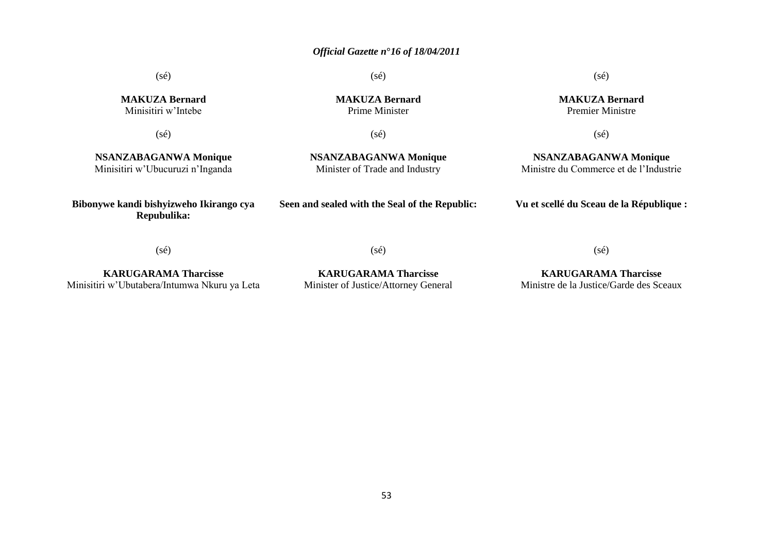(sé)

**MAKUZA Bernard** Minisitiri w"Intebe

(sé)

**MAKUZA Bernard** Prime Minister

(sé)

**NSANZABAGANWA Monique** Minisitiri w"Ubucuruzi n"Inganda

(sé)

**NSANZABAGANWA Monique** Minister of Trade and Industry

**Bibonywe kandi bishyizweho Ikirango cya Repubulika:**

**Seen and sealed with the Seal of the Republic:**

**Vu et scellé du Sceau de la République :**

(sé)

**KARUGARAMA Tharcisse** Minisitiri w"Ubutabera/Intumwa Nkuru ya Leta

**KARUGARAMA Tharcisse** Minister of Justice/Attorney General

(sé)

**KARUGARAMA Tharcisse** Ministre de la Justice/Garde des Sceaux

(sé)

**MAKUZA Bernard**

(sé)

**NSANZABAGANWA Monique** Ministre du Commerce et de l"Industrie

Premier Ministre

(sé)

53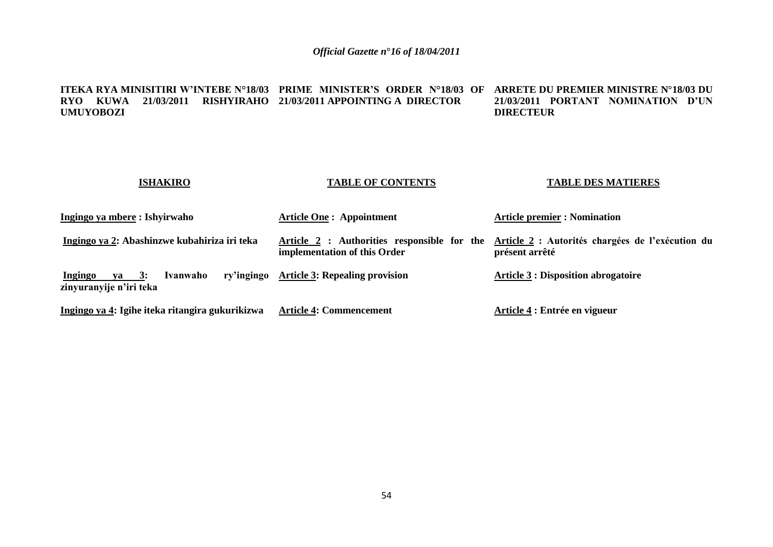#### **ITEKA RYA MINISITIRI W'INTEBE N°18/03 PRIME MINISTER'S ORDER N°18/03 OF ARRETE DU PREMIER MINISTRE N°18/03 DU RYO KUWA 21/03/2011 RISHYIRAHO 21/03/2011 APPOINTING A DIRECTOR UMUYOBOZI 21/03/2011 PORTANT NOMINATION D'UN DIRECTEUR**

| <b>ISHAKIRO</b>                                                                | <b>TABLE OF CONTENTS</b>                                                    | <b>TABLE DES MATIERES</b>                                          |
|--------------------------------------------------------------------------------|-----------------------------------------------------------------------------|--------------------------------------------------------------------|
| Ingingo ya mbere : Ishyirwaho                                                  | <b>Article One: Appointment</b>                                             | <b>Article premier : Nomination</b>                                |
| Ingingo ya 2: Abashinzwe kubahiriza iri teka                                   | Article 2 : Authorities responsible for the<br>implementation of this Order | Article 2 : Autorités chargées de l'exécution du<br>présent arrêté |
| ry'ingingo<br><b>Ingingo</b><br>Ivanwaho<br>ya $3:$<br>zinyuranyije n'iri teka | <b>Article 3: Repealing provision</b>                                       | <b>Article 3 : Disposition abrogatoire</b>                         |
| Ingingo ya 4: Igihe iteka ritangira gukurikizwa                                | <b>Article 4: Commencement</b>                                              | Article 4 : Entrée en vigueur                                      |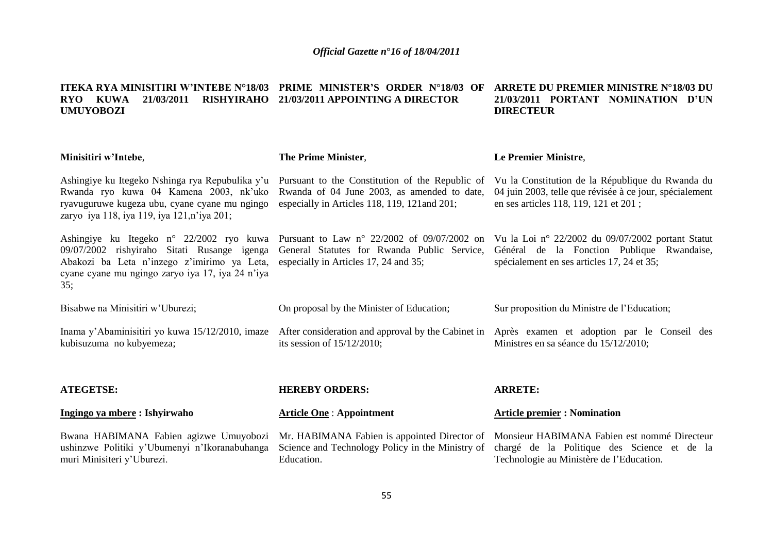#### **ITEKA RYA MINISITIRI W'INTEBE N°18/03 PRIME MINISTER'S ORDER N°18/03 OF ARRETE DU PREMIER MINISTRE N°18/03 DU RYO KUWA 21/03/2011 RISHYIRAHO 21/03/2011 APPOINTING A DIRECTOR UMUYOBOZI 21/03/2011 PORTANT NOMINATION D'UN DIRECTEUR**

| Minisitiri w'Intebe,                                                                                                                                                                              | The Prime Minister,                                                                                                                             | Le Premier Ministre,                                                                                                                                                                      |
|---------------------------------------------------------------------------------------------------------------------------------------------------------------------------------------------------|-------------------------------------------------------------------------------------------------------------------------------------------------|-------------------------------------------------------------------------------------------------------------------------------------------------------------------------------------------|
| Ashingiye ku Itegeko Nshinga rya Repubulika y'u<br>Rwanda ryo kuwa 04 Kamena 2003, nk'uko<br>ryavuguruwe kugeza ubu, cyane cyane mu ngingo<br>zaryo iya 118, iya 119, iya 121, n'iya 201;         | Pursuant to the Constitution of the Republic of<br>Rwanda of 04 June 2003, as amended to date,<br>especially in Articles 118, 119, 121 and 201; | Vu la Constitution de la République du Rwanda du<br>04 juin 2003, telle que révisée à ce jour, spécialement<br>en ses articles 118, 119, 121 et 201;                                      |
| Ashingiye ku Itegeko n° 22/2002 ryo kuwa<br>09/07/2002 rishyiraho Sitati Rusange igenga<br>Abakozi ba Leta n'inzego z'imirimo ya Leta,<br>cyane cyane mu ngingo zaryo iya 17, iya 24 n'iya<br>35; | General Statutes for Rwanda Public Service,<br>especially in Articles 17, 24 and 35;                                                            | Pursuant to Law n° 22/2002 of 09/07/2002 on Vu la Loi n° 22/2002 du 09/07/2002 portant Statut<br>Général de la Fonction Publique Rwandaise,<br>spécialement en ses articles 17, 24 et 35; |
| Bisabwe na Minisitiri w'Uburezi;                                                                                                                                                                  | On proposal by the Minister of Education;                                                                                                       | Sur proposition du Ministre de l'Education;                                                                                                                                               |
| Inama y'Abaminisitiri yo kuwa 15/12/2010, imaze<br>kubisuzuma no kubyemeza;                                                                                                                       | After consideration and approval by the Cabinet in<br>its session of $15/12/2010$ ;                                                             | Après examen et adoption par le Conseil des<br>Ministres en sa séance du 15/12/2010;                                                                                                      |
| <b>ATEGETSE:</b>                                                                                                                                                                                  | <b>HEREBY ORDERS:</b>                                                                                                                           | <b>ARRETE:</b>                                                                                                                                                                            |
| Ingingo ya mbere: Ishyirwaho                                                                                                                                                                      | <b>Article One: Appointment</b>                                                                                                                 | <b>Article premier: Nomination</b>                                                                                                                                                        |
| Bwana HABIMANA Fabien agizwe Umuyobozi<br>ushinzwe Politiki y'Ubumenyi n'Ikoranabuhanga<br>muri Minisiteri y'Uburezi.                                                                             | Science and Technology Policy in the Ministry of<br>Education.                                                                                  | Mr. HABIMANA Fabien is appointed Director of Monsieur HABIMANA Fabien est nommé Directeur<br>chargé de la Politique des Science et de la<br>Technologie au Ministère de l'Education.      |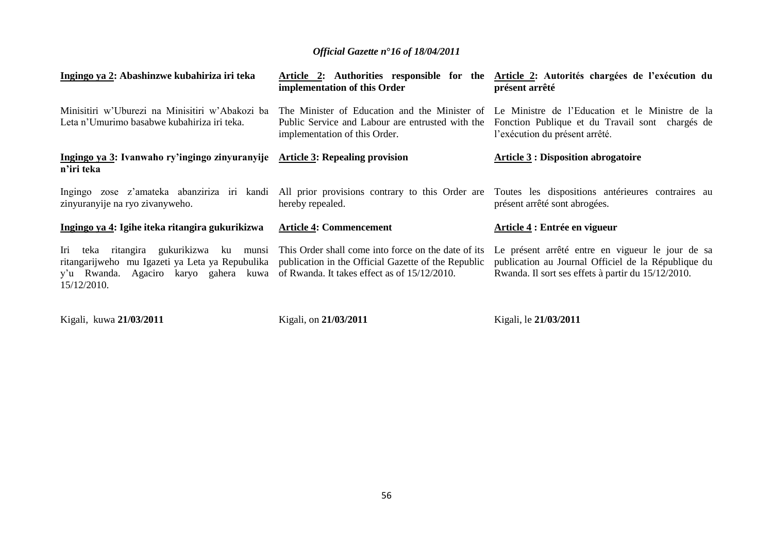| Ingingo ya 2: Abashinzwe kubahiriza iri teka                                                                                                          | implementation of this Order                                                                                                                               | Article 2: Authorities responsible for the Article 2: Autorités chargées de l'exécution du<br>présent arrêté                                                  |
|-------------------------------------------------------------------------------------------------------------------------------------------------------|------------------------------------------------------------------------------------------------------------------------------------------------------------|---------------------------------------------------------------------------------------------------------------------------------------------------------------|
| Minisitiri w'Uburezi na Minisitiri w'Abakozi ba<br>Leta n'Umurimo basabwe kubahiriza iri teka.                                                        | The Minister of Education and the Minister of<br>Public Service and Labour are entrusted with the<br>implementation of this Order.                         | Le Ministre de l'Education et le Ministre de la<br>Fonction Publique et du Travail sont chargés de<br>l'exécution du présent arrêté.                          |
| Ingingo ya 3: Ivanwaho ry'ingingo zinyuranyije Article 3: Repealing provision<br>n'iri teka                                                           |                                                                                                                                                            | <b>Article 3 : Disposition abrogatoire</b>                                                                                                                    |
| Ingingo zose z'amateka abanziriza iri kandi<br>zinyuranyije na ryo zivanyweho.                                                                        | hereby repealed.                                                                                                                                           | All prior provisions contrary to this Order are Toutes les dispositions antérieures contraires au<br>présent arrêté sont abrogées.                            |
| Ingingo ya 4: Igihe iteka ritangira gukurikizwa                                                                                                       | <b>Article 4: Commencement</b>                                                                                                                             | Article 4 : Entrée en vigueur                                                                                                                                 |
| Iri teka ritangira gukurikizwa ku<br>munsi<br>ritangarijweho mu Igazeti ya Leta ya Repubulika<br>y'u Rwanda. Agaciro karyo gahera kuwa<br>15/12/2010. | This Order shall come into force on the date of its<br>publication in the Official Gazette of the Republic<br>of Rwanda. It takes effect as of 15/12/2010. | Le présent arrêté entre en vigueur le jour de sa<br>publication au Journal Officiel de la République du<br>Rwanda. Il sort ses effets à partir du 15/12/2010. |

Kigali, kuwa **21/03/2011**

Kigali, on **21/03/2011**

Kigali, le **21/03/2011**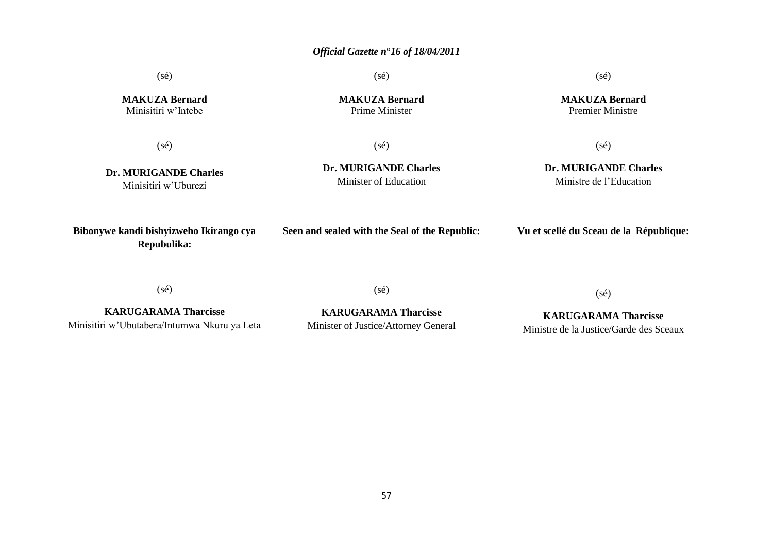(sé)

(sé)

(sé)

**MAKUZA Bernard** Premier Ministre

**MAKUZA Bernard** Minisitiri w"Intebe

**MAKUZA Bernard** Prime Minister

(sé)

(sé)

**Dr. MURIGANDE Charles** Minisitiri w"Uburezi

**Dr. MURIGANDE Charles** Minister of Education

 $(sé)$ 

**Dr. MURIGANDE Charles** Ministre de l"Education

**Bibonywe kandi bishyizweho Ikirango cya Repubulika:**

**Seen and sealed with the Seal of the Republic:**

**Vu et scellé du Sceau de la République:**

(sé)

(sé)

(sé)

**KARUGARAMA Tharcisse** Minisitiri w"Ubutabera/Intumwa Nkuru ya Leta

**KARUGARAMA Tharcisse** Minister of Justice/Attorney General

**KARUGARAMA Tharcisse** Ministre de la Justice/Garde des Sceaux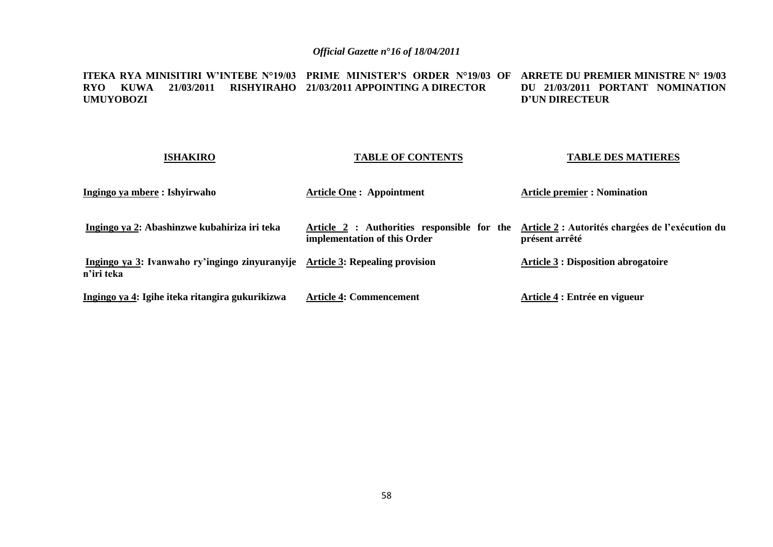**ITEKA RYA MINISITIRI W'INTEBE N°19/03 PRIME MINISTER'S ORDER N°19/03 OF ARRETE DU PREMIER MINISTRE N° 19/03 RYO KUWA 21/03/2011 RISHYIRAHO 21/03/2011 APPOINTING A DIRECTOR UMUYOBOZI DU 21/03/2011 PORTANT NOMINATION D'UN DIRECTEUR** 

### **ISHAKIRO Ingingo ya mbere : Ishyirwaho Ingingo ya 2: Abashinzwe kubahiriza iri teka Ingingo ya 3: Ivanwaho ry'ingingo zinyuranyije Article 3: Repealing provision n'iri teka Ingingo ya 4: Igihe iteka ritangira gukurikizwa TABLE OF CONTENTS Article One : Appointment Article 2 : Authorities responsible for the Article 2 : Autorités chargées de l'exécution du implementation of this Order Article 4: Commencement TABLE DES MATIERES Article premier : Nomination présent arrêté Article 3 : Disposition abrogatoire Article 4 : Entrée en vigueur**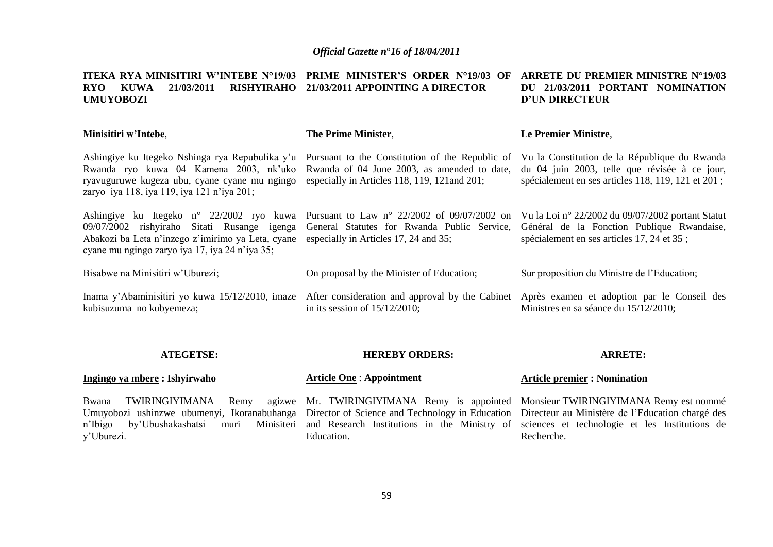#### **ITEKA RYA MINISITIRI W'INTEBE N°19/03 PRIME MINISTER'S ORDER N°19/03 OF ARRETE DU PREMIER MINISTRE N°19/03 RYO KUWA 21/03/2011 RISHYIRAHO 21/03/2011 APPOINTING A DIRECTOR UMUYOBOZI DU 21/03/2011 PORTANT NOMINATION D'UN DIRECTEUR**

| Minisitiri w'Intebe,                                                                                                                                                                                                                                                                                                               | The Prime Minister.                                                                                                             | Le Premier Ministre,                                                                                                                                 |
|------------------------------------------------------------------------------------------------------------------------------------------------------------------------------------------------------------------------------------------------------------------------------------------------------------------------------------|---------------------------------------------------------------------------------------------------------------------------------|------------------------------------------------------------------------------------------------------------------------------------------------------|
| Ashingiye ku Itegeko Nshinga rya Repubulika y'u Pursuant to the Constitution of the Republic of<br>Rwanda ryo kuwa 04 Kamena 2003, nk'uko Rwanda of 04 June 2003, as amended to date,<br>ryavuguruwe kugeza ubu, cyane cyane mu ngingo especially in Articles 118, 119, 121 and 201;<br>zaryo iya 118, iya 119, iya 121 n'iya 201; |                                                                                                                                 | Vu la Constitution de la République du Rwanda<br>du 04 juin 2003, telle que révisée à ce jour,<br>spécialement en ses articles 118, 119, 121 et 201; |
| Ashingiye ku Itegeko n° 22/2002 ryo kuwa Pursuant to Law n° 22/2002 of 09/07/2002 on<br>09/07/2002 rishyiraho Sitati Rusange igenga General Statutes for Rwanda Public Service,<br>Abakozi ba Leta n'inzego z'imirimo ya Leta, cyane<br>cyane mu ngingo zaryo iya 17, iya 24 n'iya 35;                                             | especially in Articles 17, 24 and 35;                                                                                           | Vu la Loi nº 22/2002 du 09/07/2002 portant Statut<br>Général de la Fonction Publique Rwandaise,<br>spécialement en ses articles 17, 24 et 35;        |
| Bisabwe na Minisitiri w'Uburezi;                                                                                                                                                                                                                                                                                                   | On proposal by the Minister of Education;                                                                                       | Sur proposition du Ministre de l'Education;                                                                                                          |
| Inama y'Abaminisitiri yo kuwa 15/12/2010, imaze<br>kubisuzuma no kubyemeza;                                                                                                                                                                                                                                                        | After consideration and approval by the Cabinet Après examen et adoption par le Conseil des<br>in its session of $15/12/2010$ ; | Ministres en sa séance du 15/12/2010;                                                                                                                |

### **ATEGETSE:**

### **HEREBY ORDERS:**

### **ARRETE:**

| Ingingo ya mbere : Ishyirwaho                                                                                                                                                                                                                                                                                                                                                                                       | <b>Article One: Appointment</b> | <b>Article premier : Nomination</b> |
|---------------------------------------------------------------------------------------------------------------------------------------------------------------------------------------------------------------------------------------------------------------------------------------------------------------------------------------------------------------------------------------------------------------------|---------------------------------|-------------------------------------|
| Bwana TWIRINGIYIMANA Remy agizwe Mr. TWIRINGIYIMANA Remy is appointed Monsieur TWIRINGIYIMANA Remy est nommé<br>Umuyobozi ushinzwe ubumenyi, Ikoranabuhanga Director of Science and Technology in Education Directeur au Ministère de l'Education chargé des<br>n'Ibigo by'Ubushakashatsi muri Minisiteri and Research Institutions in the Ministry of sciences et technologie et les Institutions de<br>y'Uburezi. | Education.                      | Recherche.                          |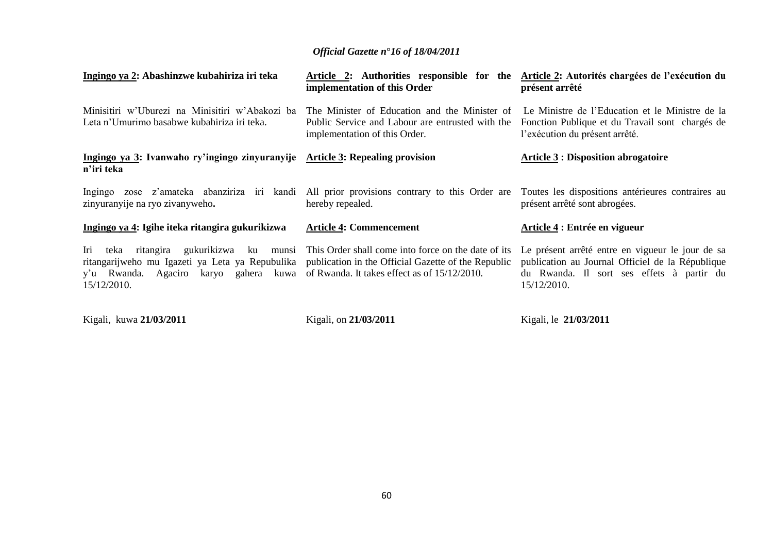| Ingingo ya 2: Abashinzwe kubahiriza iri teka                                                                                                                                                       | Article 2: Authorities responsible for the<br>implementation of this Order                                                                                                         | Article 2: Autorités chargées de l'exécution du<br>présent arrêté                                                                                                |
|----------------------------------------------------------------------------------------------------------------------------------------------------------------------------------------------------|------------------------------------------------------------------------------------------------------------------------------------------------------------------------------------|------------------------------------------------------------------------------------------------------------------------------------------------------------------|
| Minisitiri w'Uburezi na Minisitiri w'Abakozi ba<br>Leta n'Umurimo basabwe kubahiriza iri teka.                                                                                                     | The Minister of Education and the Minister of Le Ministre de l'Education et le Ministre de la<br>Public Service and Labour are entrusted with the<br>implementation of this Order. | Fonction Publique et du Travail sont chargés de<br>l'exécution du présent arrêté.                                                                                |
| Ingingo ya 3: Ivanwaho ry'ingingo zinyuranyije Article 3: Repealing provision<br>n'iri teka                                                                                                        |                                                                                                                                                                                    | <b>Article 3 : Disposition abrogatoire</b>                                                                                                                       |
| Ingingo zose z'amateka abanziriza iri kandi<br>zinyuranyije na ryo zivanyweho.                                                                                                                     | All prior provisions contrary to this Order are<br>hereby repealed.                                                                                                                | Toutes les dispositions antérieures contraires au<br>présent arrêté sont abrogées.                                                                               |
| Ingingo ya 4: Igihe iteka ritangira gukurikizwa                                                                                                                                                    | <b>Article 4: Commencement</b>                                                                                                                                                     | Article 4 : Entrée en vigueur                                                                                                                                    |
| gukurikizwa ku<br>Iri<br>teka<br>ritangira<br>ritangarijweho mu Igazeti ya Leta ya Repubulika<br>y'u Rwanda. Agaciro karyo gahera kuwa of Rwanda. It takes effect as of 15/12/2010.<br>15/12/2010. | munsi This Order shall come into force on the date of its<br>publication in the Official Gazette of the Republic                                                                   | Le présent arrêté entre en vigueur le jour de sa<br>publication au Journal Officiel de la République<br>du Rwanda. Il sort ses effets à partir du<br>15/12/2010. |

Kigali, kuwa **21/03/2011** 

Kigali, on **21/03/2011**

Kigali, le **21/03/2011**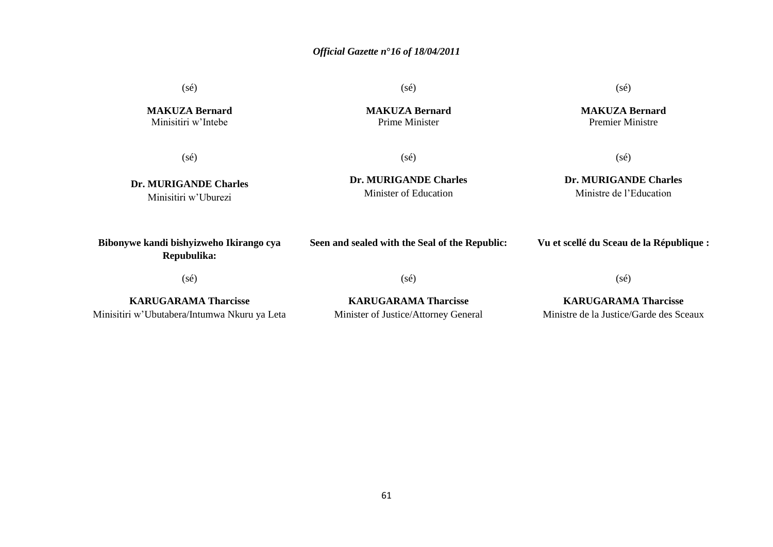(sé)

**MAKUZA Bernard** Minisitiri w"Intebe

**MAKUZA Bernard**

(sé)

**Dr. MURIGANDE Charles** Minisitiri w"Uburezi

Prime Minister

(sé)

(sé)

**Dr. MURIGANDE Charles** Minister of Education

## (sé) **Dr. MURIGANDE Charles**

Ministre de l"Education

**Bibonywe kandi bishyizweho Ikirango cya Repubulika:**

**Seen and sealed with the Seal of the Republic:**

### **Vu et scellé du Sceau de la République :**

(sé)

(sé)

(sé)

**KARUGARAMA Tharcisse** Minisitiri w"Ubutabera/Intumwa Nkuru ya Leta

**KARUGARAMA Tharcisse** Minister of Justice/Attorney General **KARUGARAMA Tharcisse**

Ministre de la Justice/Garde des Sceaux

(sé)

**MAKUZA Bernard** Premier Ministre

61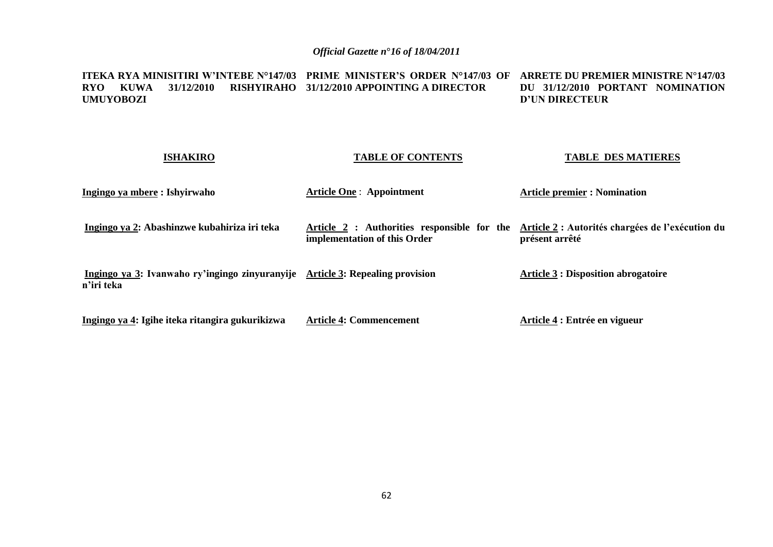#### **ITEKA RYA MINISITIRI W'INTEBE N°147/03 PRIME MINISTER'S ORDER N°147/03 OF ARRETE DU PREMIER MINISTRE N°147/03 RYO KUWA 31/12/2010 RISHYIRAHO 31/12/2010 APPOINTING A DIRECTOR UMUYOBOZI DU 31/12/2010 PORTANT NOMINATION D'UN DIRECTEUR**

### **ISHAKIRO Ingingo ya mbere : Ishyirwaho Ingingo ya 2: Abashinzwe kubahiriza iri teka Ingingo ya 3: Ivanwaho ry'ingingo zinyuranyije Article 3: Repealing provision n'iri teka Ingingo ya 4: Igihe iteka ritangira gukurikizwa TABLE OF CONTENTS Article One** : **Appointment Article 2 : Authorities responsible for the Article 2 : Autorités chargées de l'exécution du implementation of this Order Article 4: Commencement TABLE DES MATIERES Article premier : Nomination présent arrêté Article 3 : Disposition abrogatoire Article 4 : Entrée en vigueur**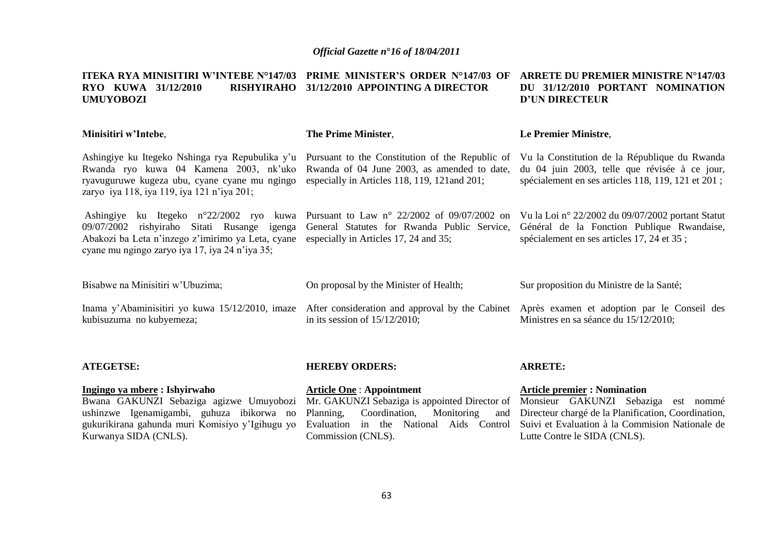#### **ITEKA RYA MINISITIRI W'INTEBE N°147/03 PRIME MINISTER'S ORDER N°147/03 OF ARRETE DU PREMIER MINISTRE N°147/03 RYO KUWA 31/12/2010 UMUYOBOZI 31/12/2010 APPOINTING A DIRECTOR DU 31/12/2010 PORTANT NOMINATION D'UN DIRECTEUR**

| Minisitiri w'Intebe,                                                                                                                                                                                                                                                                 | The Prime Minister,                                                                                                                                               | Le Premier Ministre,                                                                                                                                 |
|--------------------------------------------------------------------------------------------------------------------------------------------------------------------------------------------------------------------------------------------------------------------------------------|-------------------------------------------------------------------------------------------------------------------------------------------------------------------|------------------------------------------------------------------------------------------------------------------------------------------------------|
| Ashingiye ku Itegeko Nshinga rya Repubulika y'u Pursuant to the Constitution of the Republic of<br>Rwanda ryo kuwa 04 Kamena 2003, nk'uko Rwanda of 04 June 2003, as amended to date,<br>ryavuguruwe kugeza ubu, cyane cyane mu ngingo<br>zaryo iya 118, iya 119, iya 121 n'iya 201; | especially in Articles 118, 119, 121 and 201;                                                                                                                     | Vu la Constitution de la République du Rwanda<br>du 04 juin 2003, telle que révisée à ce jour,<br>spécialement en ses articles 118, 119, 121 et 201; |
| Ashingiye<br>rishyiraho Sitati Rusange igenga<br>09/07/2002<br>Abakozi ba Leta n'inzego z'imirimo ya Leta, cyane<br>cyane mu ngingo zaryo iya 17, iya 24 n'iya 35;                                                                                                                   | ku Itegeko n°22/2002 ryo kuwa Pursuant to Law n° 22/2002 of 09/07/2002 on<br>General Statutes for Rwanda Public Service,<br>especially in Articles 17, 24 and 35; | Vu la Loi nº 22/2002 du 09/07/2002 portant Statut<br>Général de la Fonction Publique Rwandaise,<br>spécialement en ses articles 17, 24 et 35 ;       |
| Bisabwe na Minisitiri w'Ubuzima;                                                                                                                                                                                                                                                     | On proposal by the Minister of Health;                                                                                                                            | Sur proposition du Ministre de la Santé;                                                                                                             |
| Inama y'Abaminisitiri yo kuwa 15/12/2010, imaze<br>kubisuzuma no kubyemeza;                                                                                                                                                                                                          | After consideration and approval by the Cabinet<br>in its session of $15/12/2010$ ;                                                                               | Après examen et adoption par le Conseil des<br>Ministres en sa séance du 15/12/2010;                                                                 |
| <b>ATEGETSE:</b>                                                                                                                                                                                                                                                                     | <b>HEREBY ORDERS:</b>                                                                                                                                             | <b>ARRETE:</b>                                                                                                                                       |

### **Ingingo ya mbere : Ishyirwaho**

Bwana GAKUNZI Sebaziga agizwe Umuyobozi ushinzwe Igenamigambi, guhuza ibikorwa no gukurikirana gahunda muri Komisiyo y"Igihugu yo Kurwanya SIDA (CNLS).

## **Article One** : **Appointment**

# Mr. GAKUNZI Sebaziga is appointed Director of Monsieur GAKUNZI Sebaziga est nommé Planning, Coordination, Monitoring Commission (CNLS).

### **Article premier : Nomination**

Evaluation in the National Aids Control Suivi et Evaluation à la Commision Nationale de Directeur chargé de la Planification, Coordination, Lutte Contre le SIDA (CNLS).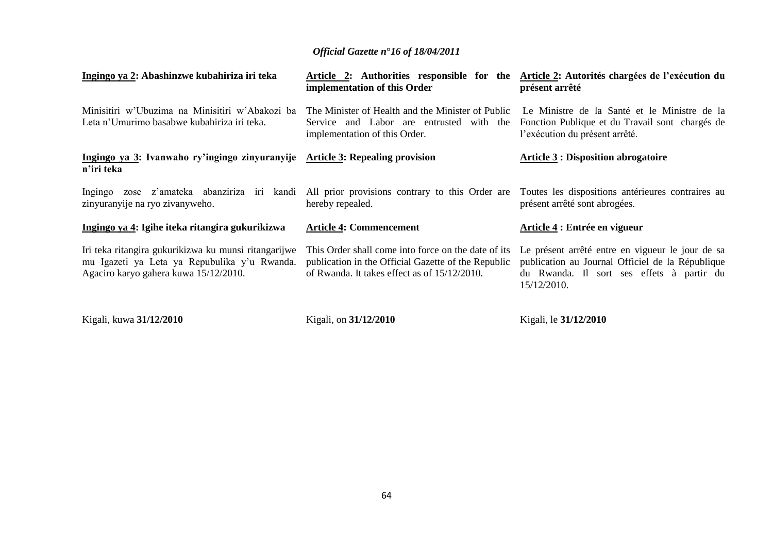| Ingingo ya 2: Abashinzwe kubahiriza iri teka                                                                                                  | Article 2: Authorities responsible for the<br>implementation of this Order                                                                                 | Article 2: Autorités chargées de l'exécution du<br>présent arrêté                                                                                                |
|-----------------------------------------------------------------------------------------------------------------------------------------------|------------------------------------------------------------------------------------------------------------------------------------------------------------|------------------------------------------------------------------------------------------------------------------------------------------------------------------|
| Minisitiri w'Ubuzima na Minisitiri w'Abakozi ba<br>Leta n'Umurimo basabwe kubahiriza iri teka.                                                | The Minister of Health and the Minister of Public<br>Service and Labor are entrusted with the<br>implementation of this Order.                             | Le Ministre de la Santé et le Ministre de la<br>Fonction Publique et du Travail sont chargés de<br>l'exécution du présent arrêté.                                |
| Ingingo ya 3: Ivanwaho ry'ingingo zinyuranyije Article 3: Repealing provision<br>n'iri teka                                                   |                                                                                                                                                            | <b>Article 3 : Disposition abrogatoire</b>                                                                                                                       |
| Ingingo<br>zinyuranyije na ryo zivanyweho.                                                                                                    | zose z'amateka abanziriza iri kandi All prior provisions contrary to this Order are<br>hereby repealed.                                                    | Toutes les dispositions antérieures contraires au<br>présent arrêté sont abrogées.                                                                               |
| Ingingo ya 4: Igihe iteka ritangira gukurikizwa                                                                                               | <b>Article 4: Commencement</b>                                                                                                                             | Article 4 : Entrée en vigueur                                                                                                                                    |
| Iri teka ritangira gukurikizwa ku munsi ritangarijwe<br>mu Igazeti ya Leta ya Repubulika y'u Rwanda.<br>Agaciro karyo gahera kuwa 15/12/2010. | This Order shall come into force on the date of its<br>publication in the Official Gazette of the Republic<br>of Rwanda. It takes effect as of 15/12/2010. | Le présent arrêté entre en vigueur le jour de sa<br>publication au Journal Officiel de la République<br>du Rwanda. Il sort ses effets à partir du<br>15/12/2010. |

Kigali, kuwa **31/12/2010**

Kigali, on **31/12/2010**

Kigali, le **31/12/2010**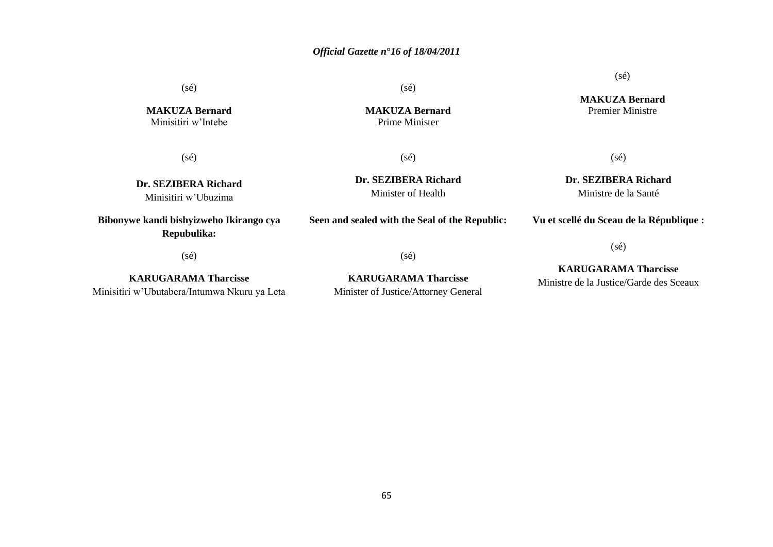(sé)

**MAKUZA Bernard** Minisitiri w"Intebe

(sé)

**Dr. SEZIBERA Richard** Minisitiri w"Ubuzima

## **Bibonywe kandi bishyizweho Ikirango cya Repubulika:**

(sé)

**KARUGARAMA Tharcisse** Minisitiri w"Ubutabera/Intumwa Nkuru ya Leta (sé)

**MAKUZA Bernard** Prime Minister

(sé)

**Dr. SEZIBERA Richard** Minister of Health

**Seen and sealed with the Seal of the Republic:**

**Vu et scellé du Sceau de la République :**

(sé)

(sé)

**KARUGARAMA Tharcisse** Minister of Justice/Attorney General

**KARUGARAMA Tharcisse** Ministre de la Justice/Garde des Sceaux

(sé)

**MAKUZA Bernard**

Premier Ministre

(sé)

**Dr. SEZIBERA Richard** Ministre de la Santé

65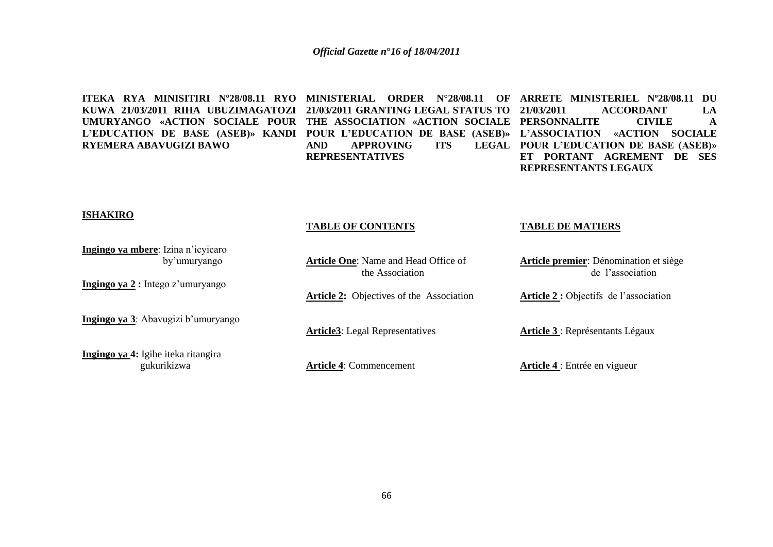**ITEKA RYA MINISITIRI Nº28/08.11 RYO MINISTERIAL ORDER N°28/08.11 OF ARRETE MINISTERIEL Nº28/08.11 DU KUWA 21/03/2011 RIHA UBUZIMAGATOZI 21/03/2011 GRANTING LEGAL STATUS TO UMURYANGO «ACTION SOCIALE POUR THE ASSOCIATION «ACTION SOCIALE PERSONNALITE CIVILE A L'EDUCATION DE BASE (ASEB)» KANDI POUR L'EDUCATION DE BASE (ASEB)» L'ASSOCIATION «ACTION SOCIALE RYEMERA ABAVUGIZI BAWO**

AND APPROVING ITS **REPRESENTATIVES**

**21/03/2011 ACCORDANT LA POUR L'EDUCATION DE BASE (ASEB)» ET PORTANT AGREMENT DE SES REPRESENTANTS LEGAUX** 

### **ISHAKIRO**

#### **Ingingo ya mbere**: Izina n"icyicaro by"umuryango **Ingingo ya 2 :** Intego z"umuryango **Ingingo ya 3**: Abayugizi b'umuryango **Ingingo ya 4:** Igihe iteka ritangira gukurikizwa **TABLE OF CONTENTS Article One**: Name and Head Office of the Association **Article 2:** Objectives of the Association **Article3**: Legal Representatives **Article 4**: Commencement **TABLE DE MATIERS Article premier**: Dénomination et siège de l"association **Article 2 :** Objectifs de l"association **Article 3** : Représentants Légaux **Article 4** : Entrée en vigueur

66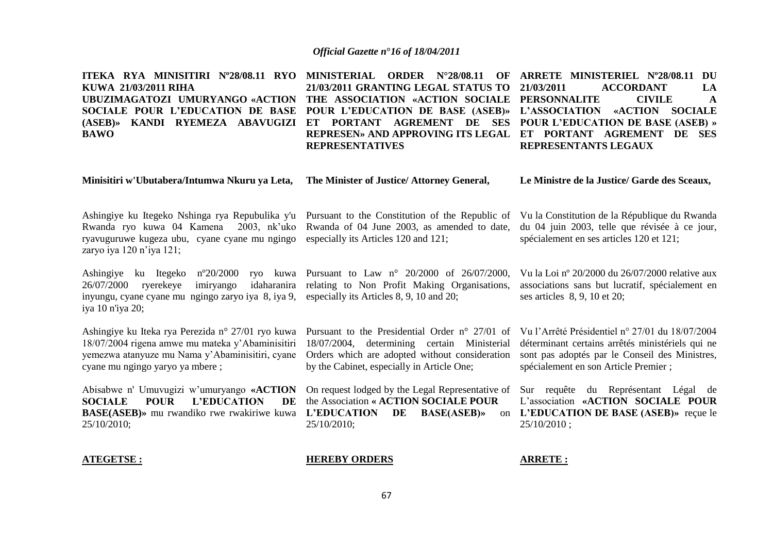**ITEKA RYA MINISITIRI Nº28/08.11 RYO MINISTERIAL ORDER N°28/08.11 OF ARRETE MINISTERIEL Nº28/08.11 DU KUWA 21/03/2011 RIHA UBUZIMAGATOZI UMURYANGO «ACTION THE ASSOCIATION «ACTION SOCIALE PERSONNALITE CIVILE A SOCIALE POUR L'EDUCATION DE BASE POUR L'EDUCATION DE BASE (ASEB)» L'ASSOCIATION «ACTION SOCIALE (ASEB)» KANDI RYEMEZA ABAVUGIZI ET PORTANT AGREMENT DE SES POUR L'EDUCATION DE BASE (ASEB) » BAWO 21/03/2011 GRANTING LEGAL STATUS TO REPRESEN» AND APPROVING ITS LEGAL ET PORTANT AGREMENT DE SES REPRESENTATIVES 21/03/2011 ACCORDANT LA REPRESENTANTS LEGAUX** 

#### **Minisitiri w'Ubutabera/Intumwa Nkuru ya Leta, The Minister of Justice/ Attorney General,**

**Le Ministre de la Justice/ Garde des Sceaux,**

Ashingiye ku Itegeko Nshinga rya Repubulika y'u Pursuant to the Constitution of the Republic of Vu la Constitution de la République du Rwanda Rwanda ryo kuwa 04 Kamena 2003, nk'uko Rwanda of 04 June 2003, as amended to date, du 04 juin 2003, telle que révisée à ce jour, ryavuguruwe kugeza ubu, cyane cyane mu ngingo especially its Articles 120 and 121; zaryo iya 120 n"iya 121;

spécialement en ses articles 120 et 121;

Vu la Loi nº 20/2000 du 26/07/2000 relative aux associations sans but lucratif, spécialement en

ses articles 8, 9, 10 et 20;

Ashingiye ku Itegeko nº20/2000 ryo kuwa Pursuant to Law n° 20/2000 of 26/07/2000,  $26/07/2000$  ryerekeye imiryango inyungu, cyane cyane mu ngingo zaryo iya 8, iya 9, especially its Articles 8, 9, 10 and 20; iya 10 n'iya 20; idaharanira relating to Non Profit Making Organisations,

Ashingiye ku Iteka rya Perezida n° 27/01 ryo kuwa Pursuant to the Presidential Order n° 27/01 of Vu l"Arrêté Présidentiel n° 27/01 du 18/07/2004 18/07/2004 rigena amwe mu mateka y"Abaminisitiri 18/07/2004, determining certain Ministerial yemezwa atanyuze mu Nama y"Abaminisitiri, cyane cyane mu ngingo yaryo ya mbere ;

Abisabwe n' Umuvugizi w'umuryango «ACTION On request lodged by the Legal Representative of Sur requête du Représentant Légal de **SOCIALE POUR L'EDUCATION BASE(ASEB)»** mu rwandiko rwe rwakiriwe kuwa **L'EDUCATION DE BASE(ASEB)»** on 25/10/2010;

Orders which are adopted without consideration by the Cabinet, especially in Article One;

DE the Association **« ACTION SOCIALE POUR** 25/10/2010;

déterminant certains arrêtés ministériels qui ne

sont pas adoptés par le Conseil des Ministres, spécialement en son Article Premier ;

L"association **«ACTION SOCIALE POUR L'EDUCATION DE BASE (ASEB)»** reçue le 25/10/2010 ;

### **ATEGETSE :**

### **HEREBY ORDERS**

**ARRETE :**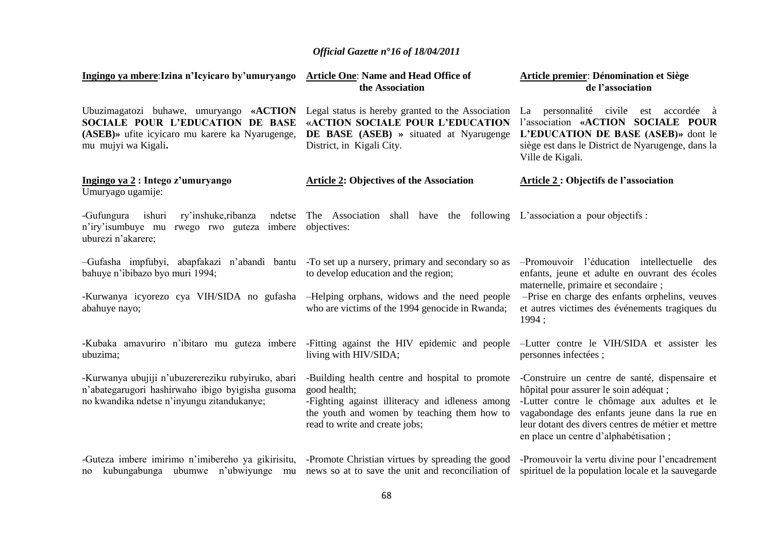| Ingingo ya mbere: Izina n'Icyicaro by'umuryango Article One: Name and Head Office of                                                                                                                     | the Association                                                                                                                                                                                     | Article premier: Dénomination et Siège<br>de l'association                                                                                                                                                                                                                             |
|----------------------------------------------------------------------------------------------------------------------------------------------------------------------------------------------------------|-----------------------------------------------------------------------------------------------------------------------------------------------------------------------------------------------------|----------------------------------------------------------------------------------------------------------------------------------------------------------------------------------------------------------------------------------------------------------------------------------------|
| Ubuzimagatozi buhawe, umuryango «ACTION Legal status is hereby granted to the Association<br>SOCIALE POUR L'EDUCATION DE BASE<br>(ASEB) » ufite icyicaro mu karere ka Nyarugenge,<br>mu mujyi wa Kigali. | «ACTION SOCIALE POUR L'EDUCATION<br>DE BASE (ASEB) » situated at Nyarugenge<br>District, in Kigali City.                                                                                            | La personnalité civile est accordée à<br>l'association «ACTION SOCIALE POUR<br>L'EDUCATION DE BASE (ASEB)» dont le<br>siège est dans le District de Nyarugenge, dans la<br>Ville de Kigali.                                                                                            |
| Ingingo ya 2 : Intego z'umuryango<br>Umuryago ugamije:                                                                                                                                                   | <b>Article 2: Objectives of the Association</b>                                                                                                                                                     | Article 2 : Objectifs de l'association                                                                                                                                                                                                                                                 |
| -Gufungura<br>ishuri<br>ry'inshuke,ribanza<br>n'iry'isumbuye mu rwego rwo guteza imbere objectives:<br>uburezi n'akarere;                                                                                | ndetse The Association shall have the following L'association a pour objectifs :                                                                                                                    |                                                                                                                                                                                                                                                                                        |
| -Gufasha impfubyi, abapfakazi n'abandi bantu -To set up a nursery, primary and secondary so as<br>bahuye n'ibibazo byo muri 1994;                                                                        | to develop education and the region;                                                                                                                                                                | -Promouvoir l'éducation intellectuelle des<br>enfants, jeune et adulte en ouvrant des écoles<br>maternelle, primaire et secondaire;                                                                                                                                                    |
| -Kurwanya icyorezo cya VIH/SIDA no gufasha -Helping orphans, widows and the need people<br>abahuye nayo;                                                                                                 | who are victims of the 1994 genocide in Rwanda;                                                                                                                                                     | -Prise en charge des enfants orphelins, veuves<br>et autres victimes des événements tragiques du<br>1994;                                                                                                                                                                              |
| -Kubaka amavuriro n'ibitaro mu guteza imbere -Fitting against the HIV epidemic and people<br>ubuzima;                                                                                                    | living with HIV/SIDA;                                                                                                                                                                               | -Lutter contre le VIH/SIDA et assister les<br>personnes infectées;                                                                                                                                                                                                                     |
| -Kurwanya ubujiji n'ubuzerereziku rubyiruko, abari<br>n'abategarugori hashirwaho ibigo byigisha gusoma<br>no kwandika ndetse n'inyungu zitandukanye;                                                     | -Building health centre and hospital to promote<br>good health;<br>-Fighting against illiteracy and idleness among<br>the youth and women by teaching them how to<br>read to write and create jobs; | -Construire un centre de santé, dispensaire et<br>hôpital pour assurer le soin adéquat ;<br>-Lutter contre le chômage aux adultes et le<br>vagabondage des enfants jeune dans la rue en<br>leur dotant des divers centres de métier et mettre<br>en place un centre d'alphabétisation; |
| -Guteza imbere imirimo n'imibereho ya gikirisitu, -Promote Christian virtues by spreading the good<br>kubungabunga ubumwe n'ubwiyunge mu<br>no                                                           | news so at to save the unit and reconciliation of                                                                                                                                                   | -Promouvoir la vertu divine pour l'encadrement<br>spirituel de la population locale et la sauvegarde                                                                                                                                                                                   |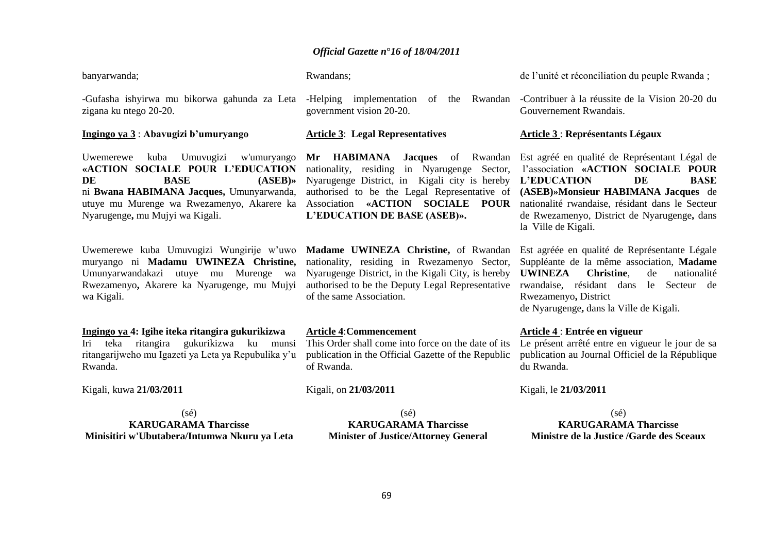| banyarwanda;                                                                                                                                                                                                                                  | Rwandans;                                                                                                                                                                                                                                                                          | de l'unité et réconciliation du peuple Rwanda;                                                                                                                                                                                                                                          |
|-----------------------------------------------------------------------------------------------------------------------------------------------------------------------------------------------------------------------------------------------|------------------------------------------------------------------------------------------------------------------------------------------------------------------------------------------------------------------------------------------------------------------------------------|-----------------------------------------------------------------------------------------------------------------------------------------------------------------------------------------------------------------------------------------------------------------------------------------|
| -Gufasha ishyirwa mu bikorwa gahunda za Leta<br>zigana ku ntego 20-20.                                                                                                                                                                        | -Helping implementation<br>of<br>the Rwandan<br>government vision 20-20.                                                                                                                                                                                                           | -Contribuer à la réussite de la Vision 20-20 du<br>Gouvernement Rwandais.                                                                                                                                                                                                               |
| Ingingo ya 3: Abavugizi b'umuryango                                                                                                                                                                                                           | <b>Article 3: Legal Representatives</b>                                                                                                                                                                                                                                            | <b>Article 3 : Représentants Légaux</b>                                                                                                                                                                                                                                                 |
| Umuvugizi<br>w'umuryango<br>Uwemerewe<br>kuba<br>«ACTION SOCIALE POUR L'EDUCATION<br><b>BASE</b><br>(ASEB)<br>DE<br>ni Bwana HABIMANA Jacques, Umunyarwanda,<br>utuye mu Murenge wa Rwezamenyo, Akarere ka<br>Nyarugenge, mu Mujyi wa Kigali. | Mr HABIMANA<br><b>Jacques</b> of<br>Rwandan<br>in Nyarugenge<br>nationality, residing<br>Sector,<br>Nyarugenge District, in Kigali city is hereby<br>authorised to be the Legal Representative of<br>«ACTION SOCIALE<br>Association<br><b>POUR</b><br>L'EDUCATION DE BASE (ASEB)». | Est agréé en qualité de Représentant Légal de<br>l'association «ACTION SOCIALE POUR<br>L'EDUCATION<br>DE<br><b>BASE</b><br>(ASEB)»Monsieur HABIMANA Jacques de<br>nationalité rwandaise, résidant dans le Secteur<br>de Rwezamenyo, District de Nyarugenge, dans<br>la Ville de Kigali. |
| Uwemerewe kuba Umuvugizi Wungirije w'uwo<br>muryango ni Madamu UWINEZA Christine,<br>Umunyarwandakazi utuye mu<br>Murenge wa<br>Rwezamenyo, Akarere ka Nyarugenge, mu Mujyi<br>wa Kigali.                                                     | Madame UWINEZA Christine, of Rwandan<br>nationality, residing in Rwezamenyo Sector,<br>Nyarugenge District, in the Kigali City, is hereby<br>authorised to be the Deputy Legal Representative<br>of the same Association.                                                          | Est agréée en qualité de Représentante Légale<br>Suppléante de la même association, Madame<br><b>UWINEZA</b><br>Christine.<br>de<br>nationalité<br>rwandaise, résidant dans<br>Secteur de<br>le<br>Rwezamenyo, District<br>de Nyarugenge, dans la Ville de Kigali.                      |
| Ingingo ya 4: Igihe iteka ritangira gukurikizwa<br>gukurikizwa<br>ritangira<br>teka<br>ku<br>Iri<br>munsi<br>ritangarijweho mu Igazeti ya Leta ya Repubulika y'u<br>Rwanda.                                                                   | <b>Article 4: Commencement</b><br>This Order shall come into force on the date of its<br>publication in the Official Gazette of the Republic<br>of Rwanda.                                                                                                                         | Article 4 : Entrée en vigueur<br>Le présent arrêté entre en vigueur le jour de sa<br>publication au Journal Officiel de la République<br>du Rwanda.                                                                                                                                     |
| Kigali, kuwa 21/03/2011                                                                                                                                                                                                                       | Kigali, on 21/03/2011                                                                                                                                                                                                                                                              | Kigali, le 21/03/2011                                                                                                                                                                                                                                                                   |
| $(s\acute{e})$<br><b>KARUGARAMA Tharcisse</b><br>Minisitiri w'Ubutabera/Intumwa Nkuru ya Leta                                                                                                                                                 | $(s\acute{e})$<br><b>KARUGARAMA Tharcisse</b><br><b>Minister of Justice/Attorney General</b>                                                                                                                                                                                       | $(s\acute{e})$<br><b>KARUGARAMA Tharcisse</b><br>Ministre de la Justice /Garde des Sceaux                                                                                                                                                                                               |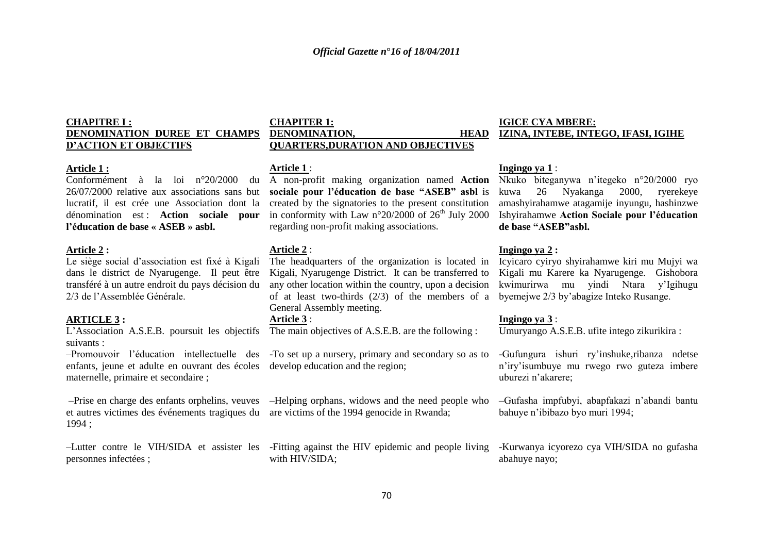### **CHAPITRE I : DENOMINATION DUREE ET CHAMPS D'ACTION ET OBJECTIFS**

### **Article 1 :**

**l'éducation de base « ASEB » asbl.**

### **Article 2 :**

Le siège social d"association est fixé à Kigali dans le district de Nyarugenge. Il peut être transféré à un autre endroit du pays décision du 2/3 de l"Assemblée Générale.

### **ARTICLE 3 :**

suivants :

enfants, jeune et adulte en ouvrant des écoles develop education and the region; maternelle, primaire et secondaire ;

et autres victimes des événements tragiques du are victims of the 1994 genocide in Rwanda; 1994 ;

personnes infectées ;

### **CHAPITER 1: DENOMINATION, QUARTERS,DURATION AND OBJECTIVES**

### **Article 1** :

Conformément à la loi n°20/2000 du A non-profit making organization named Action Nkuko biteganywa n'itegeko n°20/2000 ryo 26/07/2000 relative aux associations sans but **sociale pour l'éducation de base "ASEB" asbl** is lucratif, il est crée une Association dont la created by the signatories to the present constitution dénomination est : **Action sociale pour** in conformity with Law n°20/2000 of 26<sup>th</sup> July 2000 regarding non-profit making associations.

### **Article 2** :

The headquarters of the organization is located in Kigali, Nyarugenge District. It can be transferred to Kigali mu Karere ka Nyarugenge. Gishobora any other location within the country, upon a decision kwimurirwa mu yindi Ntara y"Igihugu of at least two-thirds (2/3) of the members of a byemejwe 2/3 by"abagize Inteko Rusange. General Assembly meeting.

### **Article 3** :

L"Association A.S.E.B. poursuit les objectifs The main objectives of A.S.E.B. are the following :

-Promouvoir l'éducation intellectuelle des -To set up a nursery, primary and secondary so as to

-Prise en charge des enfants orphelins, veuves -Helping orphans, widows and the need people who -Gufasha impfubyi, abapfakazi n'abandi bantu

6. –Lutter contre le VIH/SIDA et assister les -Fitting against the HIV epidemic and people living with HIV/SIDA;

### **IGICE CYA MBERE: IZINA, INTEBE, INTEGO, IFASI, IGIHE**

### **Ingingo ya 1** :

kuwa 26 Nyakanga 2000, ryerekeye amashyirahamwe atagamije inyungu, hashinzwe Ishyirahamwe **Action Sociale pour l'éducation de base "ASEB"asbl.**

### **Ingingo ya 2 :**

Icyicaro cyiryo shyirahamwe kiri mu Mujyi wa

### **Ingingo ya 3** :

Umuryango A.S.E.B. ufite intego zikurikira :

1. -Gufungura ishuri ry"inshuke,ribanza ndetse n"iry"isumbuye mu rwego rwo guteza imbere uburezi n"akarere;

bahuye n"ibibazo byo muri 1994;

-Kurwanya icyorezo cya VIH/SIDA no gufasha abahuye nayo;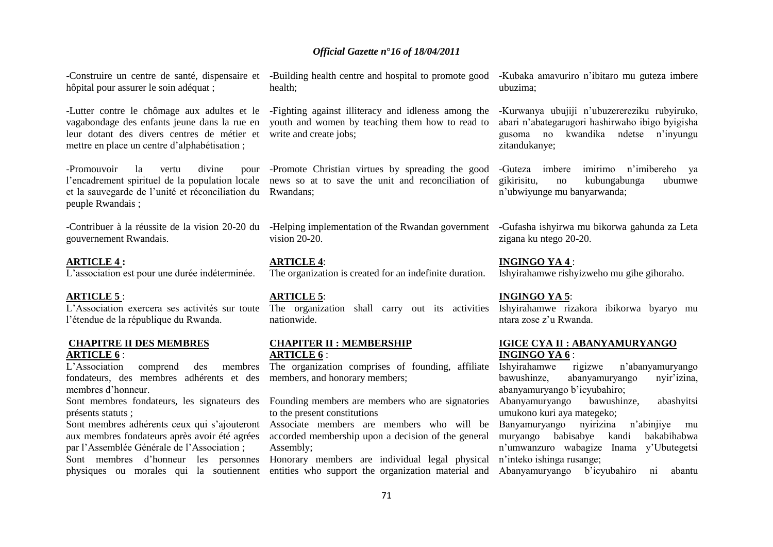-Construire un centre de santé, dispensaire et -Building health centre and hospital to promote good -Kubaka amavuriro n"ibitaro mu guteza imbere hôpital pour assurer le soin adéquat ;

-Lutter contre le chômage aux adultes et le -Fighting against illiteracy and idleness among the leur dotant des divers centres de métier et write and create jobs; mettre en place un centre d"alphabétisation ;

-Promouvoir la vertu divine et la sauvegarde de l"unité et réconciliation du Rwandans; peuple Rwandais ;

gouvernement Rwandais.

### **ARTICLE 4 :**

L'association est pour une durée indéterminée.

### **ARTICLE 5** :

L"Association exercera ses activités sur toute l"étendue de la république du Rwanda.

### **CHAPITRE II DES MEMBRES ARTICLE 6** :

L"Association comprend des membres fondateurs, des membres adhérents et des members, and honorary members; membres d"honneur.

présents statuts ;

Sont membres adhérents ceux qui s'ajouteront aux membres fondateurs après avoir été agrées par l"Assemblée Générale de l"Association ;

health;

vagabondage des enfants jeune dans la rue en youth and women by teaching them how to read to

l'encadrement spirituel de la population locale news so at to save the unit and reconciliation of -Promote Christian virtues by spreading the good

-Contribuer à la réussite de la vision 20-20 du -Helping implementation of the Rwandan government -Gufasha ishyirwa mu bikorwa gahunda za Leta vision 20-20.

> **ARTICLE 4**: The organization is created for an indefinite duration.

### **ARTICLE 5**:

The organization shall carry out its activities nationwide.

### **CHAPITER II : MEMBERSHIP ARTICLE 6** :

The organization comprises of founding, affiliate

Sont membres fondateurs, les signateurs des Founding members are members who are signatories Abanyamuryango bawushinze, abashyitsi to the present constitutions

> Associate members are members who will be accorded membership upon a decision of the general muryango babisabye kandi bakabihabwa Assembly;

Sont membres d'honneur les personnes Honorary members are individual legal physical n'inteko ishinga-rusange; physiques ou morales qui la soutiennent entities who support the organization material and Abanyamuryango b'icyubahiro ni abantu

ubuzima;

-Kurwanya ubujiji n"ubuzerereziku rubyiruko, abari n"abategarugori hashirwaho ibigo byigisha gusoma no kwandika ndetse n"inyungu zitandukanye;

-Guteza imbere imirimo n"imibereho ya gikirisitu, no kubungabunga ubumwe n"ubwiyunge mu banyarwanda;

zigana ku ntego 20-20.

**INGINGO YA 4** :

Ishyirahamwe rishyizweho mu gihe gihoraho.

### **INGINGO YA 5**:

Ishyirahamwe rizakora ibikorwa byaryo mu ntara zose z"u Rwanda.

### **IGICE CYA II : ABANYAMURYANGO INGINGO YA 6** :

Ishyirahamwe rigizwe n"abanyamuryango bawushinze, abanyamuryango nyir"izina, abanyamuryango b"icyubahiro;

umukono kuri aya mategeko;

Banyamuryango nyirizina n"abinjiye mu n"umwanzuro wabagize Inama y"Ubutegetsi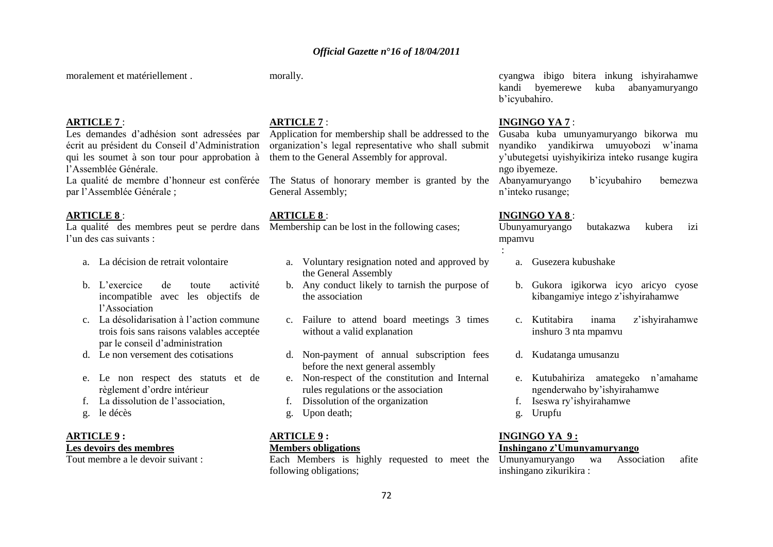moralement et matériellement .

morally.

### **ARTICLE 7** :

Les demandes d"adhésion sont adressées par écrit au président du Conseil d"Administration qui les soumet à son tour pour approbation à l"Assemblée Générale.

par l"Assemblée Générale ;

### **ARTICLE 8** :

La qualité des membres peut se perdre dans Membership can be lost in the following cases; l"un des cas suivants :

- a. La décision de retrait volontaire
- b. L"exercice de toute activité incompatible avec les objectifs de l"Association
- c. La désolidarisation à l"action commune trois fois sans raisons valables acceptée par le conseil d"administration
- d. Le non versement des cotisations
- e. Le non respect des statuts et de règlement d"ordre intérieur
- f. La dissolution de l"association,
- g. le décès

### **ARTICLE 9 : Les devoirs des membres**

Tout membre a le devoir suivant :

### **ARTICLE 7** :

Application for membership shall be addressed to the organization"s legal representative who shall submit them to the General Assembly for approval.

La qualité de membre d"honneur est conférée The Status of honorary member is granted by the General Assembly;

### **ARTICLE 8** :

- a. Voluntary resignation noted and approved by the General Assembly
- b. Any conduct likely to tarnish the purpose of the association
- c. Failure to attend board meetings 3 times without a valid explanation
- d. Non-payment of annual subscription fees before the next general assembly
- e. Non-respect of the constitution and Internal rules regulations or the association
- f. Dissolution of the organization
- g. Upon death;

### **ARTICLE 9 : Members obligations**

following obligations;

cyangwa ibigo bitera inkung ishyirahamwe kandi byemerewe kuba abanyamuryango b"icyubahiro.

### **INGINGO YA 7** :

Gusaba kuba umunyamuryango bikorwa mu nyandiko yandikirwa umuyobozi w"inama y"ubutegetsi uyishyikiriza inteko rusange kugira ngo ibyemeze.

Abanyamuryango b"icyubahiro bemezwa n"inteko rusange;

### **INGINGO YA 8** :

:

Ubunyamuryango butakazwa kubera izi mpamvu

- a. Gusezera kubushake
- b. Gukora igikorwa icyo aricyo cyose kibangamiye intego z"ishyirahamwe
- c. Kutitabira inama z"ishyirahamwe inshuro 3 nta mpamvu
- d. Kudatanga umusanzu
- e. Kutubahiriza amategeko n"amahame ngenderwaho by"ishyirahamwe
- f. Iseswa ry"ishyirahamwe
- g. Urupfu

### **INGINGO YA 9 : Inshingano z'Umunyamuryango**

Each Members is highly requested to meet the Umunyamuryango wa Association afite inshingano zikurikira :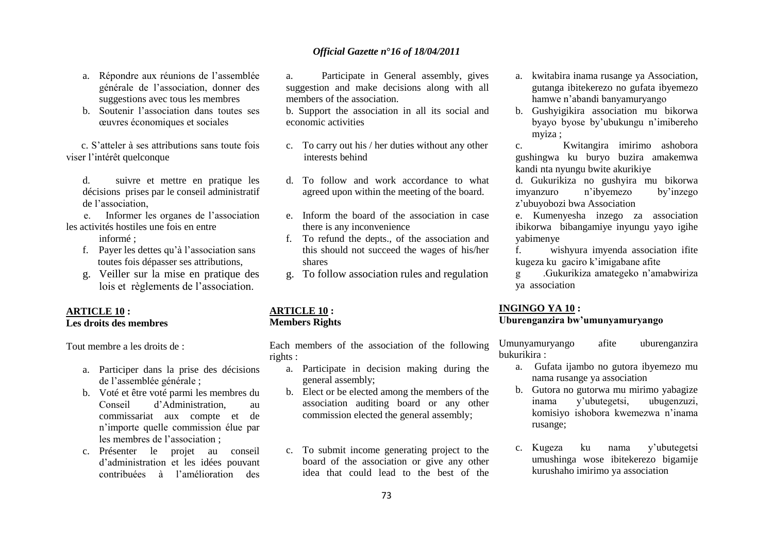- a. Répondre aux réunions de l"assemblée générale de l"association, donner des suggestions avec tous les membres
- b. Soutenir l"association dans toutes ses œuvres économiques et sociales

 c. S"atteler à ses attributions sans toute fois viser l"intérêt quelconque

d. suivre et mettre en pratique les décisions prises par le conseil administratif de l"association,

 e. Informer les organes de l"association les activités hostiles une fois en entre

informé ·

- f. Payer les dettes qu"à l"association sans toutes fois dépasser ses attributions,
- g. Veiller sur la mise en pratique des lois et règlements de l"association.

### **ARTICLE 10 : Les droits des membres**

Tout membre a les droits de :

- a. Participer dans la prise des décisions de l"assemblée générale ;
- b. Voté et être voté parmi les membres du Conseil d"Administration, au commissariat aux compte et de n"importe quelle commission élue par les membres de l"association ;
- c. Présenter le projet au conseil d"administration et les idées pouvant contribuées à l"amélioration des

a. Participate in General assembly, gives suggestion and make decisions along with all members of the association.

b. Support the association in all its social and economic activities

- c. To carry out his / her duties without any other interests behind
- d. To follow and work accordance to what agreed upon within the meeting of the board.
- e. Inform the board of the association in case there is any inconvenience
- f. To refund the depts., of the association and this should not succeed the wages of his/her shares
- g. To follow association rules and regulation

### **ARTICLE 10 : Members Rights**

Each members of the association of the following rights :

- a. Participate in decision making during the general assembly;
- b. Elect or be elected among the members of the association auditing board or any other commission elected the general assembly;
- c. To submit income generating project to the board of the association or give any other idea that could lead to the best of the
- a. kwitabira inama rusange ya Association, gutanga ibitekerezo no gufata ibyemezo hamwe n"abandi banyamuryango
- b. Gushyigikira association mu bikorwa byayo byose by"ubukungu n"imibereho myiza ;

c. Kwitangira imirimo ashobora gushingwa ku buryo buzira amakemwa kandi nta nyungu bwite akurikiye

d. Gukurikiza no gushyira mu bikorwa imyanzuro n"ibyemezo by"inzego z"ubuyobozi bwa Association

e. Kumenyesha inzego za association ibikorwa bibangamiye inyungu yayo igihe yabimenye

f. wishyura imyenda association ifite kugeza ku gaciro k"imigabane afite

g .Gukurikiza amategeko n"amabwiriza ya association

#### **INGINGO YA 10 :**

## **Uburenganzira bw'umunyamuryango**

Umunyamuryango afite uburenganzira bukurikira :

- a. Gufata ijambo no gutora ibyemezo mu nama rusange ya association
- b. Gutora no gutorwa mu mirimo yabagize inama y"ubutegetsi, ubugenzuzi, komisiyo ishobora kwemezwa n"inama rusange;
- c. Kugeza ku nama y"ubutegetsi umushinga wose ibitekerezo bigamije kurushaho imirimo ya association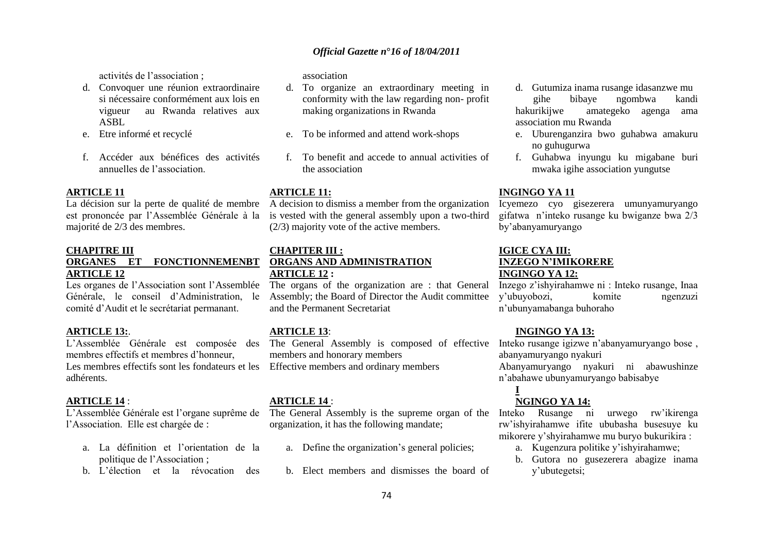activités de l"association ;

- d. Convoquer une réunion extraordinaire si nécessaire conformément aux lois en vigueur au Rwanda relatives aux ASBL
- e. Etre informé et recyclé
- f. Accéder aux bénéfices des activités annuelles de l"association.

### **ARTICLE 11**

est prononcée par l"Assemblée Générale à la majorité de 2/3 des membres.

### **CHAPITRE III**

### **ORGANES ET FONCTIONNEMENBT ARTICLE 12**

Les organes de l"Association sont l"Assemblée Générale, le conseil d"Administration, le comité d"Audit et le secrétariat permanant.

### **ARTICLE 13:**.

L"Assemblée Générale est composée des membres effectifs et membres d"honneur, Les membres effectifs sont les fondateurs et les Effective members and ordinary members adhérents.

### **ARTICLE 14** :

L"Assemblée Générale est l"organe suprême de l"Association. Elle est chargée de :

- a. La définition et l"orientation de la politique de l"Association ;
- b. L"élection et la révocation des

association

- d. To organize an extraordinary meeting in conformity with the law regarding non- profit making organizations in Rwanda
- e. To be informed and attend work-shops
- f. To benefit and accede to annual activities of the association

### **ARTICLE 11:**

La décision sur la perte de qualité de membre A decision to dismiss a member from the organization is vested with the general assembly upon a two-third (2/3) majority vote of the active members.

### **CHAPITER III : ORGANS AND ADMINISTRATION ARTICLE 12 :**

The organs of the organization are : that General Assembly; the Board of Director the Audit committee and the Permanent Secretariat

### **ARTICLE 13**:

The General Assembly is composed of effective Inteko rusange igizwe n"abanyamuryango bose , members and honorary members

### **ARTICLE 14** :

The General Assembly is the supreme organ of the organization, it has the following mandate;

- a. Define the organization's general policies;
- b. Elect members and dismisses the board of
- d. Gutumiza inama rusange idasanzwe mu gihe bibaye ngombwa kandi hakurikijwe amategeko agenga ama association mu Rwanda
- e. Uburenganzira bwo guhabwa amakuru no guhugurwa
- f. Guhabwa inyungu ku migabane buri mwaka igihe association yungutse

### **INGINGO YA 11**

Icyemezo cyo gisezerera umunyamuryango gifatwa n"inteko rusange ku bwiganze bwa 2/3 by"abanyamuryango

### **IGICE CYA III: INZEGO N'IMIKORERE INGINGO YA 12:**

Inzego z"ishyirahamwe ni : Inteko rusange, Inaa y"ubuyobozi, komite ngenzuzi n"ubunyamabanga buhoraho

### **INGINGO YA 13:**

abanyamuryango nyakuri

Abanyamuryango nyakuri ni abawushinze n"abahawe ubunyamuryango babisabye

## **I**

## **NGINGO YA 14:**

Inteko Rusange ni urwego rw"ikirenga rw"ishyirahamwe ifite ububasha busesuye ku mikorere y"shyirahamwe mu buryo bukurikira :

- a. Kugenzura politike y"ishyirahamwe;
- b. Gutora no gusezerera abagize inama y"ubutegetsi;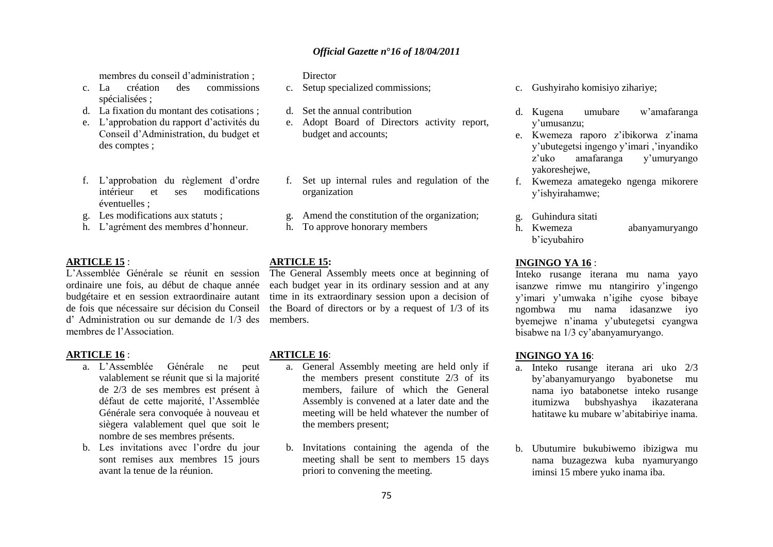membres du conseil d"administration ;

- c. La création des commissions spécialisées ;
- d. La fixation du montant des cotisations ;
- e. L"approbation du rapport d"activités du Conseil d"Administration, du budget et des comptes ;
- f. L"approbation du règlement d"ordre intérieur et ses modifications éventuelles ;
- g. Les modifications aux statuts ;
- h. L"agrément des membres d"honneur.

#### **ARTICLE 15** :

L"Assemblée Générale se réunit en session ordinaire une fois, au début de chaque année budgétaire et en session extraordinaire autant de fois que nécessaire sur décision du Conseil d" Administration ou sur demande de 1/3 des members. membres de l"Association.

#### **ARTICLE 16** :

- a. L"Assemblée Générale ne peut valablement se réunit que si la majorité de 2/3 de ses membres est présent à défaut de cette majorité, l"Assemblée Générale sera convoquée à nouveau et siègera valablement quel que soit le nombre de ses membres présents.
- b. Les invitations avec l"ordre du jour sont remises aux membres 15 jours avant la tenue de la réunion.

#### **Director**

- c. Setup specialized commissions;
- d. Set the annual contribution
- e. Adopt Board of Directors activity report, budget and accounts;
- f. Set up internal rules and regulation of the organization
- g. Amend the constitution of the organization;
- h. To approve honorary members

#### **ARTICLE 15:**

The General Assembly meets once at beginning of each budget year in its ordinary session and at any time in its extraordinary session upon a decision of the Board of directors or by a request of 1/3 of its

### **ARTICLE 16**:

- a. General Assembly meeting are held only if the members present constitute 2/3 of its members, failure of which the General Assembly is convened at a later date and the meeting will be held whatever the number of the members present;
- b. Invitations containing the agenda of the meeting shall be sent to members 15 days priori to convening the meeting.
- c. Gushyiraho komisiyo zihariye;
- d. Kugena umubare w"amafaranga y"umusanzu;
- e. Kwemeza raporo z"ibikorwa z"inama y"ubutegetsi ingengo y"imari ,"inyandiko z"uko amafaranga y"umuryango yakoreshejwe,
- f. Kwemeza amategeko ngenga mikorere y"ishyirahamwe;
- g. Guhindura sitati
- h. Kwemeza abanyamuryango b"icyubahiro

#### **INGINGO YA 16** :

Inteko rusange iterana mu nama yayo isanzwe rimwe mu ntangiriro y"ingengo y"imari y"umwaka n"igihe cyose bibaye ngombwa mu nama idasanzwe iyo byemejwe n"inama y"ubutegetsi cyangwa bisabwe na 1/3 cy"abanyamuryango.

### **INGINGO YA 16**:

- a. Inteko rusange iterana ari uko 2/3 by"abanyamuryango byabonetse mu nama iyo batabonetse inteko rusange itumizwa bubshyashya ikazaterana hatitawe ku mubare w"abitabiriye inama.
- b. Ubutumire bukubiwemo ibizigwa mu nama buzagezwa kuba nyamuryango iminsi 15 mbere yuko inama iba.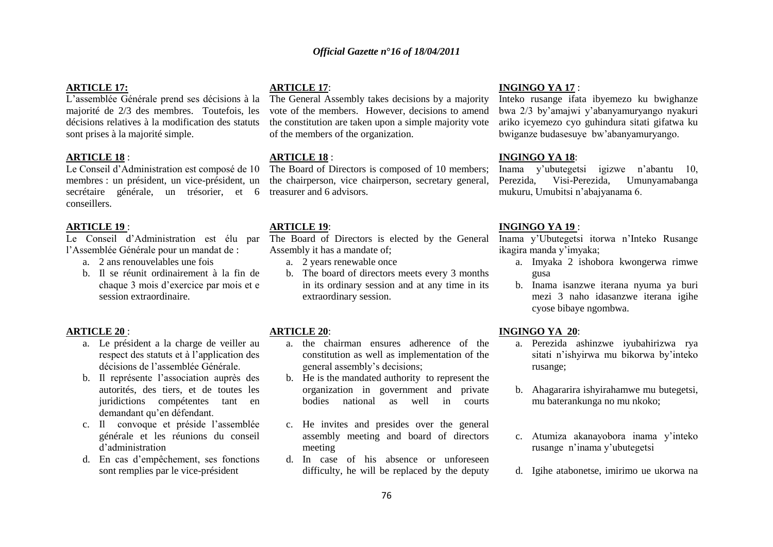### **ARTICLE 17:**

L"assemblée Générale prend ses décisions à la majorité de 2/3 des membres. Toutefois, les décisions relatives à la modification des statuts sont prises à la majorité simple.

### **ARTICLE 18** :

Le Conseil d"Administration est composé de 10 membres : un président, un vice-président, un secrétaire générale, un trésorier, et 6 conseillers.

#### **ARTICLE 19** :

l"Assemblée Générale pour un mandat de :

- a. 2 ans renouvelables une fois
- b. Il se réunit ordinairement à la fin de chaque 3 mois d"exercice par mois et e session extraordinaire.

#### **ARTICLE 20** :

- a. Le président a la charge de veiller au respect des statuts et à l"application des décisions de l"assemblée Générale.
- b. Il représente l"association auprès des autorités, des tiers, et de toutes les juridictions compétentes tant en demandant qu"en défendant.
- c. Il convoque et préside l"assemblée générale et les réunions du conseil d"administration
- d. En cas d"empêchement, ses fonctions sont remplies par le vice-président

#### **ARTICLE 17**:

The General Assembly takes decisions by a majority vote of the members. However, decisions to amend the constitution are taken upon a simple majority vote of the members of the organization.

### **ARTICLE 18** :

The Board of Directors is composed of 10 members; the chairperson, vice chairperson, secretary general, treasurer and 6 advisors.

### **ARTICLE 19**:

Le Conseil d"Administration est élu par The Board of Directors is elected by the General Assembly it has a mandate of;

- a. 2 years renewable once
- b. The board of directors meets every 3 months in its ordinary session and at any time in its extraordinary session.

### **ARTICLE 20**:

- a. the chairman ensures adherence of the constitution as well as implementation of the general assembly"s decisions;
- b. He is the mandated authority to represent the organization in government and private bodies national as well in courts
- c. He invites and presides over the general assembly meeting and board of directors meeting
- d. In case of his absence or unforeseen difficulty, he will be replaced by the deputy

#### **INGINGO YA 17** :

Inteko rusange ifata ibyemezo ku bwighanze bwa 2/3 by"amajwi y"abanyamuryango nyakuri ariko icyemezo cyo guhindura sitati gifatwa ku bwiganze budasesuye bw"abanyamuryango.

### **INGINGO YA 18**:

Inama y"ubutegetsi igizwe n"abantu 10, Perezida, Visi-Perezida, Umunyamabanga mukuru, Umubitsi n"abajyanama 6.

#### **INGINGO YA 19** :

Inama y"Ubutegetsi itorwa n"Inteko Rusange ikagira manda y"imyaka;

- a. Imyaka 2 ishobora kwongerwa rimwe gusa
- b. Inama isanzwe iterana nyuma ya buri mezi 3 naho idasanzwe iterana igihe cyose bibaye ngombwa.

### **INGINGO YA 20**:

- a. Perezida ashinzwe iyubahirizwa rya sitati n"ishyirwa mu bikorwa by"inteko rusange;
- b. Ahagararira ishyirahamwe mu butegetsi, mu baterankunga no mu nkoko;
- c. Atumiza akanayobora inama y"inteko rusange n"inama y"ubutegetsi
- d. Igihe atabonetse, imirimo ue ukorwa na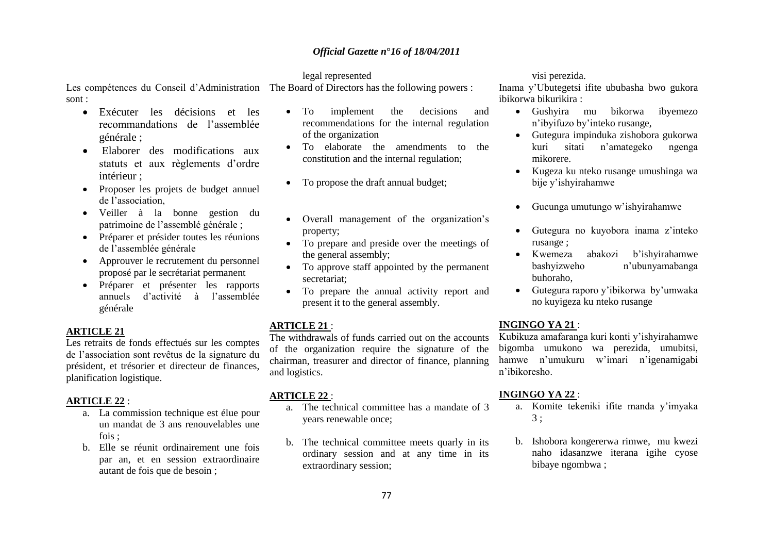### legal represented

Les compétences du Conseil d"Administration The Board of Directors has the following powers : sont :

- Exécuter les décisions et les recommandations de l"assemblée générale ;
- Elaborer des modifications aux statuts et aux règlements d"ordre intérieur ;
- Proposer les projets de budget annuel de l"association,
- Veiller à la bonne gestion du patrimoine de l"assemblé générale ;
- Préparer et présider toutes les réunions de l"assemblée générale
- Approuver le recrutement du personnel proposé par le secrétariat permanent
- Préparer et présenter les rapports annuels d"activité à l"assemblée générale

### **ARTICLE 21**

Les retraits de fonds effectués sur les comptes de l"association sont revêtus de la signature du président, et trésorier et directeur de finances, planification logistique.

### **ARTICLE 22** :

- a. La commission technique est élue pour un mandat de 3 ans renouvelables une fois ;
- b. Elle se réunit ordinairement une fois par an, et en session extraordinaire autant de fois que de besoin ;
- To implement the decisions and recommendations for the internal regulation of the organization
- To elaborate the amendments to the constitution and the internal regulation;
- To propose the draft annual budget;
- Overall management of the organization's property;
- To prepare and preside over the meetings of the general assembly;
- To approve staff appointed by the permanent secretariat;
- To prepare the annual activity report and present it to the general assembly.

### **ARTICLE 21** :

The withdrawals of funds carried out on the accounts of the organization require the signature of the chairman, treasurer and director of finance, planning and logistics.

#### **ARTICLE 22** :

- a. The technical committee has a mandate of 3 years renewable once;
- b. The technical committee meets quarly in its ordinary session and at any time in its extraordinary session;

### visi perezida.

Inama y"Ubutegetsi ifite ububasha bwo gukora ibikorwa bikurikira :

- Gushyira mu bikorwa ibyemezo n"ibyifuzo by"inteko rusange,
- Gutegura impinduka zishobora gukorwa kuri sitati n"amategeko ngenga mikorere.
- Kugeza ku nteko rusange umushinga wa bije y"ishyirahamwe
- Gucunga umutungo w"ishyirahamwe
- Gutegura no kuyobora inama z"inteko rusange ;
- Kwemeza abakozi b"ishyirahamwe bashyizweho n"ubunyamabanga buhoraho,
- Gutegura raporo y"ibikorwa by"umwaka no kuyigeza ku nteko rusange

### **INGINGO YA 21** :

Kubikuza amafaranga kuri konti y"ishyirahamwe bigomba umukono wa perezida, umubitsi, hamwe n"umukuru w"imari n"igenamigabi n"ibikoresho.

#### **INGINGO YA 22** :

- a. Komite tekeniki ifite manda y"imyaka 3 ;
- b. Ishobora kongererwa rimwe, mu kwezi naho idasanzwe iterana igihe cyose bibaye ngombwa ;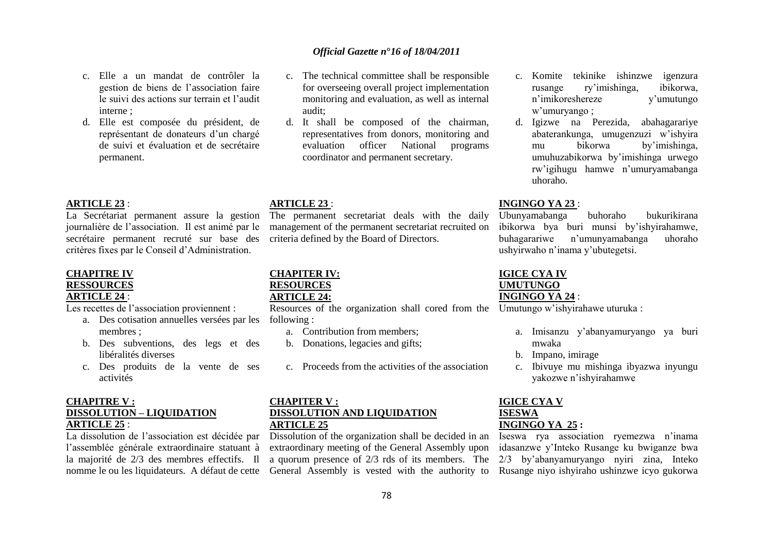### evaluation officer National programs coordinator and permanent secretary.

d. It shall be composed of the chairman, representatives from donors, monitoring and

### **ARTICLE 23** :

audit;

The permanent secretariat deals with the daily management of the permanent secretariat recruited on criteria defined by the Board of Directors.

# **CHAPITER IV: RESOURCES**

# **ARTICLE 24:**

Resources of the organization shall cored from the Umutungo w"ishyirahawe uturuka :

- a. Contribution from members;
- b. Donations, legacies and gifts;
- c. Proceeds from the activities of the association

### **CHAPITER V : DISSOLUTION AND LIQUIDATION ARTICLE 25**

nomme le ou les liquidateurs. A défaut de cette General Assembly is vested with the authority to Rusange niyo ishyiraho ushinzwe icyo gukorwa Dissolution of the organization shall be decided in an extraordinary meeting of the General Assembly upon a quorum presence of 2/3 rds of its members. The

- c. Komite tekinike ishinzwe igenzura rusange ry"imishinga, ibikorwa, n"imikoreshereze y"umutungo w"umuryango ;
- d. Igizwe na Perezida, abahagarariye abaterankunga, umugenzuzi w"ishyira mu bikorwa by"imishinga, umuhuzabikorwa by"imishinga urwego rw"igihugu hamwe n"umuryamabanga uhoraho.

### **INGINGO YA 23** :

Ubunyamabanga buhoraho bukurikirana ibikorwa bya buri munsi by"ishyirahamwe, buhagarariwe n"umunyamabanga uhoraho ushyirwaho n"inama y"ubutegetsi.

### **IGICE CYA IV UMUTUNGO**

### **INGINGO YA 24** :

- a. Imisanzu y"abanyamuryango ya buri mwaka
- b. Impano, imirage
- c. Ibivuye mu mishinga ibyazwa inyungu yakozwe n"ishyirahamwe

## **IGICE CYA V ISESWA INGINGO YA 25 :**

Iseswa rya association ryemezwa n"inama idasanzwe y"Inteko Rusange ku bwiganze bwa 2/3 by"abanyamuryango nyiri zina, Inteko

### **ARTICLE 23** :

interne ;

permanent.

La Secrétariat permanent assure la gestion journalière de l"association. Il est animé par le secrétaire permanent recruté sur base des critères fixes par le Conseil d"Administration.

c. Elle a un mandat de contrôler la gestion de biens de l"association faire le suivi des actions sur terrain et l"audit

d. Elle est composée du président, de représentant de donateurs d"un chargé de suivi et évaluation et de secrétaire

#### **CHAPITRE IV RESSOURCES**

### **ARTICLE 24** :

Les recettes de l'association proviennent :

- a. Des cotisation annuelles versées par les following : membres ;
- b. Des subventions, des legs et des libéralités diverses
- c. Des produits de la vente de ses activités

### **CHAPITRE V : DISSOLUTION – LIQUIDATION ARTICLE 25** :

La dissolution de l"association est décidée par l"assemblée générale extraordinaire statuant à la majorité de 2/3 des membres effectifs. Il

## *Official Gazette n***°***16 of 18/04/2011*

c. The technical committee shall be responsible for overseeing overall project implementation monitoring and evaluation, as well as internal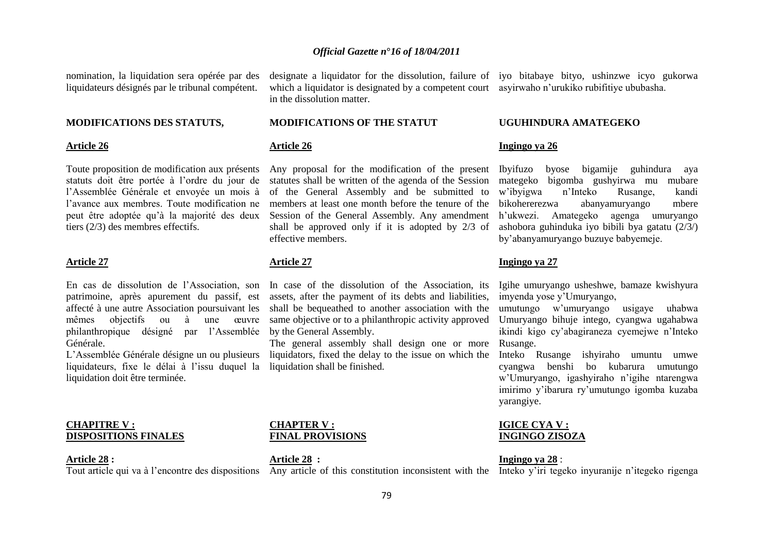nomination, la liquidation sera opérée par des liquidateurs désignés par le tribunal compétent.

#### **MODIFICATIONS DES STATUTS,**

#### **Article 26**

Toute proposition de modification aux présents statuts doit être portée à l"ordre du jour de l"Assemblée Générale et envoyée un mois à l"avance aux membres. Toute modification ne peut être adoptée qu"à la majorité des deux tiers (2/3) des membres effectifs.

#### **Article 27**

patrimoine, après apurement du passif, est affecté à une autre Association poursuivant les mêmes objectifs ou à une œuvre philanthropique désigné par l"Assemblée Générale.

L"Assemblée Générale désigne un ou plusieurs liquidateurs, fixe le délai à l"issu duquel la liquidation doit être terminée.

#### **CHAPITRE V : DISPOSITIONS FINALES**

#### **Article 28 :**

which a liquidator is designated by a competent court asyirwaho n"urukiko rubifitiye ububasha. in the dissolution matter.

### **MODIFICATIONS OF THE STATUT**

### **Article 26**

Any proposal for the modification of the present Ibyifuzo byose bigamije guhindura aya statutes shall be written of the agenda of the Session mategeko bigomba gushyirwa mu mubare of the General Assembly and be submitted to members at least one month before the tenure of the bikohererezwa Session of the General Assembly. Any amendment h'ukwezi. Amategeko agenga umuryango shall be approved only if it is adopted by 2/3 of ashobora guhinduka iyo bibili bya gatatu (2/3/) effective members.

### **Article 27**

En cas de dissolution de l"Association, son In case of the dissolution of the Association, its assets, after the payment of its debts and liabilities, shall be bequeathed to another association with the same objective or to a philanthropic activity approved by the General Assembly.

> The general assembly shall design one or more Rusange. liquidators, fixed the delay to the issue on which the liquidation shall be finished.

#### **CHAPTER V : FINAL PROVISIONS**

Tout article qui va à l"encontre des dispositions Any article of this constitution inconsistent with the Inteko y"iri tegeko inyuranije n"itegeko rigenga **Article 28 :**

designate a liquidator for the dissolution, failure of iyo bitabaye bityo, ushinzwe icyo gukorwa

#### **UGUHINDURA AMATEGEKO**

#### **Ingingo ya 26**

w"ibyigwa n"Inteko Rusange, kandi abanyamuryango mbere by"abanyamuryango buzuye babyemeje.

#### **Ingingo ya 27**

Igihe umuryango usheshwe, bamaze kwishyura imyenda yose y"Umuryango,

umutungo w"umuryango usigaye uhabwa Umuryango bihuje intego, cyangwa ugahabwa ikindi kigo cy"abagiraneza cyemejwe n"Inteko

Inteko Rusange ishyiraho umuntu umwe cyangwa benshi bo kubarura umutungo w"Umuryango, igashyiraho n"igihe ntarengwa imirimo y"ibarura ry"umutungo igomba kuzaba yarangiye.

#### **IGICE CYA V : INGINGO ZISOZA**

#### **Ingingo ya 28** :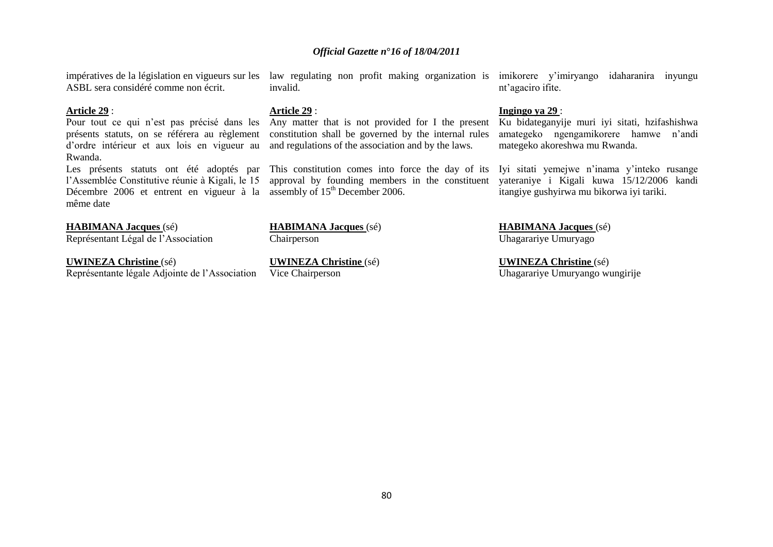ASBL sera considéré comme non écrit.

#### **Article 29** :

présents statuts, on se référera au règlement d"ordre intérieur et aux lois en vigueur au Rwanda.

l"Assemblée Constitutive réunie à Kigali, le 15 Décembre 2006 et entrent en vigueur à la assembly of  $15<sup>th</sup>$  December 2006. même date

**HABIMANA Jacques** (sé)

Représentant Légal de l"Association

**UWINEZA Christine** (sé) Représentante légale Adjointe de l"Association **Article 29** :

invalid.

Pour tout ce qui n'est pas précisé dans les Any matter that is not provided for I the present Ku bidateganyije muri iyi sitati, hzifashishwa constitution shall be governed by the internal rules and regulations of the association and by the laws.

approval by founding members in the constituent yateraniye i Kigali kuwa 15/12/2006 kandi

**HABIMANA Jacques** (sé) Chairperson

**UWINEZA Christine** (sé) Vice Chairperson

impératives de la législation en vigueurs sur les law regulating non profit making organization is imikorere y"imiryango idaharanira inyungu nt"agaciro ifite.

### **Ingingo ya 29** :

amategeko ngengamikorere hamwe n"andi mategeko akoreshwa mu Rwanda.

Les présents statuts ont été adoptés par This constitution comes into force the day of its Iyi sitati yemejwe n'inama y'inteko rusange itangiye gushyirwa mu bikorwa iyi tariki.

> **HABIMANA Jacques** (sé) Uhagarariye Umuryago

**UWINEZA Christine** (sé) Uhagarariye Umuryango wungirije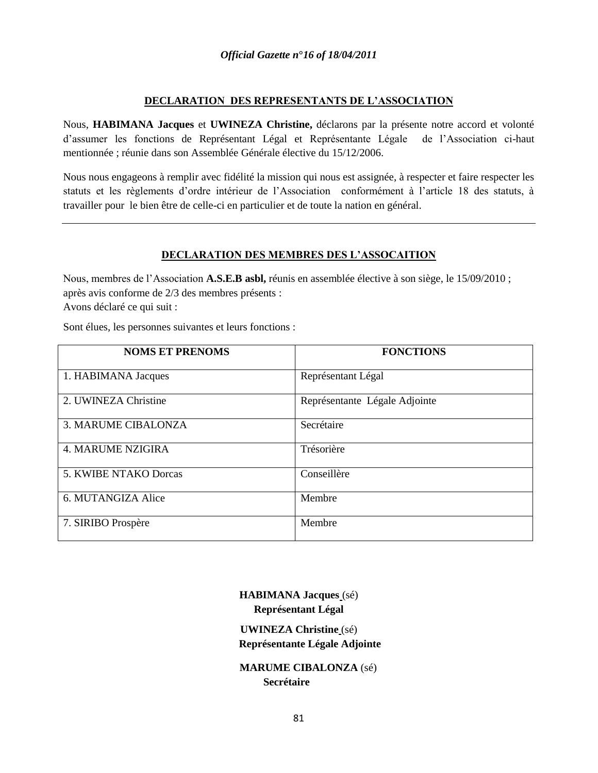## **DECLARATION DES REPRESENTANTS DE L'ASSOCIATION**

Nous, **HABIMANA Jacques** et **UWINEZA Christine,** déclarons par la présente notre accord et volonté d"assumer les fonctions de Représentant Légal et Représentante Légale de l"Association ci-haut mentionnée ; réunie dans son Assemblée Générale élective du 15/12/2006.

Nous nous engageons à remplir avec fidélité la mission qui nous est assignée, à respecter et faire respecter les statuts et les règlements d"ordre intérieur de l"Association conformément à l"article 18 des statuts, à travailler pour le bien être de celle-ci en particulier et de toute la nation en général.

## **DECLARATION DES MEMBRES DES L'ASSOCAITION**

Nous, membres de l"Association **A.S.E.B asbl,** réunis en assemblée élective à son siège, le 15/09/2010 ; après avis conforme de 2/3 des membres présents : Avons déclaré ce qui suit :

Sont élues, les personnes suivantes et leurs fonctions :

| <b>NOMS ET PRENOMS</b>     | <b>FONCTIONS</b>              |
|----------------------------|-------------------------------|
| 1. HABIMANA Jacques        | Représentant Légal            |
| 2. UWINEZA Christine       | Représentante Légale Adjointe |
| <b>3. MARUME CIBALONZA</b> | Secrétaire                    |
| <b>4. MARUME NZIGIRA</b>   | Trésorière                    |
| 5. KWIBE NTAKO Dorcas      | Conseillère                   |
| 6. MUTANGIZA Alice         | Membre                        |
| 7. SIRIBO Prospère         | Membre                        |

**HABIMANA Jacques** (sé) **Représentant Légal**

**UWINEZA Christine** (sé) **Représentante Légale Adjointe**

 **MARUME CIBALONZA** (sé)  **Secrétaire**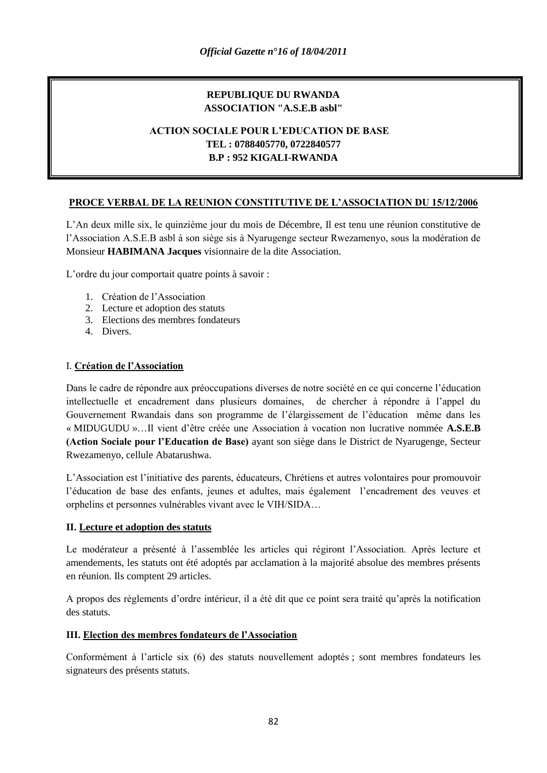# **REPUBLIQUE DU RWANDA ASSOCIATION "A.S.E.B asbl"**

# **ACTION SOCIALE POUR L'EDUCATION DE BASE TEL : 0788405770, 0722840577 B.P : 952 KIGALI-RWANDA**

# **PROCE VERBAL DE LA REUNION CONSTITUTIVE DE L'ASSOCIATION DU 15/12/2006**

L"An deux mille six, le quinzième jour du mois de Décembre, Il est tenu une réunion constitutive de l"Association A.S.E.B asbl à son siège sis à Nyarugenge secteur Rwezamenyo, sous la modération de Monsieur **HABIMANA Jacques** visionnaire de la dite Association.

L"ordre du jour comportait quatre points à savoir :

- 1. Création de l"Association
- 2. Lecture et adoption des statuts
- 3. Elections des membres fondateurs
- 4. Divers.

## I. **Création de l'Association**

Dans le cadre de répondre aux préoccupations diverses de notre société en ce qui concerne l"éducation intellectuelle et encadrement dans plusieurs domaines, de chercher à répondre à l"appel du Gouvernement Rwandais dans son programme de l"élargissement de l"éducation même dans les « MIDUGUDU »…Il vient d"être créée une Association à vocation non lucrative nommée **A.S.E.B (Action Sociale pour l'Education de Base)** ayant son siège dans le District de Nyarugenge, Secteur Rwezamenyo, cellule Abatarushwa.

L"Association est l"initiative des parents, éducateurs, Chrétiens et autres volontaires pour promouvoir l"éducation de base des enfants, jeunes et adultes, mais également l"encadrement des veuves et orphelins et personnes vulnérables vivant avec le VIH/SIDA…

### **II. Lecture et adoption des statuts**

Le modérateur a présenté à l"assemblée les articles qui régiront l"Association. Après lecture et amendements, les statuts ont été adoptés par acclamation à la majorité absolue des membres présents en réunion. Ils comptent 29 articles.

A propos des règlements d"ordre intérieur, il a été dit que ce point sera traité qu"après la notification des statuts.

## **III. Election des membres fondateurs de l'Association**

Conformément à l"article six (6) des statuts nouvellement adoptés ; sont membres fondateurs les signateurs des présents statuts.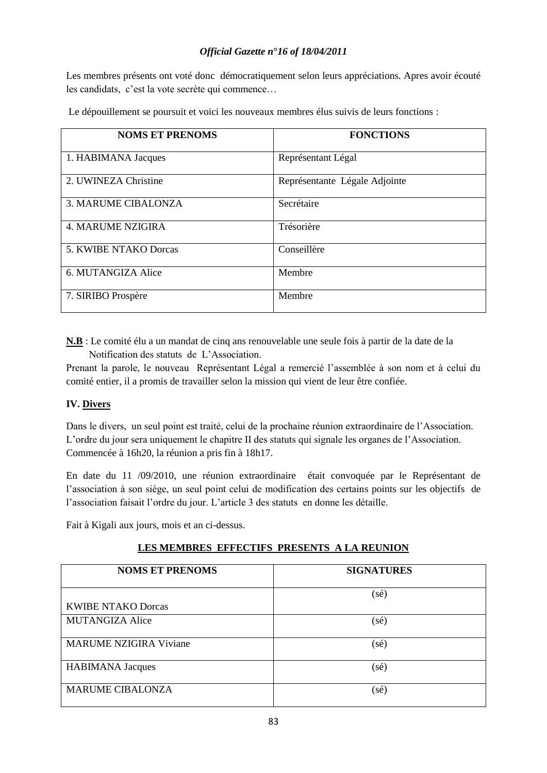Les membres présents ont voté donc démocratiquement selon leurs appréciations. Apres avoir écouté les candidats, c"est la vote secrète qui commence…

| Le dépouillement se poursuit et voici les nouveaux membres élus suivis de leurs fonctions : |  |  |
|---------------------------------------------------------------------------------------------|--|--|
|---------------------------------------------------------------------------------------------|--|--|

| <b>NOMS ET PRENOMS</b>   | <b>FONCTIONS</b>              |
|--------------------------|-------------------------------|
| 1. HABIMANA Jacques      | Représentant Légal            |
| 2. UWINEZA Christine     | Représentante Légale Adjointe |
| 3. MARUME CIBALONZA      | Secrétaire                    |
| <b>4. MARUME NZIGIRA</b> | Trésorière                    |
| 5. KWIBE NTAKO Dorcas    | Conseillère                   |
| 6. MUTANGIZA Alice       | Membre                        |
| 7. SIRIBO Prospère       | Membre                        |

**N.B** : Le comité élu a un mandat de cinq ans renouvelable une seule fois à partir de la date de la Notification des statuts de L"Association.

Prenant la parole, le nouveau Représentant Légal a remercié l"assemblée à son nom et à celui du comité entier, il a promis de travailler selon la mission qui vient de leur être confiée.

## **IV. Divers**

Dans le divers, un seul point est traité, celui de la prochaine réunion extraordinaire de l"Association. L"ordre du jour sera uniquement le chapitre II des statuts qui signale les organes de l"Association. Commencée à 16h20, la réunion a pris fin à 18h17.

En date du 11 /09/2010, une réunion extraordinaire était convoquée par le Représentant de l"association à son siège, un seul point celui de modification des certains points sur les objectifs de l"association faisait l"ordre du jour. L"article 3 des statuts en donne les détaille.

Fait à Kigali aux jours, mois et an ci-dessus.

## **LES MEMBRES EFFECTIFS PRESENTS A LA REUNION**

| <b>NOMS ET PRENOMS</b>        | <b>SIGNATURES</b> |
|-------------------------------|-------------------|
|                               | $(s\acute{e})$    |
| <b>KWIBE NTAKO Dorcas</b>     |                   |
| <b>MUTANGIZA Alice</b>        | $(s\acute{e})$    |
| <b>MARUME NZIGIRA Viviane</b> | $(s\acute{e})$    |
| <b>HABIMANA</b> Jacques       | $(s\acute{e})$    |
| <b>MARUME CIBALONZA</b>       | $(s\acute{e})$    |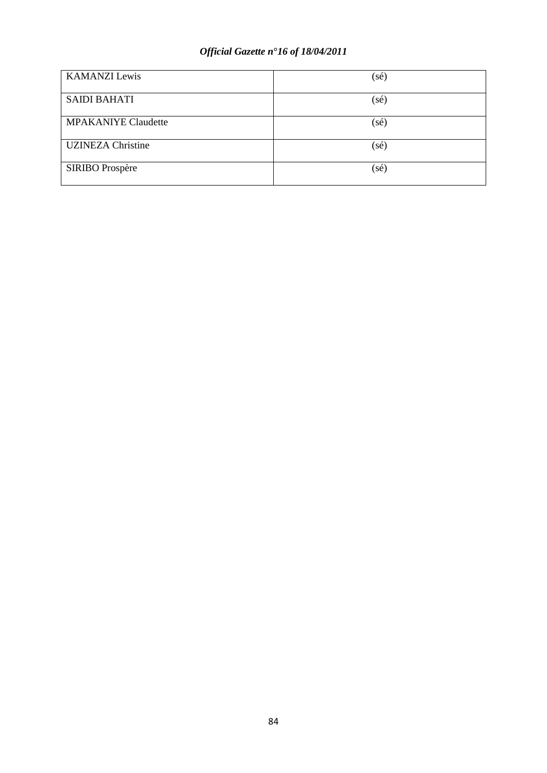| <b>KAMANZI</b> Lewis       | $(s\acute{e})$ |
|----------------------------|----------------|
| <b>SAIDI BAHATI</b>        | $(s\acute{e})$ |
| <b>MPAKANIYE Claudette</b> | (sé)           |
| <b>UZINEZA Christine</b>   | $(s\acute{e})$ |
| SIRIBO Prospère            | $(s\acute{e})$ |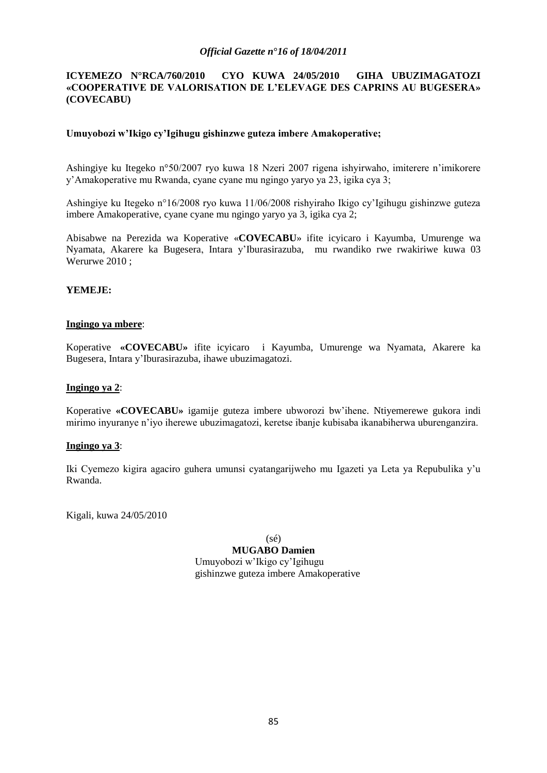## **ICYEMEZO N°RCA/760/2010 CYO KUWA 24/05/2010 GIHA UBUZIMAGATOZI «COOPERATIVE DE VALORISATION DE L'ELEVAGE DES CAPRINS AU BUGESERA» (COVECABU)**

## **Umuyobozi w'Ikigo cy'Igihugu gishinzwe guteza imbere Amakoperative;**

Ashingiye ku Itegeko n°50/2007 ryo kuwa 18 Nzeri 2007 rigena ishyirwaho, imiterere n"imikorere y"Amakoperative mu Rwanda, cyane cyane mu ngingo yaryo ya 23, igika cya 3;

Ashingiye ku Itegeko n°16/2008 ryo kuwa 11/06/2008 rishyiraho Ikigo cy"Igihugu gishinzwe guteza imbere Amakoperative, cyane cyane mu ngingo yaryo ya 3, igika cya 2;

Abisabwe na Perezida wa Koperative «**COVECABU**» ifite icyicaro i Kayumba, Umurenge wa Nyamata, Akarere ka Bugesera, Intara y"Iburasirazuba, mu rwandiko rwe rwakiriwe kuwa 03 Werurwe 2010 ;

## **YEMEJE:**

### **Ingingo ya mbere**:

Koperative **«COVECABU»** ifite icyicaro i Kayumba, Umurenge wa Nyamata, Akarere ka Bugesera, Intara y"Iburasirazuba, ihawe ubuzimagatozi.

### **Ingingo ya 2**:

Koperative **«COVECABU»** igamije guteza imbere ubworozi bw"ihene. Ntiyemerewe gukora indi mirimo inyuranye n"iyo iherewe ubuzimagatozi, keretse ibanje kubisaba ikanabiherwa uburenganzira.

### **Ingingo ya 3**:

Iki Cyemezo kigira agaciro guhera umunsi cyatangarijweho mu Igazeti ya Leta ya Repubulika y"u Rwanda.

Kigali, kuwa 24/05/2010

(sé)

**MUGABO Damien** Umuyobozi w"Ikigo cy"Igihugu gishinzwe guteza imbere Amakoperative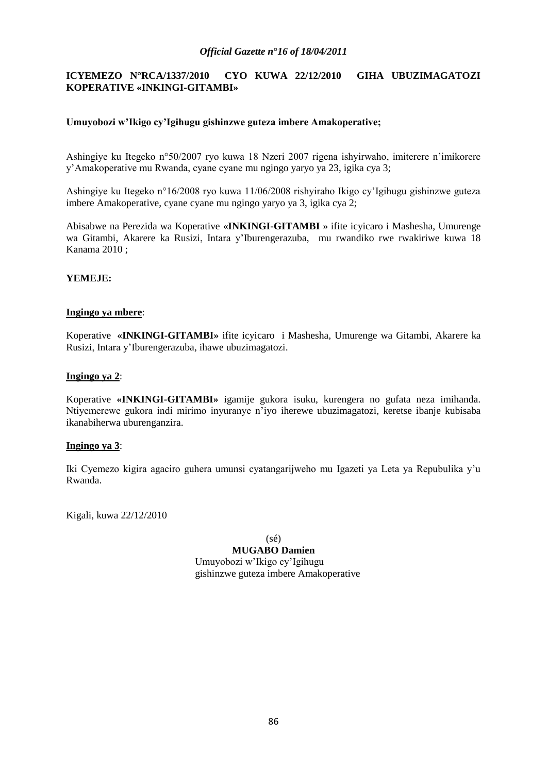## **ICYEMEZO N°RCA/1337/2010 CYO KUWA 22/12/2010 GIHA UBUZIMAGATOZI KOPERATIVE «INKINGI-GITAMBI»**

## **Umuyobozi w'Ikigo cy'Igihugu gishinzwe guteza imbere Amakoperative;**

Ashingiye ku Itegeko n°50/2007 ryo kuwa 18 Nzeri 2007 rigena ishyirwaho, imiterere n"imikorere y"Amakoperative mu Rwanda, cyane cyane mu ngingo yaryo ya 23, igika cya 3;

Ashingiye ku Itegeko n°16/2008 ryo kuwa 11/06/2008 rishyiraho Ikigo cy"Igihugu gishinzwe guteza imbere Amakoperative, cyane cyane mu ngingo yaryo ya 3, igika cya 2;

Abisabwe na Perezida wa Koperative «**INKINGI-GITAMBI** » ifite icyicaro i Mashesha, Umurenge wa Gitambi, Akarere ka Rusizi, Intara y"Iburengerazuba, mu rwandiko rwe rwakiriwe kuwa 18 Kanama 2010 ;

### **YEMEJE:**

### **Ingingo ya mbere**:

Koperative **«INKINGI-GITAMBI»** ifite icyicaro i Mashesha, Umurenge wa Gitambi, Akarere ka Rusizi, Intara y"Iburengerazuba, ihawe ubuzimagatozi.

### **Ingingo ya 2**:

Koperative **«INKINGI-GITAMBI»** igamije gukora isuku, kurengera no gufata neza imihanda. Ntiyemerewe gukora indi mirimo inyuranye n"iyo iherewe ubuzimagatozi, keretse ibanje kubisaba ikanabiherwa uburenganzira.

### **Ingingo ya 3**:

Iki Cyemezo kigira agaciro guhera umunsi cyatangarijweho mu Igazeti ya Leta ya Repubulika y"u Rwanda.

Kigali, kuwa 22/12/2010

(sé)

**MUGABO Damien** Umuyobozi w"Ikigo cy"Igihugu gishinzwe guteza imbere Amakoperative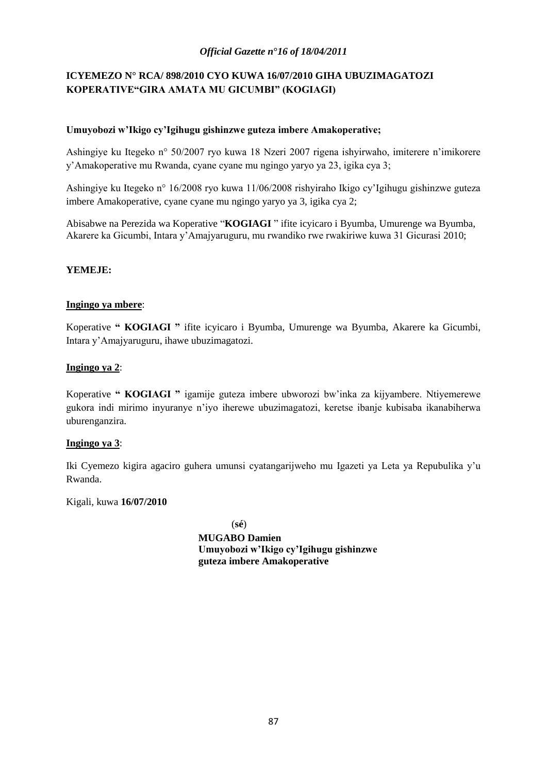# **ICYEMEZO N° RCA/ 898/2010 CYO KUWA 16/07/2010 GIHA UBUZIMAGATOZI KOPERATIVE"GIRA AMATA MU GICUMBI" (KOGIAGI)**

## **Umuyobozi w'Ikigo cy'Igihugu gishinzwe guteza imbere Amakoperative;**

Ashingiye ku Itegeko n° 50/2007 ryo kuwa 18 Nzeri 2007 rigena ishyirwaho, imiterere n"imikorere y"Amakoperative mu Rwanda, cyane cyane mu ngingo yaryo ya 23, igika cya 3;

Ashingiye ku Itegeko n° 16/2008 ryo kuwa 11/06/2008 rishyiraho Ikigo cy"Igihugu gishinzwe guteza imbere Amakoperative, cyane cyane mu ngingo yaryo ya 3, igika cya 2;

Abisabwe na Perezida wa Koperative "**KOGIAGI** " ifite icyicaro i Byumba, Umurenge wa Byumba, Akarere ka Gicumbi, Intara y"Amajyaruguru, mu rwandiko rwe rwakiriwe kuwa 31 Gicurasi 2010;

## **YEMEJE:**

## **Ingingo ya mbere**:

Koperative **" KOGIAGI "** ifite icyicaro i Byumba, Umurenge wa Byumba, Akarere ka Gicumbi, Intara y"Amajyaruguru, ihawe ubuzimagatozi.

## **Ingingo ya 2**:

Koperative **" KOGIAGI "** igamije guteza imbere ubworozi bw"inka za kijyambere. Ntiyemerewe gukora indi mirimo inyuranye n"iyo iherewe ubuzimagatozi, keretse ibanje kubisaba ikanabiherwa uburenganzira.

## **Ingingo ya 3**:

Iki Cyemezo kigira agaciro guhera umunsi cyatangarijweho mu Igazeti ya Leta ya Repubulika y"u Rwanda.

### Kigali, kuwa **16/07/2010**

(**sé**) **MUGABO Damien Umuyobozi w'Ikigo cy'Igihugu gishinzwe guteza imbere Amakoperative**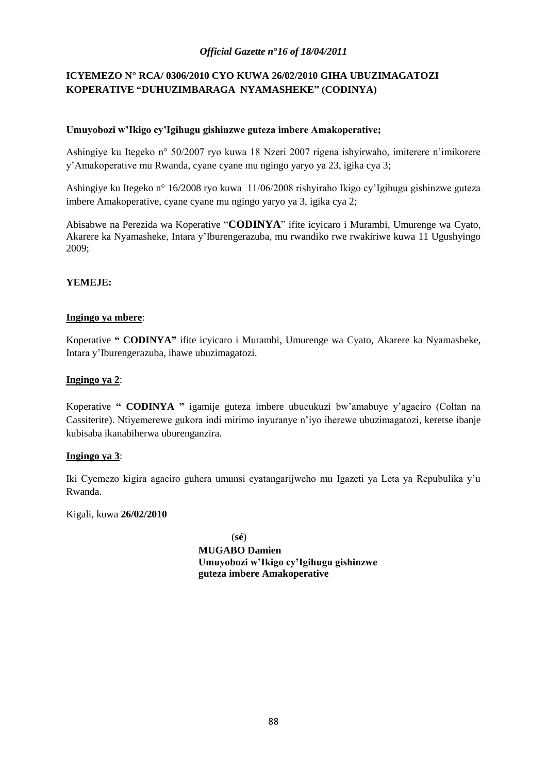# **ICYEMEZO N° RCA/ 0306/2010 CYO KUWA 26/02/2010 GIHA UBUZIMAGATOZI KOPERATIVE "DUHUZIMBARAGA NYAMASHEKE" (CODINYA)**

## **Umuyobozi w'Ikigo cy'Igihugu gishinzwe guteza imbere Amakoperative;**

Ashingiye ku Itegeko n° 50/2007 ryo kuwa 18 Nzeri 2007 rigena ishyirwaho, imiterere n"imikorere y"Amakoperative mu Rwanda, cyane cyane mu ngingo yaryo ya 23, igika cya 3;

Ashingiye ku Itegeko n° 16/2008 ryo kuwa 11/06/2008 rishyiraho Ikigo cy"Igihugu gishinzwe guteza imbere Amakoperative, cyane cyane mu ngingo yaryo ya 3, igika cya 2;

Abisabwe na Perezida wa Koperative "**CODINYA**" ifite icyicaro i Murambi, Umurenge wa Cyato, Akarere ka Nyamasheke, Intara y"Iburengerazuba, mu rwandiko rwe rwakiriwe kuwa 11 Ugushyingo 2009;

## **YEMEJE:**

## **Ingingo ya mbere**:

Koperative **" CODINYA"** ifite icyicaro i Murambi, Umurenge wa Cyato, Akarere ka Nyamasheke, Intara y"Iburengerazuba, ihawe ubuzimagatozi.

## **Ingingo ya 2**:

Koperative **" CODINYA "** igamije guteza imbere ubucukuzi bw"amabuye y"agaciro (Coltan na Cassiterite). Ntiyemerewe gukora indi mirimo inyuranye n"iyo iherewe ubuzimagatozi, keretse ibanje kubisaba ikanabiherwa uburenganzira.

### **Ingingo ya 3**:

Iki Cyemezo kigira agaciro guhera umunsi cyatangarijweho mu Igazeti ya Leta ya Repubulika y"u Rwanda.

Kigali, kuwa **26/02/2010**

(**sé**) **MUGABO Damien Umuyobozi w'Ikigo cy'Igihugu gishinzwe guteza imbere Amakoperative**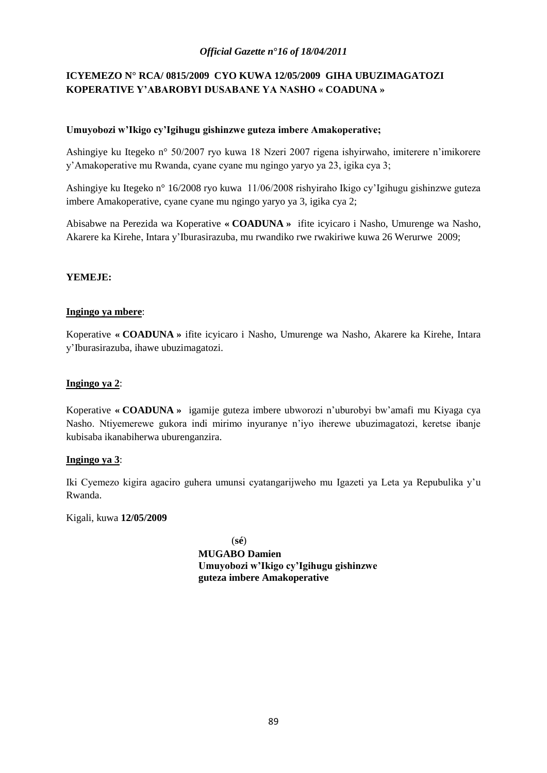# **ICYEMEZO N° RCA/ 0815/2009 CYO KUWA 12/05/2009 GIHA UBUZIMAGATOZI KOPERATIVE Y'ABAROBYI DUSABANE YA NASHO « COADUNA »**

## **Umuyobozi w'Ikigo cy'Igihugu gishinzwe guteza imbere Amakoperative;**

Ashingiye ku Itegeko n° 50/2007 ryo kuwa 18 Nzeri 2007 rigena ishyirwaho, imiterere n"imikorere y"Amakoperative mu Rwanda, cyane cyane mu ngingo yaryo ya 23, igika cya 3;

Ashingiye ku Itegeko n° 16/2008 ryo kuwa 11/06/2008 rishyiraho Ikigo cy"Igihugu gishinzwe guteza imbere Amakoperative, cyane cyane mu ngingo yaryo ya 3, igika cya 2;

Abisabwe na Perezida wa Koperative **« COADUNA »** ifite icyicaro i Nasho, Umurenge wa Nasho, Akarere ka Kirehe, Intara y"Iburasirazuba, mu rwandiko rwe rwakiriwe kuwa 26 Werurwe 2009;

## **YEMEJE:**

## **Ingingo ya mbere**:

Koperative **« COADUNA »** ifite icyicaro i Nasho, Umurenge wa Nasho, Akarere ka Kirehe, Intara y"Iburasirazuba, ihawe ubuzimagatozi.

## **Ingingo ya 2**:

Koperative **« COADUNA »** igamije guteza imbere ubworozi n"uburobyi bw"amafi mu Kiyaga cya Nasho. Ntiyemerewe gukora indi mirimo inyuranye n"iyo iherewe ubuzimagatozi, keretse ibanje kubisaba ikanabiherwa uburenganzira.

### **Ingingo ya 3**:

Iki Cyemezo kigira agaciro guhera umunsi cyatangarijweho mu Igazeti ya Leta ya Repubulika y"u Rwanda.

Kigali, kuwa **12/05/2009**

(**sé**)

**MUGABO Damien Umuyobozi w'Ikigo cy'Igihugu gishinzwe guteza imbere Amakoperative**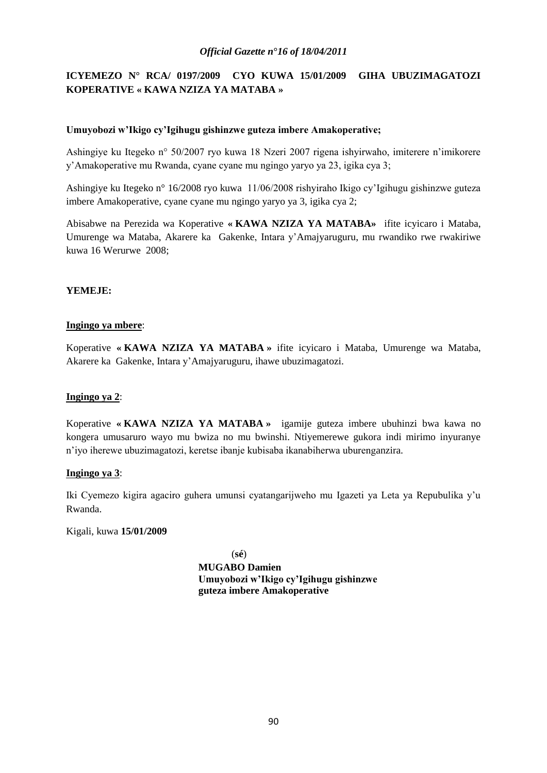# **ICYEMEZO N° RCA/ 0197/2009 CYO KUWA 15/01/2009 GIHA UBUZIMAGATOZI KOPERATIVE « KAWA NZIZA YA MATABA »**

## **Umuyobozi w'Ikigo cy'Igihugu gishinzwe guteza imbere Amakoperative;**

Ashingiye ku Itegeko n° 50/2007 ryo kuwa 18 Nzeri 2007 rigena ishyirwaho, imiterere n"imikorere y"Amakoperative mu Rwanda, cyane cyane mu ngingo yaryo ya 23, igika cya 3;

Ashingiye ku Itegeko n° 16/2008 ryo kuwa 11/06/2008 rishyiraho Ikigo cy"Igihugu gishinzwe guteza imbere Amakoperative, cyane cyane mu ngingo yaryo ya 3, igika cya 2;

Abisabwe na Perezida wa Koperative **« KAWA NZIZA YA MATABA»** ifite icyicaro i Mataba, Umurenge wa Mataba, Akarere ka Gakenke, Intara y"Amajyaruguru, mu rwandiko rwe rwakiriwe kuwa 16 Werurwe 2008;

## **YEMEJE:**

### **Ingingo ya mbere**:

Koperative **« KAWA NZIZA YA MATABA »** ifite icyicaro i Mataba, Umurenge wa Mataba, Akarere ka Gakenke, Intara y"Amajyaruguru, ihawe ubuzimagatozi.

### **Ingingo ya 2**:

Koperative **« KAWA NZIZA YA MATABA »** igamije guteza imbere ubuhinzi bwa kawa no kongera umusaruro wayo mu bwiza no mu bwinshi. Ntiyemerewe gukora indi mirimo inyuranye n"iyo iherewe ubuzimagatozi, keretse ibanje kubisaba ikanabiherwa uburenganzira.

### **Ingingo ya 3**:

Iki Cyemezo kigira agaciro guhera umunsi cyatangarijweho mu Igazeti ya Leta ya Repubulika y"u Rwanda.

### Kigali, kuwa **15/01/2009**

(**sé**) **MUGABO Damien Umuyobozi w'Ikigo cy'Igihugu gishinzwe guteza imbere Amakoperative**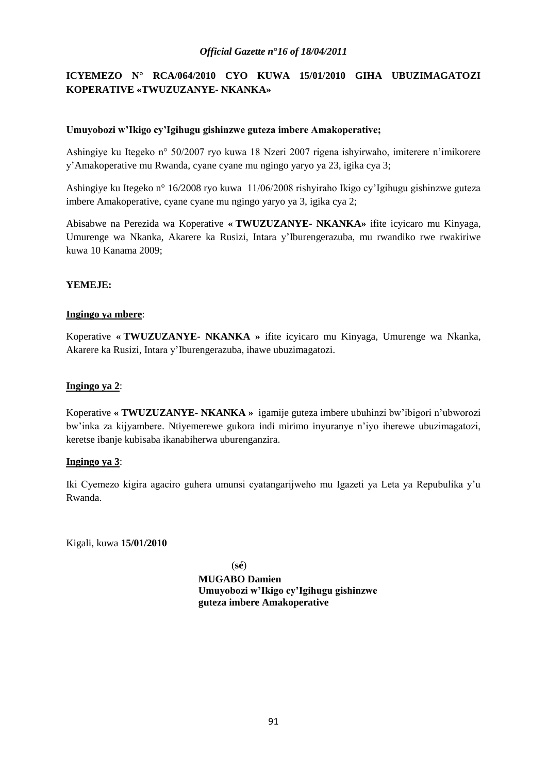# **ICYEMEZO N° RCA/064/2010 CYO KUWA 15/01/2010 GIHA UBUZIMAGATOZI KOPERATIVE «TWUZUZANYE- NKANKA»**

## **Umuyobozi w'Ikigo cy'Igihugu gishinzwe guteza imbere Amakoperative;**

Ashingiye ku Itegeko n° 50/2007 ryo kuwa 18 Nzeri 2007 rigena ishyirwaho, imiterere n"imikorere y"Amakoperative mu Rwanda, cyane cyane mu ngingo yaryo ya 23, igika cya 3;

Ashingiye ku Itegeko n° 16/2008 ryo kuwa 11/06/2008 rishyiraho Ikigo cy"Igihugu gishinzwe guteza imbere Amakoperative, cyane cyane mu ngingo yaryo ya 3, igika cya 2;

Abisabwe na Perezida wa Koperative **« TWUZUZANYE- NKANKA»** ifite icyicaro mu Kinyaga, Umurenge wa Nkanka, Akarere ka Rusizi, Intara y"Iburengerazuba, mu rwandiko rwe rwakiriwe kuwa 10 Kanama 2009;

## **YEMEJE:**

## **Ingingo ya mbere**:

Koperative **« TWUZUZANYE- NKANKA »** ifite icyicaro mu Kinyaga, Umurenge wa Nkanka, Akarere ka Rusizi, Intara y"Iburengerazuba, ihawe ubuzimagatozi.

## **Ingingo ya 2**:

Koperative **« TWUZUZANYE- NKANKA »** igamije guteza imbere ubuhinzi bw"ibigori n"ubworozi bw"inka za kijyambere. Ntiyemerewe gukora indi mirimo inyuranye n"iyo iherewe ubuzimagatozi, keretse ibanje kubisaba ikanabiherwa uburenganzira.

### **Ingingo ya 3**:

Iki Cyemezo kigira agaciro guhera umunsi cyatangarijweho mu Igazeti ya Leta ya Repubulika y"u Rwanda.

Kigali, kuwa **15/01/2010**

(**sé**) **MUGABO Damien Umuyobozi w'Ikigo cy'Igihugu gishinzwe guteza imbere Amakoperative**